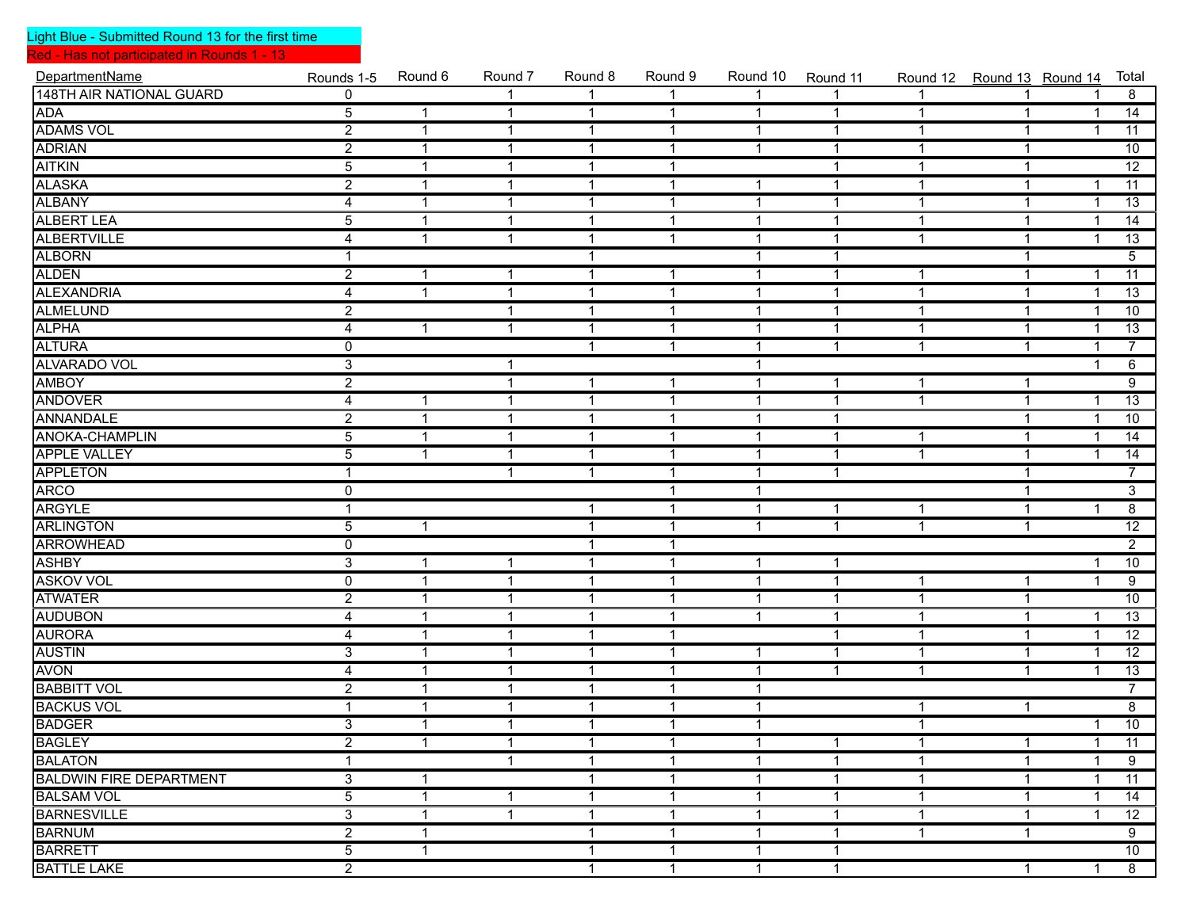Red - Has not participated in Rounds 1 - 13

| DepartmentName                  | Rounds 1-5     | Round 6      | Round 7                 | Round 8      | Round 9      | Round 10     | Round 11       |                |              | Round 12 Round 13 Round 14 | Total           |
|---------------------------------|----------------|--------------|-------------------------|--------------|--------------|--------------|----------------|----------------|--------------|----------------------------|-----------------|
| <b>148TH AIR NATIONAL GUARD</b> | $\overline{0}$ |              | $\overline{1}$          | 1            | 1            | $\mathbf{1}$ |                | $\mathbf{1}$   | $\mathbf 1$  |                            | $\overline{8}$  |
| <b>ADA</b>                      | $\overline{5}$ | $\mathbf{1}$ | $\overline{1}$          | $\mathbf{1}$ | $\mathbf{1}$ | $\mathbf{1}$ | $\mathbf{1}$   | $\mathbf{1}$   | $\mathbf{1}$ | $\mathbf{1}$               | 14              |
| <b>ADAMS VOL</b>                | $\overline{2}$ | $\mathbf{1}$ | $\overline{1}$          | $\mathbf{1}$ | $\mathbf{1}$ | $\mathbf{1}$ | $\mathbf{1}$   | $\mathbf{1}$   | $\mathbf{1}$ | $\overline{\mathbf{1}}$    | 11              |
| <b>ADRIAN</b>                   | $\overline{2}$ | $\mathbf{1}$ | $\overline{1}$          | $\mathbf{1}$ | $\mathbf{1}$ | $\mathbf{1}$ | $\mathbf{1}$   | $\overline{1}$ | $\mathbf{1}$ |                            | 10              |
| <b>AITKIN</b>                   | $\overline{5}$ | $\mathbf{1}$ | $\overline{1}$          | $\mathbf{1}$ | $\mathbf{1}$ |              | $\mathbf{1}$   | 1              | $\mathbf{1}$ |                            | $\overline{12}$ |
| ALASKA<br>ALBANY                | $\overline{2}$ | $\mathbf{1}$ | $\overline{1}$          | $\mathbf{1}$ | $\mathbf{1}$ | $\mathbf{1}$ | $\mathbf{1}$   | $\mathbf{1}$   | $\mathbf{1}$ | 1                          | $\overline{11}$ |
|                                 | $\overline{4}$ | $\mathbf{1}$ | $\overline{1}$          | $\mathbf{1}$ | $\mathbf{1}$ | $\mathbf{1}$ | $\mathbf{1}$   | $\mathbf{1}$   | $\mathbf{1}$ | -1                         | 13              |
| <b>ALBERT LEA</b>               | $\overline{5}$ | $\mathbf{1}$ | $\overline{1}$          | $\mathbf{1}$ | $\mathbf{1}$ | $\mathbf{1}$ | $\mathbf{1}$   | $\mathbf{1}$   | $\mathbf{1}$ | -1                         | 14              |
| <b>ALBERTVILLE</b>              | 4              | 1            | $\overline{1}$          | $\mathbf{1}$ | $\mathbf{1}$ | $\mathbf{1}$ | $\mathbf{1}$   | $\overline{1}$ | $\mathbf{1}$ | -1                         | $\overline{13}$ |
| <b>ALBORN</b>                   |                |              |                         | $\mathbf{1}$ |              | $\mathbf{1}$ | $\mathbf{1}$   |                | $\mathbf{1}$ |                            | $\overline{5}$  |
| <b>ALDEN</b>                    | $\overline{2}$ | $\mathbf{1}$ | $\mathbf 1$             | $\mathbf{1}$ | $\mathbf{1}$ | $\mathbf{1}$ | $\mathbf{1}$   | 1              | $\mathbf{1}$ | 1                          | $\overline{11}$ |
| <b>ALEXANDRIA</b>               | $\overline{4}$ | $\mathbf{1}$ | $\overline{1}$          | $\mathbf{1}$ | $\mathbf{1}$ | $\mathbf{1}$ | $\mathbf{1}$   | $\mathbf{1}$   | $\mathbf{1}$ | -1                         | 13              |
| <b>ALMELUND</b>                 | $\overline{2}$ |              | $\mathbf 1$             | $\mathbf{1}$ | $\mathbf{1}$ | $\mathbf{1}$ | $\mathbf{1}$   | $\overline{1}$ | $\mathbf{1}$ | -1                         | 10              |
| <b>ALPHA</b>                    | 4              | 1            | $\overline{1}$          | $\mathbf{1}$ | $\mathbf{1}$ | $\mathbf{1}$ | $\mathbf{1}$   | 1              | $\mathbf{1}$ | -1                         | $\overline{13}$ |
| <b>ALTURA</b>                   | $\overline{0}$ |              |                         | $\mathbf{1}$ | $\mathbf{1}$ | $\mathbf{1}$ | $\mathbf{1}$   | $\mathbf{1}$   | $\mathbf{1}$ | 1                          | $\overline{7}$  |
| <b>ALVARADO VOL</b>             | $\overline{3}$ |              | $\mathbf 1$             |              |              | $\mathbf{1}$ |                |                |              | 1                          | $\overline{6}$  |
| <b>AMBOY</b>                    | $\overline{2}$ |              | $\overline{\mathbf{1}}$ | $\mathbf{1}$ | $\mathbf{1}$ | $\mathbf{1}$ | $\mathbf{1}$   | $\mathbf{1}$   | $\mathbf{1}$ |                            | $\overline{9}$  |
| <b>ANDOVER</b>                  | 4              | $\mathbf{1}$ | $\overline{\mathbf{1}}$ | $\mathbf{1}$ | $\mathbf{1}$ | $\mathbf{1}$ | $\mathbf{1}$   | $\mathbf{1}$   | $\mathbf{1}$ | -1                         | $\overline{13}$ |
| ANNANDALE                       | $\overline{2}$ | $\mathbf{1}$ | $\overline{\mathbf{1}}$ | $\mathbf{1}$ | $\mathbf{1}$ | $\mathbf{1}$ | $\mathbf{1}$   |                | $\mathbf{1}$ | -1                         | 10              |
| <b>ANOKA-CHAMPLIN</b>           | $\overline{5}$ | $\mathbf{1}$ | $\overline{1}$          | $\mathbf{1}$ | $\mathbf{1}$ | $\mathbf{1}$ | $\mathbf{1}$   | $\mathbf{1}$   | $\mathbf{1}$ | -1                         | $\overline{14}$ |
| <b>APPLE VALLEY</b>             | $\overline{5}$ | $\mathbf{1}$ | $\overline{1}$          | $\mathbf{1}$ | $\mathbf{1}$ | $\mathbf{1}$ | $\mathbf{1}$   | $\mathbf{1}$   | $\mathbf{1}$ | 1                          | $\overline{14}$ |
| <b>APPLETON</b>                 | $\mathbf 1$    |              | $\overline{1}$          | $\mathbf{1}$ | $\mathbf{1}$ | $\mathbf{1}$ | $\mathbf{1}$   |                | $\mathbf{1}$ |                            | $\overline{7}$  |
| <b>ARCO</b>                     | $\mathbf 0$    |              |                         |              | $\mathbf{1}$ | $\mathbf{1}$ |                |                | $\mathbf{1}$ |                            | $\overline{3}$  |
| <b>ARGYLE</b>                   |                |              |                         | $\mathbf 1$  | $\mathbf{1}$ | $\mathbf{1}$ | 1              | $\mathbf 1$    | $\mathbf{1}$ | 1                          | $\overline{8}$  |
| <b>ARLINGTON</b>                | $\overline{5}$ | $\mathbf{1}$ |                         | $\mathbf{1}$ | $\mathbf{1}$ | $\mathbf{1}$ | 1              | $\mathbf{1}$   | $\mathbf{1}$ |                            | $\overline{12}$ |
| <b>ARROWHEAD</b>                | $\overline{0}$ |              |                         | $\mathbf{1}$ | $\mathbf{1}$ |              |                |                |              |                            | $\overline{2}$  |
| <b>ASHBY</b>                    | $\overline{3}$ | $\mathbf{1}$ | $\overline{1}$          | $\mathbf{1}$ | $\mathbf{1}$ | $\mathbf{1}$ | $\mathbf{1}$   |                |              | -1                         | 10              |
| <b>ASKOV VOL</b>                | $\mathbf 0$    | $\mathbf{1}$ | $\overline{1}$          | $\mathbf{1}$ | $\mathbf{1}$ | $\mathbf{1}$ | $\mathbf{1}$   | -1             | $\mathbf{1}$ | -1                         | $\overline{9}$  |
| <b>ATWATER</b>                  | $\overline{2}$ | $\mathbf{1}$ | $\overline{1}$          | $\mathbf{1}$ | $\mathbf{1}$ | $\mathbf{1}$ | $\mathbf{1}$   | $\mathbf 1$    | $\mathbf{1}$ |                            | 10              |
| <b>AUDUBON</b>                  | 4              | $\mathbf{1}$ | $\mathbf 1$             | $\mathbf{1}$ | $\mathbf{1}$ | $\mathbf{1}$ | $\mathbf{1}$   | 1              | $\mathbf{1}$ | -1                         | $\overline{13}$ |
| <b>AURORA</b>                   | $\overline{4}$ | $\mathbf{1}$ | $\overline{1}$          | $\mathbf{1}$ | $\mathbf{1}$ |              | $\mathbf{1}$   | $\mathbf{1}$   | $\mathbf{1}$ | 1                          | $\overline{12}$ |
| <b>AUSTIN</b>                   | 3              | $\mathbf{1}$ | $\mathbf 1$             | $\mathbf{1}$ | $\mathbf{1}$ | $\mathbf{1}$ | $\mathbf{1}$   | $\mathbf{1}$   | $\mathbf{1}$ | -1                         | $\overline{12}$ |
| <b>AVON</b>                     | 4              | $\mathbf{1}$ | $\mathbf 1$             | $\mathbf{1}$ | $\mathbf{1}$ | $\mathbf{1}$ | $\mathbf{1}$   | 1              | $\mathbf{1}$ | -1                         | 13              |
| <b>BABBITT VOL</b>              | $\overline{2}$ | $\mathbf{1}$ | $\overline{1}$          | $\mathbf{1}$ | $\mathbf{1}$ | $\mathbf{1}$ |                |                |              |                            | $\overline{7}$  |
| <b>BACKUS VOL</b>               |                | $\mathbf{1}$ | $\overline{1}$          | $\mathbf{1}$ | $\mathbf{1}$ | $\mathbf{1}$ |                | 1              | $\mathbf{1}$ |                            | $\overline{8}$  |
| <b>BADGER</b>                   | $\overline{3}$ | $\mathbf{1}$ | $\overline{1}$          | $\mathbf{1}$ | $\mathbf{1}$ | $\mathbf{1}$ |                | $\mathbf{1}$   |              | 1                          | $\overline{10}$ |
| BAGLEY<br>BAGLEY<br>BALATON     | $\overline{2}$ | $\mathbf{1}$ | $\mathbf{1}$            | $\mathbf{1}$ | $\mathbf{1}$ | $\mathbf{1}$ | $\mathbf{1}$   | $\mathbf{1}$   | $\mathbf{1}$ | 1                          | $\overline{11}$ |
|                                 | 1              |              | $\overline{1}$          | $\mathbf{1}$ | $\mathbf{1}$ | $\mathbf{1}$ | $\mathbf 1$    | 1              | $\mathbf{1}$ | -1                         | $\overline{9}$  |
| <b>BALDWIN FIRE DEPARTMENT</b>  | $\overline{3}$ | $\mathbf{1}$ |                         | 1            | 1            | 1            | $\mathbf{1}$   | -1             | 1            |                            | 11              |
| <b>BALSAM VOL</b>               | $\overline{5}$ | $\mathbf{1}$ | $\mathbf 1$             | 1            | 1            | $\mathbf{1}$ | 1              | 1              | 1            |                            | 14              |
| <b>BARNESVILLE</b>              | $\overline{3}$ | $\mathbf{1}$ | $\overline{1}$          | $\mathbf{1}$ | 1            | $\mathbf{1}$ | $\mathbf{1}$   | $\mathbf{1}$   | $\mathbf{1}$ | -1                         | $\overline{12}$ |
| <b>BARNUM</b>                   | $\overline{2}$ | $\mathbf{1}$ |                         | $\mathbf{1}$ | $\mathbf{1}$ | $\mathbf{1}$ | $\mathbf{1}$   | $\mathbf{1}$   | $\mathbf{1}$ |                            | $\overline{9}$  |
| <b>BARRETT</b>                  | $\overline{5}$ | $\mathbf{1}$ |                         | $\mathbf{1}$ | $\mathbf{1}$ | $\mathbf{1}$ | $\mathbf{1}$   |                |              |                            | 10              |
| <b>BATTLE LAKE</b>              | $\overline{2}$ |              |                         | $\mathbf{1}$ | $\mathbf{1}$ | $\mathbf{1}$ | $\overline{1}$ |                | $\mathbf{1}$ | $\mathbf{1}$               | $\overline{8}$  |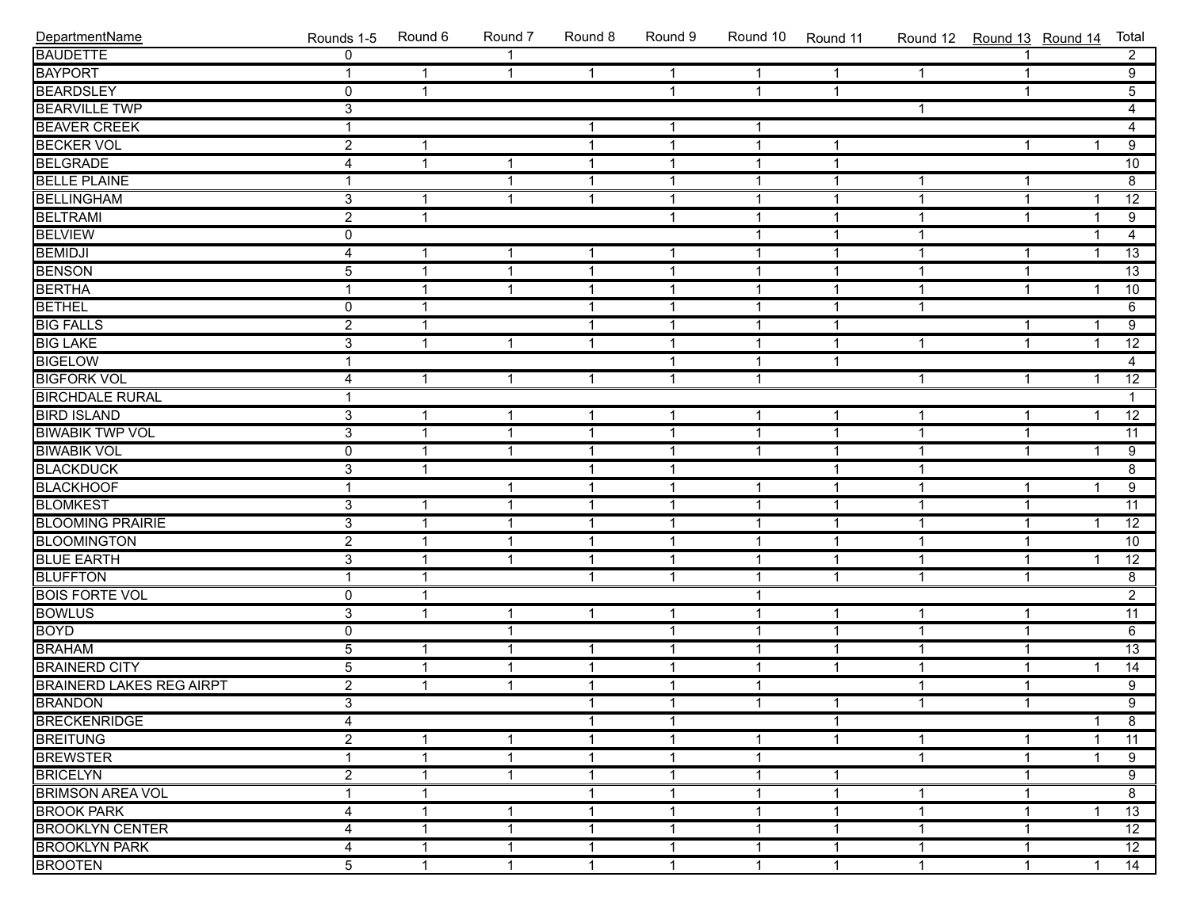| DepartmentName                      | Rounds 1-5     | Round 6      | Round 7                 | Round 8        | Round 9      | Round 10     | Round 11       | Round 12 Round 13 Round 14 |              |                         | Total           |
|-------------------------------------|----------------|--------------|-------------------------|----------------|--------------|--------------|----------------|----------------------------|--------------|-------------------------|-----------------|
| <b>BAUDETTE</b>                     | $\overline{0}$ |              | $\overline{1}$          |                |              |              |                |                            | $\mathbf 1$  |                         | $\overline{2}$  |
| <b>BAYPORT</b>                      | $\mathbf{1}$   | $\mathbf{1}$ | $\overline{1}$          | $\mathbf{1}$   | $\mathbf{1}$ | $\mathbf{1}$ | $\mathbf{1}$   | $\mathbf{1}$               | $\mathbf{1}$ |                         | $\overline{9}$  |
| <b>BEARDSLEY</b>                    | $\overline{0}$ | $\mathbf{1}$ |                         |                | $\mathbf{1}$ | $\mathbf{1}$ | $\mathbf{1}$   |                            | $\mathbf{1}$ |                         | $\overline{5}$  |
| <b>BEARVILLE TWP</b>                | $\overline{3}$ |              |                         |                |              |              |                | $\mathbf 1$                |              |                         | $\overline{4}$  |
| <b>BEAVER CREEK</b>                 | 1              |              |                         | $\mathbf{1}$   | $\mathbf{1}$ | $\mathbf{1}$ |                |                            |              |                         | $\overline{4}$  |
| <b>BECKER VOL</b>                   | $\overline{2}$ | $\mathbf 1$  |                         | $\mathbf{1}$   | $\mathbf{1}$ | $\mathbf{1}$ | $\mathbf{1}$   |                            | $\mathbf{1}$ | 1                       | $\overline{9}$  |
| <b>BELGRADE</b>                     | $\overline{4}$ | $\mathbf{1}$ | $\overline{1}$          | $\mathbf{1}$   | $\mathbf{1}$ | $\mathbf{1}$ | $\mathbf{1}$   |                            |              |                         | 10              |
| <b>BELLE PLAINE</b>                 | 1              |              | $\overline{\mathbf{1}}$ | $\mathbf{1}$   | $\mathbf{1}$ | $\mathbf{1}$ | $\overline{1}$ | 1                          | $\mathbf{1}$ |                         | 8               |
| <b>BELLINGHAM</b>                   | $\overline{3}$ | 1            | $\overline{\mathbf{1}}$ | $\mathbf{1}$   | $\mathbf{1}$ | $\mathbf{1}$ | $\overline{1}$ | $\mathbf 1$                | $\mathbf{1}$ | -1                      | $\overline{12}$ |
| <b>BELTRAMI</b>                     | $\overline{2}$ | $\mathbf{1}$ |                         |                | $\mathbf{1}$ | $\mathbf{1}$ | $\mathbf 1$    | $\overline{1}$             | $\mathbf{1}$ | -1                      | $\overline{9}$  |
| <b>BELVIEW</b>                      | $\overline{0}$ |              |                         |                |              | $\mathbf{1}$ | $\mathbf{1}$   | $\mathbf{1}$               |              | 1                       | $\overline{4}$  |
| <b>BEMIDJI</b>                      | $\overline{4}$ | $\mathbf{1}$ | $\overline{1}$          | $\mathbf{1}$   | $\mathbf{1}$ | $\mathbf{1}$ | $\mathbf{1}$   | $\mathbf{1}$               | $\mathbf{1}$ | $\overline{\mathbf{1}}$ | $\overline{13}$ |
| <b>BENSON</b>                       | $\overline{5}$ | 1            | $\overline{\mathbf{1}}$ | $\mathbf{1}$   | $\mathbf{1}$ | $\mathbf{1}$ | $\mathbf{1}$   | $\mathbf 1$                | $\mathbf{1}$ |                         | $\overline{13}$ |
| <b>BERTHA</b>                       | 1              | -1           | $\overline{\mathbf{1}}$ | $\mathbf{1}$   | $\mathbf{1}$ | $\mathbf{1}$ | $\mathbf 1$    | $\mathbf 1$                | $\mathbf{1}$ | 1                       | 10              |
| <b>BETHEL</b>                       | $\mathbf 0$    | 1            |                         | $\mathbf{1}$   | $\mathbf{1}$ | $\mathbf{1}$ | $\mathbf 1$    | 1                          |              |                         | $\overline{6}$  |
| <b>BIG FALLS</b>                    | $\overline{2}$ | $\mathbf 1$  |                         | $\mathbf{1}$   | $\mathbf{1}$ | $\mathbf{1}$ | $\mathbf{1}$   |                            | $\mathbf{1}$ | -1                      | $\overline{9}$  |
| <b>BIG LAKE</b>                     | $\overline{3}$ | $\mathbf{1}$ | $\overline{1}$          | $\mathbf{1}$   | $\mathbf{1}$ | $\mathbf{1}$ | $\mathbf{1}$   | $\mathbf{1}$               | $\mathbf{1}$ | $\mathbf{1}$            | $\overline{12}$ |
| <b>BIGELOW</b>                      | 1              |              |                         |                | $\mathbf{1}$ | $\mathbf{1}$ | $\mathbf{1}$   |                            |              |                         | $\overline{4}$  |
| <b>BIGFORK VOL</b>                  | 4              | 1            | $\overline{\mathbf{1}}$ | $\mathbf{1}$   | $\mathbf{1}$ | $\mathbf{1}$ |                | $\mathbf 1$                | $\mathbf{1}$ | -1                      | $\overline{12}$ |
| <b>BIRCHDALE RURAL</b>              | 1              |              |                         |                |              |              |                |                            |              |                         | $\mathbf{1}$    |
| <b>BIRD ISLAND</b>                  | $\overline{3}$ | $\mathbf 1$  | $\overline{1}$          | $\mathbf{1}$   | $\mathbf{1}$ | $\mathbf{1}$ | $\mathbf{1}$   | $\mathbf{1}$               | $\mathbf{1}$ | 1                       | $\overline{12}$ |
| <b>BIWABIK TWP VOL</b>              | $\overline{3}$ | $\mathbf 1$  | $\overline{1}$          | $\mathbf{1}$   | $\mathbf{1}$ | $\mathbf{1}$ | $\mathbf{1}$   | $\mathbf{1}$               | $\mathbf{1}$ |                         | $\overline{11}$ |
| <b>BIWABIK VOL</b>                  | $\overline{0}$ | $\mathbf{1}$ | $\overline{\mathbf{1}}$ | $\mathbf{1}$   | $\mathbf{1}$ | $\mathbf{1}$ | $\mathbf{1}$   | $\mathbf 1$                | $\mathbf{1}$ | 1                       | $\overline{9}$  |
| <b>BLACKDUCK</b>                    | $\overline{3}$ | 1            |                         | $\mathbf{1}$   | $\mathbf{1}$ |              | $\overline{1}$ | $\mathbf 1$                |              |                         | $\overline{8}$  |
| <b>BLACKHOOF</b>                    | $\mathbf{1}$   |              | $\overline{\mathbf{1}}$ | $\mathbf{1}$   | $\mathbf{1}$ | $\mathbf{1}$ | $\overline{1}$ | 1                          | $\mathbf{1}$ | 1                       | $\overline{9}$  |
| <b>BLOMKEST</b>                     | $\overline{3}$ | $\mathbf 1$  | $\mathbf{1}$            | $\mathbf{1}$   | $\mathbf{1}$ | $\mathbf{1}$ | $\mathbf{1}$   | $\mathbf{1}$               | $\mathbf{1}$ |                         | $\overline{11}$ |
| <b>BLOOMING PRAIRIE</b>             | $\overline{3}$ | $\mathbf 1$  | $\overline{1}$          | $\mathbf{1}$   | $\mathbf{1}$ | $\mathbf{1}$ | $\mathbf{1}$   | $\mathbf{1}$               | $\mathbf{1}$ | $\overline{1}$          | $\overline{12}$ |
| <b>BLOOMINGTON</b>                  | $\overline{2}$ | $\mathbf{1}$ | $\overline{\mathbf{1}}$ | $\mathbf{1}$   | $\mathbf{1}$ | $\mathbf{1}$ | $\mathbf{1}$   | $\mathbf 1$                | $\mathbf{1}$ |                         | 10              |
| <b>BLUE EARTH</b>                   | $\overline{3}$ | 1            | $\overline{\mathbf{1}}$ | $\mathbf{1}$   | $\mathbf{1}$ | $\mathbf{1}$ | $\overline{1}$ | $\mathbf 1$                | $\mathbf{1}$ | 1                       | $\overline{12}$ |
| <b>BLUFFTON</b>                     | $\mathbf{1}$   | $\mathbf 1$  |                         | $\mathbf{1}$   | $\mathbf{1}$ | $\mathbf{1}$ | $\mathbf{1}$   | $\mathbf{1}$               | $\mathbf{1}$ |                         | $\overline{8}$  |
| <b>BOIS FORTE VOL</b>               | $\overline{0}$ | $\mathbf 1$  |                         |                |              | $\mathbf{1}$ |                |                            |              |                         | $\overline{2}$  |
| <b>BOWLUS</b>                       | $\overline{3}$ | $\mathbf{1}$ | $\overline{1}$          | $\mathbf{1}$   | $\mathbf{1}$ | $\mathbf{1}$ | $\mathbf{1}$   | $\mathbf{1}$               | $\mathbf{1}$ |                         | $\overline{11}$ |
| <b>BOYD</b>                         | $\overline{0}$ |              | $\overline{\mathbf{1}}$ |                | $\mathbf{1}$ | $\mathbf{1}$ | $\mathbf{1}$   | $\mathbf{1}$               | $\mathbf{1}$ |                         | 6               |
| <b>BRAHAM</b>                       | $\overline{5}$ | 1            | $\overline{1}$          | $\mathbf{1}$   | $\mathbf{1}$ | $\mathbf{1}$ | $\overline{1}$ | $\mathbf 1$                | $\mathbf{1}$ |                         | $\overline{13}$ |
| <b>BRAINERD CITY</b>                | $\overline{5}$ | $\mathbf 1$  | $\overline{\mathbf{1}}$ | $\mathbf{1}$   | $\mathbf 1$  | $\mathbf{1}$ | $\mathbf{1}$   | 1                          | $\mathbf{1}$ | 1                       | $\overline{14}$ |
| BRAINERD LAKES REG AIRPT<br>BRANDON | $\overline{2}$ | $\mathbf{1}$ | $\overline{1}$          | $\mathbf{1}$   | $\mathbf{1}$ | $\mathbf{1}$ |                | $\mathbf{1}$               | $\mathbf{1}$ |                         | $\overline{9}$  |
|                                     | $\overline{3}$ |              |                         | $\overline{1}$ | $\mathbf{1}$ | $\mathbf{1}$ | $\overline{1}$ | $\overline{1}$             | $\mathbf{1}$ |                         | $\overline{9}$  |
| <b>BRECKENRIDGE</b>                 | 4              |              |                         | $\mathbf 1$    | $\mathbf 1$  |              | $\mathbf{1}$   |                            |              | 1                       | 8               |
| <b>BREITUNG</b>                     | $\overline{2}$ |              | 1                       | 1              | 1            | $\mathbf{1}$ | $\overline{1}$ |                            | 1            |                         | 11              |
| <b>BREWSTER</b>                     | 1              | 1            | $\overline{\mathbf{1}}$ | 1              | 1            | $\mathbf{1}$ |                | $\mathbf{1}$               | $\mathbf{1}$ |                         | 9               |
| <b>BRICELYN</b>                     | $\overline{2}$ | 1            | $\mathbf{1}$            | $\mathbf{1}$   | 1            | 1            | $\mathbf{1}$   |                            | 1            |                         | $\overline{9}$  |
| <b>BRIMSON AREA VOL</b>             | 1              | 1            |                         | $\mathbf 1$    | 1            | $\mathbf 1$  | $\mathbf{1}$   | 1                          | $\mathbf{1}$ |                         | $\overline{8}$  |
| <b>BROOK PARK</b>                   | 4              | 1            | 1                       | $\mathbf 1$    | 1            | $\mathbf{1}$ | $\mathbf 1$    | $\mathbf 1$                | 1            |                         | 13              |
| <b>BROOKLYN CENTER</b>              | 4              | 1            | 1                       | $\mathbf{1}$   | 1            | 1            | 1              |                            | 1            |                         | $\overline{12}$ |
| <b>BROOKLYN PARK</b>                | 4              | 1            | $\overline{\mathbf{1}}$ | $\mathbf{1}$   | 1            | 1            | $\mathbf{1}$   | $\mathbf 1$                | $\mathbf{1}$ |                         | $\overline{12}$ |
| <b>BROOTEN</b>                      | $\overline{5}$ | $\mathbf{1}$ | $\mathbf{1}$            | $\mathbf{1}$   | $\mathbf{1}$ | $\mathbf{1}$ | $\mathbf{1}$   | $\mathbf{1}$               | $\mathbf{1}$ | $\mathbf 1$             | 14              |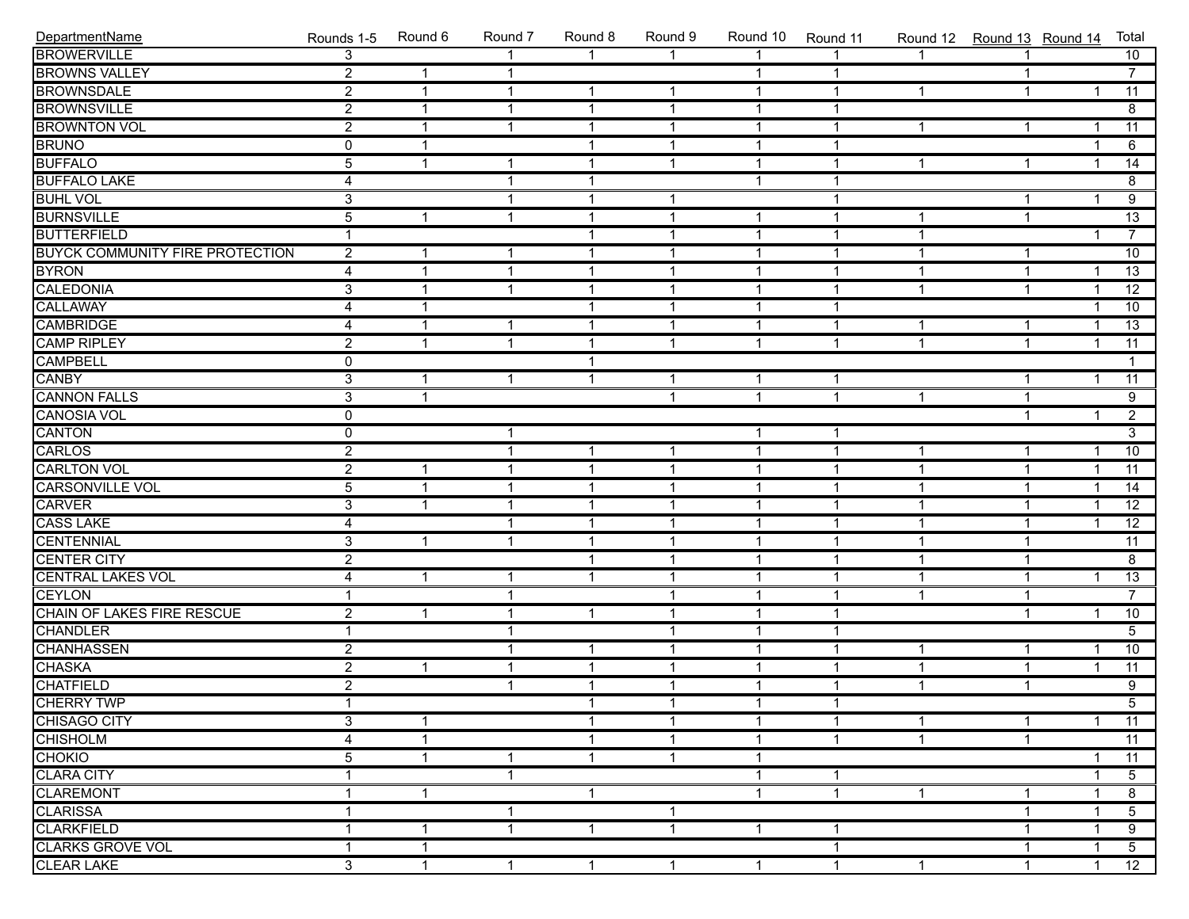| DepartmentName                          | Rounds 1-5     | Round 6        | Round 7                 | Round 8        | Round 9        | Round 10       | Round 11                | Round 12 Round 13 Round 14 |                |                | Total           |
|-----------------------------------------|----------------|----------------|-------------------------|----------------|----------------|----------------|-------------------------|----------------------------|----------------|----------------|-----------------|
| <b>BROWERVILLE</b>                      | $\overline{3}$ |                |                         |                | 1              | $\overline{1}$ |                         |                            |                |                | 10              |
| <b>BROWNS VALLEY</b>                    | $\overline{2}$ | $\overline{1}$ | $\mathbf{1}$            |                |                | $\mathbf{1}$   | $\mathbf 1$             |                            | $\mathbf{1}$   |                | $\overline{7}$  |
| <b>BROWNSDALE</b>                       | $\overline{2}$ | $\overline{1}$ | $\overline{\mathbf{1}}$ | $\mathbf{1}$   | $\mathbf{1}$   | $\overline{1}$ | $\overline{1}$          | $\mathbf{1}$               | $\mathbf{1}$   | $\mathbf{1}$   | $\overline{11}$ |
| <b>BROWNSVILLE</b>                      | $\overline{2}$ | $\mathbf{1}$   | $\overline{1}$          | $\mathbf{1}$   | $\overline{1}$ | $\mathbf{1}$   | $\mathbf{1}$            |                            |                |                | $\overline{8}$  |
| <b>BROWNTON VOL</b>                     | $\overline{2}$ | $\mathbf{1}$   | $\overline{1}$          | $\mathbf{1}$   | $\overline{1}$ | $\mathbf{1}$   | 1                       | $\mathbf{1}$               | 1              | $\overline{1}$ | $\overline{11}$ |
| <b>BRUNO</b>                            | $\mathbf 0$    | $\mathbf{1}$   |                         | $\mathbf{1}$   | $\mathbf{1}$   | $\mathbf{1}$   | $\mathbf{1}$            |                            |                | $\overline{1}$ | 6               |
| <b>BUFFALO</b>                          | $\overline{5}$ | $\mathbf{1}$   | $\overline{\mathbf{1}}$ | $\mathbf{1}$   | $\mathbf{1}$   | $\mathbf{1}$   | $\mathbf{1}$            | $\mathbf{1}$               | $\mathbf{1}$   | $\overline{1}$ | $\overline{14}$ |
| <b>BUFFALO LAKE</b>                     | $\overline{4}$ |                | $\overline{1}$          | $\mathbf{1}$   |                | $\mathbf{1}$   | $\mathbf{1}$            |                            |                |                | $\overline{8}$  |
| <b>BUHL VOL</b>                         | $\overline{3}$ |                | $\overline{\mathbf{1}}$ | $\mathbf{1}$   | $\overline{1}$ |                | 1                       |                            | 1              | $\overline{1}$ | $\overline{9}$  |
| <b>BURNSVILLE</b>                       | $\overline{5}$ | $\mathbf{1}$   | $\overline{1}$          | $\mathbf{1}$   | $\overline{1}$ | $\mathbf{1}$   | $\overline{\mathbf{1}}$ | 1                          | $\mathbf{1}$   |                | $\overline{13}$ |
| <b>BUTTERFIELD</b>                      | $\overline{1}$ |                |                         | $\mathbf{1}$   | $\mathbf{1}$   | $\mathbf{1}$   | 1                       | $\mathbf{1}$               |                | 1              | $\overline{7}$  |
| <b>BUYCK COMMUNITY FIRE PROTECTION</b>  | $\overline{2}$ | 1              | $\overline{\mathbf{1}}$ | $\mathbf{1}$   | $\mathbf{1}$   | $\mathbf{1}$   | $\mathbf{1}$            | $\mathbf{1}$               | 1              |                | 10              |
| <b>BYRON</b>                            | $\overline{4}$ | $\mathbf{1}$   | $\overline{1}$          | $\mathbf{1}$   | $\mathbf{1}$   | $\mathbf{1}$   | $\mathbf{1}$            | $\mathbf{1}$               | $\mathbf{1}$   | $\overline{1}$ | $\overline{13}$ |
| CALEDONIA                               | $\overline{3}$ | $\mathbf{1}$   | $\overline{1}$          | $\mathbf{1}$   | $\overline{1}$ | $\mathbf{1}$   | $\mathbf{1}$            | $\mathbf{1}$               | $\mathbf{1}$   | $\overline{1}$ | $\overline{12}$ |
| CALLAWAY                                | 4              | $\overline{1}$ |                         | $\mathbf{1}$   | $\overline{1}$ | $\mathbf{1}$   | $\mathbf{1}$            |                            |                | $\overline{1}$ | 10              |
| CAMBRIDGE                               | 4              | $\mathbf{1}$   | $\overline{\mathbf{1}}$ | $\mathbf{1}$   | $\overline{1}$ | $\mathbf{1}$   | $\mathbf{1}$            | $\mathbf{1}$               | 1              | $\overline{1}$ | $\overline{13}$ |
| <b>CAMP RIPLEY</b>                      | $\overline{2}$ | $\mathbf{1}$   | $\overline{1}$          | $\mathbf{1}$   | $\mathbf{1}$   | $\mathbf{1}$   | $\mathbf{1}$            | $\mathbf{1}$               | $\mathbf{1}$   | $\overline{1}$ | $\overline{11}$ |
| <b>CAMPBELL</b>                         | $\mathbf 0$    |                |                         | $\mathbf{1}$   |                |                |                         |                            |                |                | $\mathbf{1}$    |
| CANBY                                   | $\overline{3}$ | $\mathbf{1}$   | $\overline{1}$          | $\mathbf{1}$   | $\mathbf{1}$   | $\mathbf{1}$   | $\mathbf{1}$            |                            | $\mathbf{1}$   | $\overline{1}$ | $\overline{11}$ |
| <b>CANNON FALLS</b>                     | $\overline{3}$ | $\overline{1}$ |                         |                | $\mathbf{1}$   | $\mathbf{1}$   | $\mathbf{1}$            | $\mathbf{1}$               | $\mathbf{1}$   |                | 9               |
| <b>CANOSIA VOL</b>                      | $\overline{0}$ |                |                         |                |                |                |                         |                            | $\mathbf{1}$   | $\overline{1}$ | $\overline{2}$  |
| <b>CANTON</b>                           | $\mathbf 0$    |                | $\overline{\mathbf{1}}$ |                |                | $\mathbf{1}$   | 1                       |                            |                |                | $\overline{3}$  |
| CARLOS                                  | $\overline{2}$ |                | $\overline{\mathbf{1}}$ | $\mathbf{1}$   | $\mathbf{1}$   | $\mathbf{1}$   | $\mathbf{1}$            | $\mathbf{1}$               | -1             | $\overline{1}$ | $\overline{10}$ |
| <b>CARLTON VOL</b>                      | $\overline{2}$ | $\mathbf{1}$   | $\overline{1}$          | $\mathbf{1}$   | $\mathbf{1}$   | $\mathbf{1}$   | $\mathbf{1}$            | $\mathbf{1}$               | $\mathbf{1}$   | $\overline{1}$ | $\overline{11}$ |
| <b>CARSONVILLE VOL</b>                  | $\overline{5}$ | $\mathbf{1}$   | $\overline{1}$          | $\mathbf{1}$   | $\overline{1}$ | $\mathbf{1}$   | $\mathbf{1}$            | $\mathbf{1}$               | $\mathbf{1}$   | $\overline{1}$ | $\overline{14}$ |
| <b>CARVER</b>                           | $\overline{3}$ | $\mathbf{1}$   | $\overline{1}$          | $\mathbf{1}$   | $\overline{1}$ | $\mathbf{1}$   | $\mathbf{1}$            | $\mathbf{1}$               | $\mathbf 1$    | $\overline{1}$ | $\overline{12}$ |
| <b>CASS LAKE</b>                        | $\overline{4}$ |                | $\overline{\mathbf{1}}$ | $\mathbf{1}$   | $\overline{1}$ | $\mathbf{1}$   | $\mathbf{1}$            | $\mathbf{1}$               | 1              | $\overline{1}$ | $\overline{12}$ |
| <b>CENTENNIAL</b>                       | $\overline{3}$ | $\mathbf{1}$   | $\overline{1}$          | $\mathbf{1}$   | $\mathbf{1}$   | $\mathbf{1}$   | $\mathbf{1}$            | $\mathbf{1}$               | 1              |                | $\overline{11}$ |
| <b>CENTER CITY</b>                      | $\overline{2}$ |                |                         | $\mathbf{1}$   | $\mathbf{1}$   | $\mathbf{1}$   | $\mathbf{1}$            | $\mathbf{1}$               | $\mathbf 1$    |                | $\overline{8}$  |
| <b>CENTRAL LAKES VOL</b>                | 4              | $\mathbf{1}$   | $\overline{\mathbf{1}}$ | $\mathbf{1}$   | $\overline{1}$ | $\mathbf{1}$   | $\mathbf{1}$            | $\mathbf{1}$               | $\mathbf{1}$   | $\mathbf{1}$   | $\overline{13}$ |
| <b>CEYLON</b>                           | $\mathbf{1}$   |                | $\overline{1}$          |                | $\mathbf{1}$   | $\mathbf{1}$   | $\mathbf{1}$            | $\mathbf{1}$               | $\mathbf{1}$   |                | $\overline{7}$  |
| CHAIN OF LAKES FIRE RESCUE              | $\overline{2}$ | $\mathbf{1}$   | $\overline{1}$          | $\mathbf{1}$   | $\overline{1}$ | $\mathbf{1}$   | $\mathbf{1}$            |                            | $\mathbf{1}$   | $\mathbf{1}$   | 10              |
| <b>CHANDLER</b>                         | $\overline{1}$ |                | $\overline{\mathbf{1}}$ |                | $\overline{1}$ | $\mathbf{1}$   | $\mathbf{1}$            |                            |                |                | $\overline{5}$  |
| <b>CHANHASSEN</b>                       | $\overline{2}$ |                | $\overline{\mathbf{1}}$ | $\mathbf{1}$   | $\overline{1}$ | $\mathbf{1}$   | $\mathbf{1}$            | $\mathbf{1}$               | 1              | $\overline{1}$ | 10              |
| <b>CHASKA</b>                           | $\overline{2}$ | $\mathbf{1}$   | $\overline{1}$          | $\mathbf{1}$   | $\mathbf{1}$   | $\mathbf{1}$   | $\mathbf{1}$            | $\mathbf 1$                | $\mathbf{1}$   | $\overline{1}$ | $\overline{11}$ |
|                                         | $\overline{2}$ |                | $\overline{1}$          | $\mathbf{1}$   | $\mathbf{1}$   | $\mathbf{1}$   | $\mathbf{1}$            | $\mathbf{1}$               | $\mathbf{1}$   |                | $\overline{9}$  |
| CHATFIELD<br>CHERRY TWP<br>CHISAGO CITY | $\overline{1}$ |                |                         | $\overline{1}$ | $\overline{1}$ | $\mathbf{1}$   | $\overline{1}$          |                            |                |                | $\overline{5}$  |
|                                         | 3              | $\mathbf{1}$   |                         | $\mathbf{1}$   | $\mathbf{1}$   | $\mathbf{1}$   | 1                       | $\mathbf{1}$               | 1              | $\mathbf{1}$   | $\overline{11}$ |
| <b>CHISHOLM</b>                         | 4              | 1              |                         | -1             | $\mathbf{1}$   | $\mathbf{1}$   | 1                       | $\mathbf{1}$               | $\overline{1}$ |                | 11              |
| <b>CHOKIO</b>                           | 5              | 1              | -1                      | $\mathbf 1$    | $\mathbf{1}$   | $\mathbf{1}$   |                         |                            |                |                | $\overline{11}$ |
| <b>CLARA CITY</b>                       |                |                | $\overline{1}$          |                |                | $\mathbf{1}$   |                         |                            |                | 1              | 5               |
| <b>CLAREMONT</b>                        | 1              | $\mathbf{1}$   |                         | $\mathbf{1}$   |                | $\mathbf{1}$   | $\mathbf{1}$            | $\mathbf{1}$               | 1              | $\mathbf 1$    | $\overline{8}$  |
| <b>CLARISSA</b>                         |                |                | $\overline{\mathbf{1}}$ |                | 1              |                |                         |                            | $\mathbf 1$    | $\overline{1}$ | 5 <sup>5</sup>  |
| <b>CLARKFIELD</b>                       |                | 1              | $\overline{\mathbf{1}}$ | $\mathbf{1}$   | $\mathbf{1}$   | $\mathbf{1}$   |                         |                            | 1              | $\overline{1}$ | 9               |
| <b>CLARKS GROVE VOL</b>                 |                | 1              |                         |                |                |                |                         |                            | 1              | $\mathbf 1$    | $\overline{5}$  |
| <b>CLEAR LAKE</b>                       | 3              | $\mathbf{1}$   | $\overline{1}$          | $\mathbf{1}$   | $\mathbf{1}$   | $\mathbf{1}$   | 1                       | $\mathbf{1}$               | $\mathbf 1$    | $\mathbf{1}$   | 12              |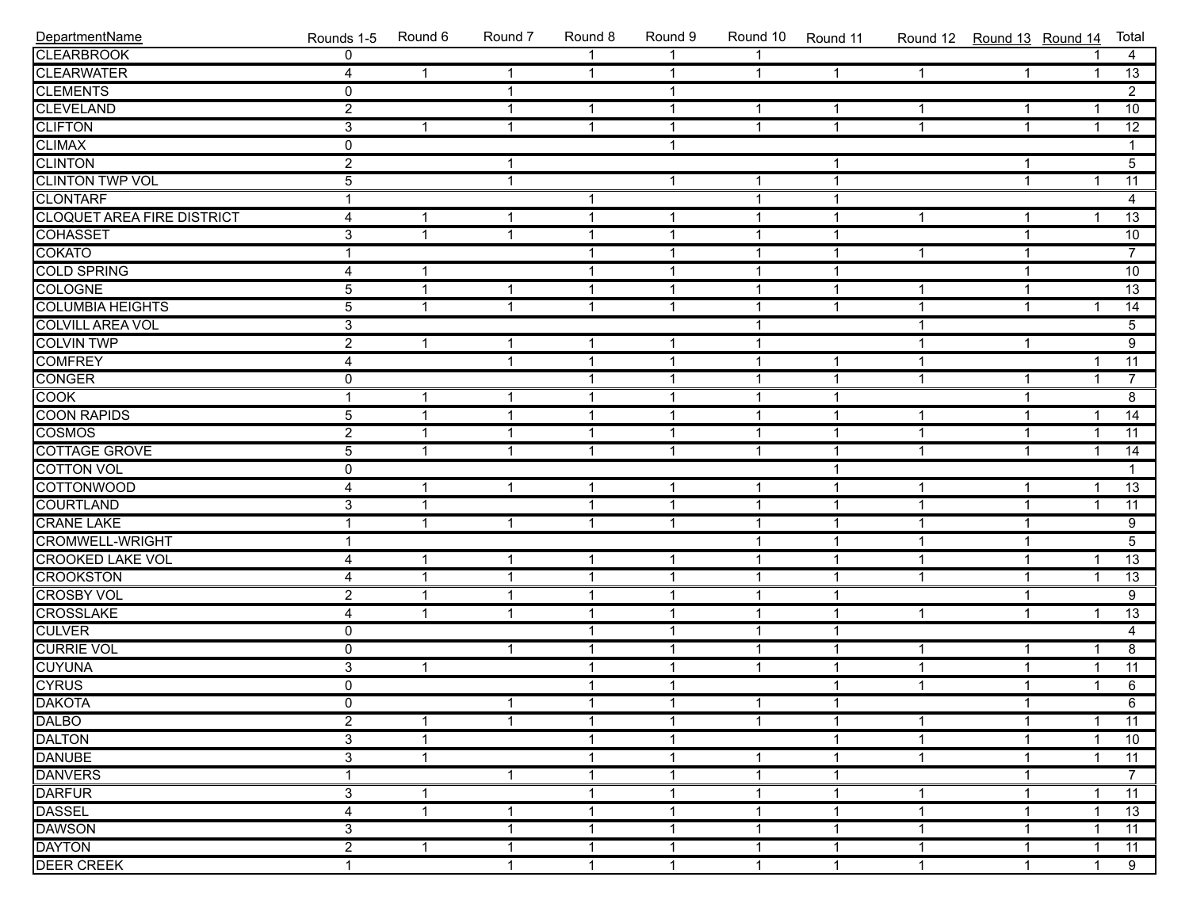| DepartmentName                    | Rounds 1-5              | Round 6      | Round 7      | Round 8              | Round 9        | Round 10     | Round 11       |              | Round 12 Round 13 Round 14 |                | Total           |
|-----------------------------------|-------------------------|--------------|--------------|----------------------|----------------|--------------|----------------|--------------|----------------------------|----------------|-----------------|
| <b>CLEARBROOK</b>                 | $\Omega$                |              |              |                      |                |              |                |              |                            |                | 4               |
| <b>CLEARWATER</b>                 | $\overline{\mathbf{4}}$ | $\mathbf{1}$ | $\mathbf{1}$ | $\mathbf{1}$         | $\overline{1}$ | $\mathbf{1}$ | $\mathbf{1}$   | $\mathbf{1}$ | $\mathbf{1}$               | $\mathbf{1}$   | $\overline{13}$ |
| <b>CLEMENTS</b>                   | 0                       |              | $\mathbf{1}$ |                      | $\overline{1}$ |              |                |              |                            |                | $\overline{2}$  |
| <b>CLEVELAND</b>                  | $\overline{2}$          |              | 1            | $\mathbf{1}$         | $\mathbf{1}$   | $\mathbf{1}$ | -1             | 1            | $\mathbf{1}$               | 1              | $\overline{10}$ |
| <b>CLIFTON</b>                    | $\overline{3}$          | $\mathbf{1}$ | $\mathbf{1}$ | $\mathbf{1}$         | $\mathbf{1}$   | $\mathbf{1}$ | $\overline{1}$ | $\mathbf{1}$ | $\mathbf{1}$               | $\mathbf{1}$   | $\overline{12}$ |
| <b>CLIMAX</b>                     | $\overline{0}$          |              |              |                      | $\mathbf{1}$   |              |                |              |                            |                | $\mathbf{1}$    |
| <b>CLINTON</b>                    | $\overline{2}$          |              | $\mathbf 1$  |                      |                |              | -1             |              | $\mathbf{1}$               |                | $\overline{5}$  |
| <b>CLINTON TWP VOL</b>            | $\overline{5}$          |              | $\mathbf{1}$ |                      | $\mathbf{1}$   | $\mathbf{1}$ | $\overline{1}$ |              | $\mathbf{1}$               | $\mathbf 1$    | $\overline{11}$ |
| <b>CLONTARF</b>                   | $\mathbf{1}$            |              |              | 1                    |                | $\mathbf{1}$ | $\overline{1}$ |              |                            |                | 4               |
| <b>CLOQUET AREA FIRE DISTRICT</b> | 4                       | 1            | $\mathbf{1}$ | $\mathbf{1}$         | $\mathbf{1}$   | $\mathbf{1}$ | $\overline{1}$ | $\mathbf{1}$ | $\mathbf{1}$               | 1              | $\overline{13}$ |
| <b>COHASSET</b>                   | $\overline{3}$          | $\mathbf{1}$ | $\mathbf{1}$ | $\mathbf{1}$         | $\mathbf{1}$   | $\mathbf 1$  | $\overline{1}$ |              | $\mathbf{1}$               |                | 10              |
| <b>COKATO</b>                     | $\mathbf{1}$            |              |              | 1                    | $\overline{1}$ | $\mathbf{1}$ | $\overline{1}$ | $\mathbf{1}$ | $\mathbf 1$                |                | $\overline{7}$  |
| <b>COLD SPRING</b>                | 4                       | 1            |              |                      | $\overline{1}$ | $\mathbf 1$  | $\overline{1}$ |              | 1                          |                | $\overline{10}$ |
| <b>COLOGNE</b>                    | $\overline{5}$          | $\mathbf{1}$ | $\mathbf 1$  | 1                    | $\mathbf{1}$   | $\mathbf 1$  | $\overline{1}$ | 1            | 1                          |                | $\overline{13}$ |
| <b>COLUMBIA HEIGHTS</b>           | $\overline{5}$          | $\mathbf{1}$ | $\mathbf{1}$ | $\overline{1}$       | $\mathbf{1}$   | 1            | $\overline{1}$ | $\mathbf{1}$ | $\mathbf{1}$               | 1              | 14              |
| <b>COLVILL AREA VOL</b>           | $\overline{3}$          |              |              |                      |                | $\mathbf{1}$ |                | $\mathbf{1}$ |                            |                | $\overline{5}$  |
| <b>COLVIN TWP</b>                 | $\overline{2}$          | $\mathbf{1}$ | $\mathbf{1}$ | $\mathbf{1}$         | $\mathbf{1}$   | $\mathbf{1}$ |                | $\mathbf{1}$ | $\mathbf{1}$               |                | $\overline{9}$  |
| <b>COMFREY</b>                    | 4                       |              | $\mathbf{1}$ | 1                    | $\overline{1}$ | $\mathbf{1}$ | $\overline{1}$ | $\mathbf{1}$ |                            | 1              | $\overline{11}$ |
| <b>CONGER</b>                     | $\overline{0}$          |              |              | 1                    | $\mathbf{1}$   | $\mathbf 1$  | $\overline{1}$ | $\mathbf{1}$ | $\mathbf{1}$               | $\mathbf 1$    | $\overline{7}$  |
| <b>COOK</b>                       | $\mathbf{1}$            | 1            | $\mathbf 1$  | 1                    | $\mathbf{1}$   | $\mathbf 1$  | $\overline{1}$ |              | $\mathbf{1}$               |                | $\overline{8}$  |
| <b>COON RAPIDS</b>                | $\overline{5}$          | $\mathbf{1}$ | $\mathbf 1$  | 1                    | $\mathbf{1}$   | $\mathbf 1$  | $\overline{1}$ | $\mathbf{1}$ | 1                          | 1              | $\overline{14}$ |
| <b>COSMOS</b>                     | $\overline{2}$          | $\mathbf{1}$ | $\mathbf 1$  | $\mathbf{1}$         | $\mathbf{1}$   | $\mathbf{1}$ | $\overline{1}$ | $\mathbf{1}$ | $\mathbf{1}$               | $\mathbf{1}$   | 11              |
| COTTAGE GROVE                     | $\overline{5}$          | $\mathbf{1}$ | $\mathbf{1}$ | $\mathbf{1}$         | $\mathbf{1}$   | $\mathbf{1}$ | $\overline{1}$ | $\mathbf{1}$ | $\mathbf{1}$               | $\mathbf 1$    | $\overline{14}$ |
| <b>COTTON VOL</b>                 | $\overline{0}$          |              |              |                      |                |              | $\overline{1}$ |              |                            |                | $\mathbf{1}$    |
| <b>COTTONWOOD</b>                 | 4                       | $\mathbf{1}$ | $\mathbf{1}$ | $\mathbf 1$          | $\mathbf{1}$   | $\mathbf{1}$ | $\overline{1}$ | $\mathbf{1}$ | 1                          | 1              | $\overline{13}$ |
| <b>COURTLAND</b>                  | $\overline{3}$          | $\mathbf{1}$ |              | $\mathbf 1$          | $\mathbf{1}$   | $\mathbf{1}$ | $\overline{1}$ | $\mathbf{1}$ | $\mathbf{1}$               | $\mathbf 1$    | $\overline{11}$ |
| <b>CRANE LAKE</b>                 | 1                       | $\mathbf{1}$ | $\mathbf{1}$ | $\mathbf 1$          | $\mathbf{1}$   | 1            | $\overline{1}$ | $\mathbf{1}$ | $\mathbf{1}$               |                | $\overline{9}$  |
| <b>CROMWELL-WRIGHT</b>            | 1                       |              |              |                      |                | $\mathbf{1}$ | $\overline{1}$ | $\mathbf{1}$ | 1                          |                | $\overline{5}$  |
| <b>CROOKED LAKE VOL</b>           | 4                       | 1            | $\mathbf 1$  | $\mathbf 1$          | $\mathbf{1}$   | $\mathbf{1}$ | $\overline{1}$ | $\mathbf{1}$ | $\mathbf 1$                | $\mathbf 1$    | $\overline{13}$ |
| <b>CROOKSTON</b>                  | 4                       | $\mathbf{1}$ | $\mathbf{1}$ | 1                    | $\overline{1}$ | $\mathbf{1}$ | $\overline{1}$ | $\mathbf{1}$ | $\mathbf 1$                | $\mathbf 1$    | $\overline{13}$ |
| <b>CROSBY VOL</b>                 | $\overline{2}$          | $\mathbf{1}$ | 1            | 1                    | $\mathbf{1}$   | $\mathbf{1}$ | $\overline{1}$ |              | 1                          |                | $\overline{9}$  |
| <b>CROSSLAKE</b>                  | $\overline{\mathbf{4}}$ | $\mathbf{1}$ | 1            | 1                    | $\mathbf{1}$   | $\mathbf 1$  | $\overline{1}$ | $\mathbf{1}$ | $\mathbf{1}$               | 1              | $\overline{13}$ |
| <b>CULVER</b>                     | 0                       |              |              | $\overline{1}$       | $\mathbf{1}$   | $\mathbf{1}$ | $\overline{1}$ |              |                            |                | $\overline{4}$  |
| <b>CURRIE VOL</b>                 | 0                       |              | $\mathbf{1}$ | $\mathbf{1}$         | $\mathbf{1}$   | $\mathbf{1}$ | $\overline{1}$ | $\mathbf{1}$ | $\mathbf{1}$               | $\mathbf 1$    | $\overline{8}$  |
| <b>CUYUNA</b>                     | $\overline{3}$          | $\mathbf{1}$ |              | 1                    | $\overline{1}$ | $\mathbf{1}$ | $\overline{1}$ | $\mathbf{1}$ | $\mathbf 1$                | $\overline{1}$ | $\overline{11}$ |
|                                   | $\overline{0}$          |              |              | 1                    | $\overline{1}$ |              | $\overline{1}$ | $\mathbf 1$  | $\mathbf 1$                | $\mathbf 1$    | 6               |
| <b>CYRUS<br/>DAKOTA</b><br>DALBO  | $\overline{0}$          |              | $\mathbf 1$  | $\blacktriangleleft$ | $\mathbf{1}$   | $\mathbf{1}$ | $\overline{1}$ |              | $\mathbf{1}$               |                | $\overline{6}$  |
|                                   | $\overline{2}$          | 1            | 1            | 1                    | $\mathbf 1$    | 1            | -1             | 1            | -1                         | -1             | 11              |
| <b>DALTON</b>                     | $\overline{3}$          | $\mathbf{1}$ |              |                      | $\mathbf{1}$   |              | -1             | 1            | 1                          | -1             | 10              |
| <b>DANUBE</b>                     | $\overline{3}$          | $\mathbf{1}$ |              |                      | $\mathbf{1}$   | $\mathbf 1$  | -1             | 1            | 1                          | 1              | 11              |
| <b>DANVERS</b>                    | 1                       |              | $\mathbf{1}$ |                      | $\mathbf 1$    | 1            | $\mathbf 1$    |              | 1                          |                | $\overline{7}$  |
| <b>DARFUR</b>                     | 3                       | $\mathbf{1}$ |              |                      | $\mathbf{1}$   | 1            | -1             | 1            |                            |                | 11              |
| <b>DASSEL</b>                     | 4                       | $\mathbf{1}$ | -1           |                      | $\mathbf{1}$   | 1            | -1             | 1            | 1                          |                | 13              |
| <b>DAWSON</b>                     | 3                       |              | -1           |                      | $\mathbf{1}$   | 1            | -1             | 1            | 1                          |                | 11              |
| <b>DAYTON</b>                     | $\overline{2}$          | $\mathbf{1}$ | 1            | -1                   | $\mathbf{1}$   | 1            | $\mathbf 1$    | 1            | 1                          | 1              | 11              |
| <b>DEER CREEK</b>                 | $\mathbf{1}$            |              | $\mathbf{1}$ | 1                    | $\mathbf{1}$   | $\mathbf{1}$ | $\mathbf{1}$   | $\mathbf{1}$ | 1                          | $\mathbf{1}$   | 9               |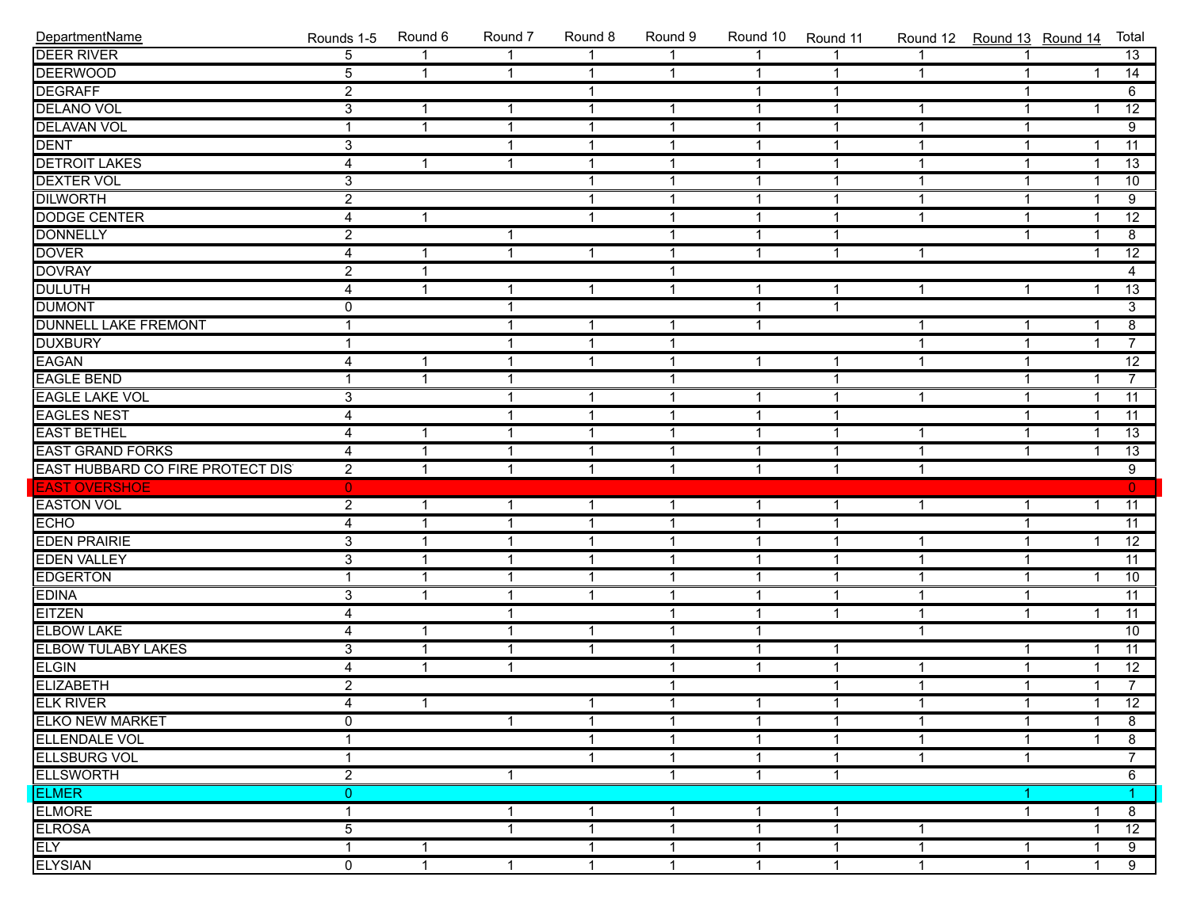| DepartmentName                            | Rounds 1-5     | Round 6      | Round 7                  | Round 8      | Round 9      | Round 10     | Round 11       | Round 12 Round 13 Round 14 |                |                | Total           |
|-------------------------------------------|----------------|--------------|--------------------------|--------------|--------------|--------------|----------------|----------------------------|----------------|----------------|-----------------|
| <b>DEER RIVER</b>                         | $\overline{5}$ | $\mathbf{1}$ | $\overline{\mathbf{1}}$  | $\mathbf{1}$ | 1            | $\mathbf{1}$ | $\overline{1}$ | $\mathbf{1}$               | 1              |                | $\overline{13}$ |
| <b>DEERWOOD</b>                           | $\overline{5}$ | $\mathbf{1}$ | $\overline{1}$           | $\mathbf{1}$ | $\mathbf{1}$ | $\mathbf{1}$ | $\mathbf{1}$   | $\mathbf{1}$               | $\mathbf{1}$   | $\mathbf{1}$   | $\overline{14}$ |
| <b>DEGRAFF</b>                            | $\overline{2}$ |              |                          | $\mathbf{1}$ |              | $\mathbf{1}$ | $\mathbf 1$    |                            | $\mathbf{1}$   |                | 6               |
| <b>DELANO VOL</b>                         | $\overline{3}$ | $\mathbf{1}$ | $\overline{\mathbf{1}}$  | $\mathbf{1}$ | $\mathbf{1}$ | $\mathbf{1}$ | $\mathbf{1}$   | 1                          | $\mathbf 1$    | $\overline{1}$ | $\overline{12}$ |
| <b>DELAVAN VOL</b>                        |                | $\mathbf{1}$ | $\overline{\mathbf{1}}$  | $\mathbf{1}$ | $\mathbf{1}$ | $\mathbf{1}$ | 1              | $\mathbf{1}$               | $\mathbf 1$    |                | $\overline{9}$  |
| <b>DENT</b>                               | $\overline{3}$ |              | $\overline{\mathbf{1}}$  | $\mathbf{1}$ | $\mathbf{1}$ | $\mathbf{1}$ | $\mathbf{1}$   | $\mathbf{1}$               | $\mathbf{1}$   | $\overline{1}$ | $\overline{11}$ |
| <b>DETROIT LAKES</b>                      | $\overline{4}$ | $\mathbf{1}$ | $\overline{1}$           | $\mathbf{1}$ | $\mathbf{1}$ | $\mathbf{1}$ | $\mathbf{1}$   | $\mathbf{1}$               | $\mathbf{1}$   | $\overline{1}$ | $\overline{13}$ |
| <b>DEXTER VOL</b>                         | $\overline{3}$ |              |                          | $\mathbf{1}$ | $\mathbf{1}$ | $\mathbf{1}$ | $\mathbf 1$    | $\mathbf{1}$               | $\mathbf{1}$   | $\overline{1}$ | 10              |
| <b>DILWORTH</b>                           | $\overline{2}$ |              |                          | $\mathbf{1}$ | $\mathbf{1}$ | $\mathbf{1}$ | $\mathbf{1}$   | $\mathbf{1}$               | $\mathbf{1}$   | $\overline{1}$ | $\overline{9}$  |
| <b>DODGE CENTER</b>                       | $\overline{4}$ | $\mathbf{1}$ |                          | $\mathbf{1}$ | $\mathbf{1}$ | $\mathbf{1}$ | $\mathbf{1}$   | $\mathbf{1}$               | $\mathbf{1}$   | $\overline{1}$ | $\overline{12}$ |
| <b>DONNELLY</b>                           | $\overline{2}$ |              | $\overline{\mathbf{1}}$  |              | $\mathbf{1}$ | $\mathbf{1}$ | $\mathbf{1}$   |                            | $\mathbf{1}$   | $\overline{1}$ | $\overline{8}$  |
| <b>DOVER</b>                              | $\overline{4}$ | $\mathbf{1}$ | $\overline{\mathbf{1}}$  | $\mathbf{1}$ | $\mathbf{1}$ | $\mathbf{1}$ | $\mathbf{1}$   | 1                          |                | $\overline{1}$ | $\overline{12}$ |
| <b>DOVRAY</b>                             | $\overline{2}$ | $\mathbf{1}$ |                          |              | $\mathbf{1}$ |              |                |                            |                |                | $\overline{4}$  |
| <b>DULUTH</b>                             | 4              | $\mathbf{1}$ | $\mathbf 1$              | $\mathbf{1}$ | $\mathbf{1}$ | $\mathbf{1}$ | $\mathbf{1}$   | $\mathbf{1}$               | $\mathbf{1}$   | $\mathbf{1}$   | $\overline{13}$ |
| <b>DUMONT</b>                             | $\mathbf 0$    |              | $\overline{\mathbf{1}}$  |              |              | $\mathbf{1}$ | $\mathbf{1}$   |                            |                |                | $\overline{3}$  |
| <b>DUNNELL LAKE FREMONT</b>               |                |              | $\overline{\phantom{a}}$ | $\mathbf{1}$ | $\mathbf{1}$ | $\mathbf{1}$ |                | 1                          | 1              | $\overline{1}$ | $\overline{8}$  |
| <b>DUXBURY</b>                            |                |              | $\overline{\mathbf{1}}$  | $\mathbf{1}$ | $\mathbf{1}$ |              |                | $\mathbf{1}$               | $\mathbf{1}$   | $\mathbf{1}$   | $\overline{7}$  |
| <b>EAGAN</b>                              | 4              | $\mathbf{1}$ | $\overline{\mathbf{1}}$  | $\mathbf{1}$ | $\mathbf{1}$ | $\mathbf{1}$ | $\mathbf{1}$   | $\mathbf{1}$               | $\mathbf{1}$   |                | $\overline{12}$ |
| <b>EAGLE BEND</b>                         | $\mathbf{1}$   | $\mathbf{1}$ | $\overline{1}$           |              | $\mathbf{1}$ |              | $\mathbf{1}$   |                            | $\mathbf{1}$   | $\mathbf{1}$   | $\overline{7}$  |
| <b>EAGLE LAKE VOL</b>                     | $\overline{3}$ |              | $\overline{\mathbf{1}}$  | $\mathbf{1}$ | $\mathbf{1}$ | $\mathbf{1}$ | $\mathbf{1}$   | $\mathbf{1}$               | $\mathbf{1}$   | $\mathbf{1}$   | $\overline{11}$ |
| <b>EAGLES NEST</b>                        | 4              |              | $\overline{\mathbf{1}}$  | $\mathbf{1}$ | $\mathbf{1}$ | $\mathbf{1}$ | $\mathbf{1}$   |                            | $\mathbf{1}$   | $\overline{1}$ | $\overline{11}$ |
| <b>EAST BETHEL</b>                        | $\overline{4}$ | $\mathbf{1}$ | $\overline{\mathbf{1}}$  | $\mathbf{1}$ | $\mathbf{1}$ | $\mathbf{1}$ | $\mathbf{1}$   | 1                          | $\mathbf 1$    | $\overline{1}$ | $\overline{13}$ |
| <b>EAST GRAND FORKS</b>                   | $\overline{4}$ | $\mathbf{1}$ | $\overline{1}$           | $\mathbf{1}$ | $\mathbf{1}$ | $\mathbf{1}$ | $\mathbf{1}$   | $\mathbf{1}$               | $\mathbf{1}$   | $\overline{1}$ | $\overline{13}$ |
| EAST HUBBARD CO FIRE PROTECT DIS          | $\overline{2}$ | $\mathbf{1}$ | $\overline{\mathbf{1}}$  | $\mathbf{1}$ | $\mathbf{1}$ | $\mathbf{1}$ | $\mathbf{1}$   | $\mathbf{1}$               |                |                | $\overline{9}$  |
| <b>EAST OVERSHOE</b>                      | $\overline{0}$ |              |                          |              |              |              |                |                            |                |                | $\overline{0}$  |
| EASTON VOL                                | $\overline{2}$ | $\mathbf{1}$ | $\overline{\mathbf{1}}$  | $\mathbf{1}$ | $\mathbf{1}$ | $\mathbf{1}$ | $\mathbf{1}$   | $\mathbf{1}$               | 1              | $\mathbf{1}$   | $\overline{11}$ |
|                                           | $\overline{4}$ | $\mathbf{1}$ | $\overline{\mathbf{1}}$  | $\mathbf{1}$ | $\mathbf{1}$ | $\mathbf{1}$ | $\mathbf{1}$   |                            | $\mathbf{1}$   |                | $\overline{11}$ |
| <b>EDEN PRAIRIE</b>                       | $\overline{3}$ | $\mathbf{1}$ | $\overline{\mathbf{1}}$  | $\mathbf{1}$ | $\mathbf{1}$ | $\mathbf{1}$ | $\mathbf{1}$   | 1                          | $\overline{1}$ | $\overline{1}$ | $\overline{12}$ |
| <b>EDEN VALLEY</b>                        | $\overline{3}$ | $\mathbf{1}$ | $\overline{1}$           | $\mathbf{1}$ | $\mathbf{1}$ | $\mathbf{1}$ | $\mathbf{1}$   | $\mathbf{1}$               | $\mathbf{1}$   |                | $\overline{11}$ |
| <b>EDGERTON</b>                           | 1              | $\mathbf{1}$ | $\overline{1}$           | $\mathbf{1}$ | $\mathbf{1}$ | $\mathbf{1}$ | $\mathbf{1}$   | $\mathbf{1}$               | $\mathbf{1}$   | $\overline{1}$ | $\overline{10}$ |
| <b>EDINA</b>                              | $\overline{3}$ | $\mathbf{1}$ | $\overline{1}$           | $\mathbf{1}$ | $\mathbf{1}$ | $\mathbf{1}$ | $\mathbf 1$    | $\mathbf{1}$               | $\mathbf{1}$   |                | $\overline{11}$ |
| <b>EITZEN</b>                             | $\overline{4}$ |              | $\overline{1}$           |              | $\mathbf{1}$ | $\mathbf{1}$ | $\mathbf{1}$   | $\mathbf{1}$               | $\mathbf{1}$   | $\overline{1}$ | $\overline{11}$ |
| <b>ELBOW LAKE</b>                         | 4              | $\mathbf{1}$ | $\overline{\mathbf{1}}$  | $\mathbf{1}$ | $\mathbf{1}$ | $\mathbf{1}$ |                | 1                          |                |                | $\overline{10}$ |
| ELBOW TULABY LAKES                        | $\overline{3}$ | $\mathbf{1}$ | $\overline{1}$           | $\mathbf{1}$ | $\mathbf{1}$ | $\mathbf{1}$ | $\mathbf{1}$   |                            | $\mathbf{1}$   | $\overline{1}$ | $\overline{11}$ |
| <b>ELGIN</b>                              | $\overline{4}$ | $\mathbf{1}$ | $\overline{\mathbf{1}}$  |              | $\mathbf{1}$ | $\mathbf{1}$ | $\mathbf{1}$   | $\mathbf{1}$               | $\mathbf{1}$   | $\overline{1}$ | $\overline{12}$ |
|                                           | $\overline{2}$ |              |                          |              | $\mathbf{1}$ |              | $\mathbf{1}$   | $\mathbf{1}$               | $\mathbf{1}$   | $\mathbf{1}$   | $\overline{7}$  |
| ELIZABETH<br>ELIZABETH<br>ELKO NEW MARKET | $\overline{4}$ | $\mathbf{1}$ |                          | $\mathbf 1$  | $\mathbf{1}$ | 1            | $\mathbf{1}$   | $\mathbf{1}$               | $\mathbf 1$    | 1              | $\overline{12}$ |
|                                           | $\mathbf 0$    |              | $\mathbf{1}$             | $\mathbf{1}$ | $\mathbf{1}$ | $\mathbf{1}$ | 1              | $\mathbf{1}$               | 1              | $\mathbf{1}$   | 8               |
| <b>ELLENDALE VOL</b>                      | 1              |              |                          | 1            | $\mathbf{1}$ | $\mathbf{1}$ | 1              | 1                          | 1              | 1              | 8               |
| <b>ELLSBURG VOL</b>                       | 1              |              |                          | 1            | $\mathbf{1}$ | $\mathbf{1}$ | 1              | $\mathbf{1}$               | $\mathbf 1$    |                | $\overline{7}$  |
| <b>ELLSWORTH</b>                          | $\overline{2}$ |              | $\mathbf{1}$             |              | $\mathbf{1}$ | $\mathbf{1}$ | $\mathbf{1}$   |                            |                |                | $6\overline{}$  |
| <b>ELMER</b>                              | $\overline{0}$ |              |                          |              |              |              |                |                            | 1.             |                | 1.              |
| <b>ELMORE</b>                             | $\mathbf{1}$   |              | -1                       | $\mathbf{1}$ | $\mathbf{1}$ | $\mathbf{1}$ | 1              |                            | $\mathbf{1}$   | $\mathbf 1$    | 8               |
| <b>ELROSA</b>                             | $\overline{5}$ |              | $\overline{\mathbf{1}}$  | $\mathbf{1}$ | 1            | $\mathbf{1}$ | 1              | 1                          |                | 1              | 12              |
| ELY                                       | 1              | $\mathbf{1}$ |                          | $\mathbf{1}$ | $\mathbf{1}$ | $\mathbf{1}$ | $\mathbf 1$    | 1                          | 1              | -1             | 9               |
| <b>ELYSIAN</b>                            | 0              | $\mathbf{1}$ | $\mathbf{1}$             | $\mathbf{1}$ | $\mathbf{1}$ | $\mathbf{1}$ | $\mathbf{1}$   | $\mathbf{1}$               | $\mathbf{1}$   | $\mathbf{1}$   | 9               |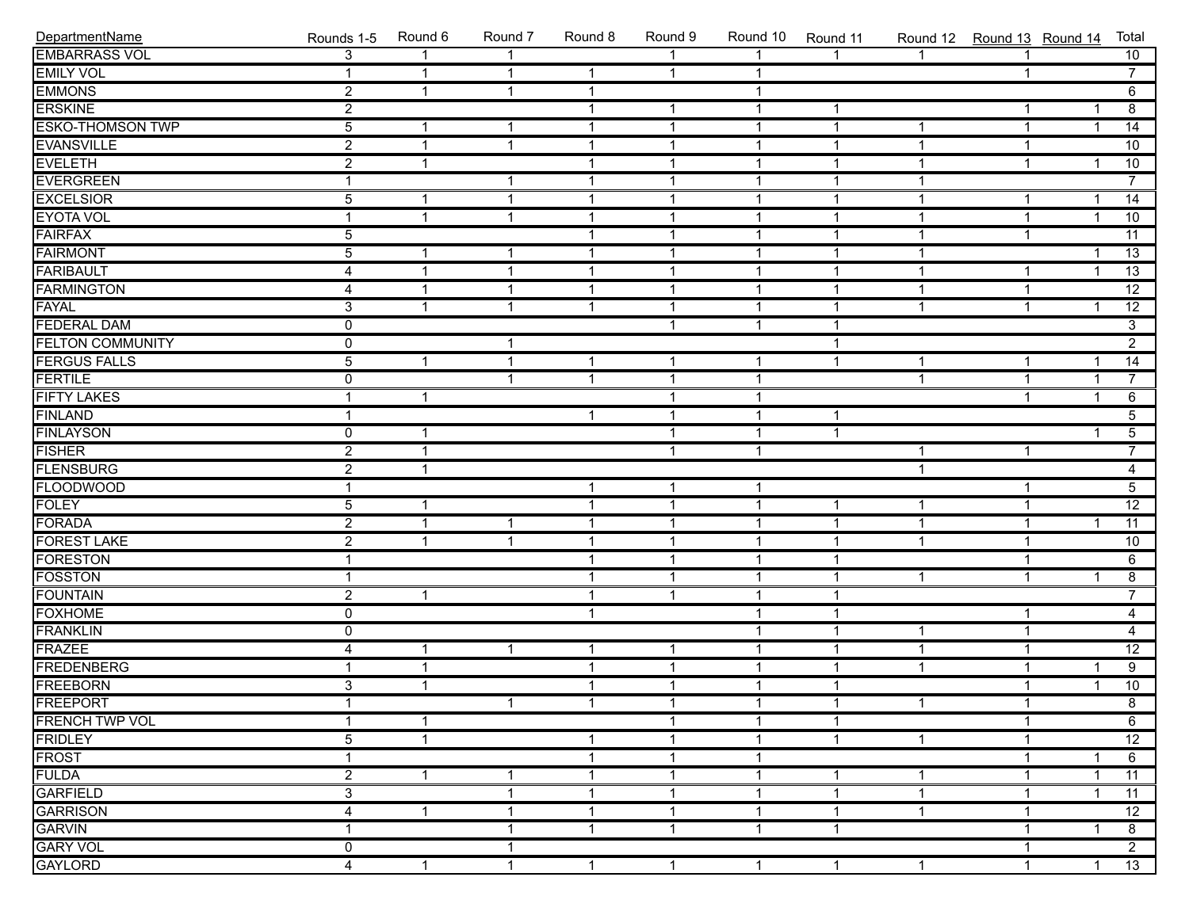| DepartmentName          | Rounds 1-5     | Round 6      | Round 7                 | Round 8      | Round 9        | Round 10     | Round 11       |                | Round 12 Round 13 Round 14 |                | Total                              |
|-------------------------|----------------|--------------|-------------------------|--------------|----------------|--------------|----------------|----------------|----------------------------|----------------|------------------------------------|
| <b>EMBARRASS VOL</b>    | 3              |              |                         |              |                |              |                |                |                            |                | 10                                 |
| <b>EMILY VOL</b>        | 1              | $\mathbf{1}$ | $\overline{1}$          | $\mathbf{1}$ | $\mathbf{1}$   | $\mathbf{1}$ |                |                | $\mathbf{1}$               |                | $\overline{7}$                     |
| <b>EMMONS</b>           | $\overline{2}$ | $\mathbf{1}$ | $\overline{1}$          | $\mathbf{1}$ |                | $\mathbf{1}$ |                |                |                            |                | 6                                  |
| <b>ERSKINE</b>          | $\overline{2}$ |              |                         | $\mathbf{1}$ | $\mathbf{1}$   | $\mathbf{1}$ | $\mathbf{1}$   |                | $\mathbf{1}$               | 1              | $\overline{8}$                     |
| <b>ESKO-THOMSON TWP</b> | $\overline{5}$ | $\mathbf{1}$ | $\overline{1}$          | $\mathbf{1}$ | $\mathbf{1}$   | $\mathbf{1}$ | $\mathbf{1}$   | $\mathbf{1}$   | $\mathbf{1}$               | $\overline{1}$ | 14                                 |
| <b>EVANSVILLE</b>       | $\overline{2}$ | $\mathbf{1}$ | $\overline{1}$          | $\mathbf{1}$ | $\mathbf{1}$   | $\mathbf{1}$ | $\mathbf{1}$   | $\mathbf 1$    | $\mathbf{1}$               |                | 10                                 |
| <b>EVELETH</b>          | $\overline{2}$ | $\mathbf{1}$ |                         | $\mathbf{1}$ | $\mathbf{1}$   | $\mathbf{1}$ | $\mathbf{1}$   | $\mathbf 1$    | $\mathbf{1}$               | $\mathbf 1$    | 10                                 |
| <b>EVERGREEN</b>        | 1              |              | $\overline{\mathbf{1}}$ | $\mathbf{1}$ | $\mathbf{1}$   | $\mathbf{1}$ | $\mathbf{1}$   | $\mathbf 1$    |                            |                | $\overline{7}$                     |
| <b>EXCELSIOR</b>        | $\overline{5}$ | $\mathbf{1}$ | $\overline{\mathbf{1}}$ | $\mathbf{1}$ | $\mathbf{1}$   | $\mathbf{1}$ | $\mathbf 1$    | $\mathbf{1}$   | $\mathbf{1}$               | $\mathbf{1}$   | 14                                 |
| <b>EYOTA VOL</b>        | 1              | $\mathbf{1}$ | $\overline{1}$          | $\mathbf{1}$ | $\overline{1}$ | $\mathbf{1}$ | $\overline{1}$ | $\mathbf{1}$   | $\overline{1}$             | $\mathbf{1}$   | 10                                 |
| <b>FAIRFAX</b>          | $\overline{5}$ |              |                         | $\mathbf{1}$ | $\mathbf{1}$   | $\mathbf{1}$ | $\mathbf{1}$   | $\mathbf 1$    | $\mathbf{1}$               |                | $\overline{11}$                    |
| <b>FAIRMONT</b>         | $\overline{5}$ | $\mathbf{1}$ | $\overline{1}$          | $\mathbf{1}$ | $\mathbf{1}$   | $\mathbf{1}$ | $\mathbf{1}$   | $\mathbf 1$    |                            | 1              | $\overline{13}$                    |
| <b>FARIBAULT</b>        | 4              | $\mathbf{1}$ | $\overline{1}$          | $\mathbf{1}$ | $\mathbf{1}$   | $\mathbf{1}$ | $\mathbf{1}$   | $\mathbf{1}$   | $\mathbf{1}$               | $\mathbf 1$    | $\overline{13}$                    |
| <b>FARMINGTON</b>       | $\overline{4}$ | $\mathbf{1}$ | $\overline{\mathbf{1}}$ | $\mathbf{1}$ | $\mathbf{1}$   | $\mathbf{1}$ | $\mathbf 1$    | $\mathbf{1}$   | $\mathbf{1}$               |                | $\overline{12}$                    |
| FAYAL                   | $\overline{3}$ | $\mathbf{1}$ | $\overline{1}$          | $\mathbf{1}$ | $\overline{1}$ | $\mathbf{1}$ | $\mathbf{1}$   | $\mathbf{1}$   | $\mathbf{1}$               | $\mathbf{1}$   | $\overline{12}$                    |
| <b>FEDERAL DAM</b>      | $\overline{0}$ |              |                         |              | $\mathbf{1}$   | $\mathbf{1}$ | $\mathbf{1}$   |                |                            |                | $\overline{3}$                     |
| <b>FELTON COMMUNITY</b> | $\overline{0}$ |              | -1                      |              |                |              | $\mathbf{1}$   |                |                            |                | $\overline{2}$                     |
| <b>FERGUS FALLS</b>     | $\overline{5}$ | $\mathbf{1}$ | $\overline{1}$          | $\mathbf{1}$ | $\mathbf{1}$   | $\mathbf{1}$ | $\overline{1}$ | $\mathbf{1}$   | $\mathbf{1}$               | $\overline{1}$ | 14                                 |
| <b>FERTILE</b>          | $\mathbf 0$    |              | $\overline{1}$          | $\mathbf{1}$ | $\overline{1}$ | $\mathbf{1}$ |                | $\mathbf{1}$   | $\mathbf{1}$               | $\mathbf{1}$   | $\overline{7}$                     |
| <b>FIFTY LAKES</b>      |                | $\mathbf{1}$ |                         |              | $\mathbf{1}$   | $\mathbf{1}$ |                |                | $\mathbf{1}$               | $\mathbf{1}$   | $6\overline{6}$                    |
| <b>FINLAND</b>          | 1              |              |                         | $\mathbf{1}$ | $\mathbf{1}$   | $\mathbf{1}$ | $\mathbf 1$    |                |                            |                | $\overline{5}$                     |
| <b>FINLAYSON</b>        | $\mathbf 0$    | 1            |                         |              | $\mathbf{1}$   | $\mathbf{1}$ | $\overline{1}$ |                |                            |                | $\overline{5}$                     |
| <b>FISHER</b>           | $\overline{2}$ | $\mathbf{1}$ |                         |              | 1              | $\mathbf{1}$ |                | 1              | $\mathbf{1}$               |                | $\overline{7}$                     |
| <b>FLENSBURG</b>        | $\overline{2}$ | $\mathbf{1}$ |                         |              |                |              |                | $\mathbf{1}$   |                            |                | $\overline{4}$                     |
| <b>FLOODWOOD</b>        | 1              |              |                         | $\mathbf{1}$ | $\mathbf{1}$   | $\mathbf{1}$ |                |                | $\mathbf{1}$               |                | $\overline{5}$                     |
| <b>FOLEY</b>            | $\overline{5}$ | $\mathbf{1}$ |                         | $\mathbf{1}$ | $\mathbf{1}$   | $\mathbf{1}$ | 1              | 1              | $\mathbf{1}$               |                | $\overline{12}$                    |
| <b>FORADA</b>           | $\overline{2}$ | 1            | $\overline{1}$          | $\mathbf{1}$ | $\mathbf{1}$   | $\mathbf{1}$ | $\mathbf{1}$   | $\overline{1}$ | $\mathbf{1}$               | $\mathbf 1$    | $\overline{11}$                    |
| <b>FOREST LAKE</b>      | $\overline{2}$ | 1            | $\overline{\mathbf{1}}$ | $\mathbf{1}$ | $\mathbf{1}$   | $\mathbf{1}$ | $\mathbf{1}$   | $\mathbf 1$    | $\mathbf{1}$               |                | 10                                 |
| <b>FORESTON</b>         | 1              |              |                         | $\mathbf{1}$ | $\mathbf{1}$   | $\mathbf{1}$ | $\mathbf 1$    |                | $\mathbf{1}$               |                | 6                                  |
| <b>FOSSTON</b>          | 1              |              |                         | $\mathbf{1}$ | $\mathbf{1}$   | $\mathbf{1}$ | $\mathbf{1}$   | $\mathbf{1}$   | $\mathbf{1}$               | $\mathbf{1}$   | $\overline{8}$                     |
| <b>FOUNTAIN</b>         | $\overline{2}$ | $\mathbf{1}$ |                         | $\mathbf{1}$ | $\mathbf{1}$   | $\mathbf{1}$ | $\mathbf{1}$   |                |                            |                | $\overline{7}$                     |
| <b>FOXHOME</b>          | $\overline{0}$ |              |                         | $\mathbf{1}$ |                | $\mathbf{1}$ | $\mathbf{1}$   |                | $\mathbf{1}$               |                | $\overline{4}$                     |
| FRANKLIN                | $\mathbf 0$    |              |                         |              |                | $\mathbf{1}$ | $\mathbf{1}$   | $\mathbf{1}$   | $\mathbf{1}$               |                | $\overline{4}$                     |
| <b>FRAZEE</b>           | 4              | $\mathbf{1}$ | $\overline{\mathbf{1}}$ | $\mathbf{1}$ | $\mathbf{1}$   | $\mathbf{1}$ | $\mathbf{1}$   | $\mathbf{1}$   | $\mathbf{1}$               |                | $\overline{12}$                    |
| FREDENBERG              |                | $\mathbf{1}$ |                         | $\mathbf{1}$ | $\overline{1}$ | $\mathbf{1}$ | $\mathbf{1}$   | $\mathbf{1}$   | $\mathbf{1}$               | $\overline{1}$ | $\overline{9}$                     |
| <b>FREEBORN</b>         | $\overline{3}$ | $\mathbf{1}$ |                         | $\mathbf{1}$ | $\mathbf{1}$   | $\mathbf{1}$ | $\overline{1}$ |                | $\mathbf{1}$               | $\overline{1}$ | 10                                 |
| <b>FREEPORT</b>         | $\overline{1}$ |              | $\mathbf{1}$            | $\mathbf{1}$ | 1              | $\mathbf 1$  | $\overline{1}$ | $\mathbf{1}$   | $\mathbf{1}$               |                | $\overline{\overline{\mathbf{8}}}$ |
| <b>FRENCH TWP VOL</b>   | 1              | $\mathbf{1}$ |                         |              | $\mathbf{1}$   | $\mathbf{1}$ | $\mathbf{1}$   |                | $\mathbf{1}$               |                | 6                                  |
| <b>FRIDLEY</b>          | $\overline{5}$ | $\mathbf{1}$ |                         | 1            | 1              | $\mathbf{1}$ | $\mathbf{1}$   | $\mathbf{1}$   | $\mathbf{1}$               |                | $\overline{12}$                    |
| <b>FROST</b>            |                |              |                         | 1            | $\mathbf{1}$   | $\mathbf{1}$ |                |                | 1                          |                | 6                                  |
| <b>FULDA</b>            | $\overline{2}$ | $\mathbf{1}$ | -1                      | 1            | 1              | 1            | 1              | 1              | 1                          |                | 11                                 |
| <b>GARFIELD</b>         | $\overline{3}$ |              | -1                      | 1            | 1              | 1            | 1              | $\mathbf{1}$   | 1                          |                | 11                                 |
| <b>GARRISON</b>         | 4              | $\mathbf{1}$ | -1                      | 1            | $\mathbf{1}$   | $\mathbf{1}$ | 1              | 1              | $\mathbf{1}$               |                | $\overline{12}$                    |
| <b>GARVIN</b>           |                |              | -1                      | $\mathbf{1}$ | $\mathbf{1}$   | $\mathbf{1}$ | $\mathbf{1}$   |                | $\mathbf{1}$               | 1              | 8                                  |
| <b>GARY VOL</b>         | 0              |              | -1                      |              |                |              |                |                | $\mathbf{1}$               |                | $\overline{2}$                     |
| <b>GAYLORD</b>          | 4              | $\mathbf{1}$ | $\overline{1}$          | $\mathbf{1}$ | $\mathbf{1}$   | $\mathbf{1}$ | $\mathbf{1}$   | $\mathbf{1}$   | $\mathbf{1}$               | $\mathbf{1}$   | 13                                 |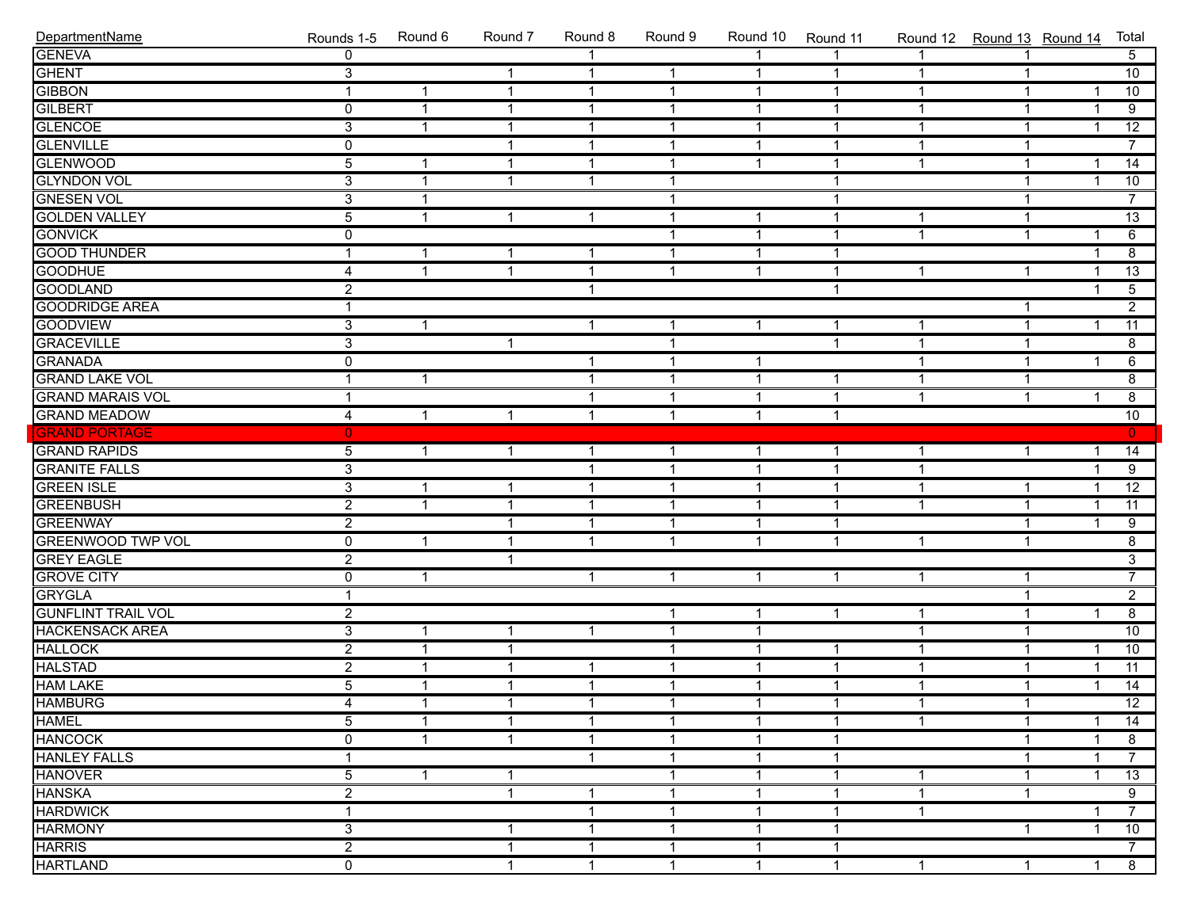| DepartmentName            | Rounds 1-5              | Round 6        | Round 7              | Round 8        | Round 9        | Round 10     | Round 11       | Round 12 Round 13 Round 14 |              |                | Total           |
|---------------------------|-------------------------|----------------|----------------------|----------------|----------------|--------------|----------------|----------------------------|--------------|----------------|-----------------|
| <b>GENEVA</b>             | $\Omega$                |                |                      |                |                |              |                |                            |              |                | 5 <sup>7</sup>  |
| GHENT                     | $\overline{3}$          |                | $\mathbf{1}$         | $\mathbf{1}$   | $\mathbf{1}$   | $\mathbf{1}$ | $\mathbf{1}$   | $\mathbf{1}$               | -1           |                | 10              |
| <b>GIBBON</b>             | $\overline{\mathbf{1}}$ | $\mathbf{1}$   | $\mathbf{1}$         | $\mathbf{1}$   | $\mathbf{1}$   | $\mathbf{1}$ | $\overline{1}$ | $\mathbf{1}$               | 1            | 1              | 10              |
| <b>GILBERT</b>            | $\overline{0}$          | $\mathbf{1}$   | $\mathbf{1}$         | $\mathbf{1}$   | $\mathbf{1}$   | $\mathbf{1}$ | $\overline{1}$ | $\mathbf{1}$               | $\mathbf{1}$ | $\mathbf 1$    | $\overline{9}$  |
| <b>GLENCOE</b>            | $\overline{3}$          | $\mathbf{1}$   | $\mathbf{1}$         | $\mathbf{1}$   | $\mathbf{1}$   | $\mathbf{1}$ | $\overline{1}$ | $\mathbf{1}$               | $\mathbf{1}$ | $\mathbf{1}$   | $\overline{12}$ |
| <b>GLENVILLE</b>          | $\overline{0}$          |                | $\mathbf{1}$         | $\mathbf{1}$   | $\mathbf{1}$   | $\mathbf{1}$ | $\overline{1}$ | $\mathbf{1}$               | $\mathbf{1}$ |                | $\overline{7}$  |
| <b>GLENWOOD</b>           | $\overline{5}$          | $\mathbf{1}$   | $\mathbf{1}$         | $\mathbf{1}$   | $\mathbf{1}$   | $\mathbf{1}$ | $\overline{1}$ | $\mathbf{1}$               | $\mathbf 1$  | $\overline{1}$ | $\overline{14}$ |
| <b>GLYNDON VOL</b>        | $\overline{3}$          | $\mathbf{1}$   | $\mathbf{1}$         | $\mathbf{1}$   | $\mathbf{1}$   |              | $\overline{1}$ |                            | $\mathbf{1}$ | $\mathbf 1$    | $\overline{10}$ |
| <b>GNESEN VOL</b>         | $\overline{3}$          | $\mathbf{1}$   |                      |                | $\mathbf{1}$   |              | $\mathbf{1}$   |                            | $\mathbf{1}$ |                | $\overline{7}$  |
| <b>GOLDEN VALLEY</b>      | $\overline{5}$          | $\mathbf{1}$   | $\mathbf{1}$         | $\mathbf{1}$   | $\mathbf{1}$   | $\mathbf{1}$ | $\mathbf{1}$   | $\mathbf{1}$               | $\mathbf{1}$ |                | $\overline{13}$ |
| <b>GONVICK</b>            | $\overline{0}$          |                |                      |                | $\mathbf{1}$   | $\mathbf{1}$ | $\overline{1}$ | $\mathbf{1}$               | $\mathbf{1}$ | $\mathbf{1}$   | 6               |
| <b>GOOD THUNDER</b>       | 1                       | $\mathbf{1}$   | $\mathbf{1}$         | $\mathbf{1}$   | $\mathbf{1}$   | $\mathbf{1}$ | $\overline{1}$ |                            |              | 1              | $\overline{8}$  |
| <b>GOODHUE</b>            | 4                       | $\mathbf{1}$   | $\mathbf{1}$         | $\mathbf{1}$   | $\mathbf{1}$   | $\mathbf{1}$ | $\overline{1}$ | $\mathbf{1}$               | $\mathbf{1}$ |                | $\overline{13}$ |
| <b>GOODLAND</b>           | $\overline{2}$          |                |                      | $\mathbf{1}$   |                |              | $\mathbf{1}$   |                            |              |                | $\overline{5}$  |
| <b>GOODRIDGE AREA</b>     | $\overline{\mathbf{1}}$ |                |                      |                |                |              |                |                            | $\mathbf{1}$ |                | $\overline{2}$  |
| <b>GOODVIEW</b>           | $\overline{3}$          | $\mathbf{1}$   |                      | $\mathbf{1}$   | $\mathbf{1}$   | $\mathbf{1}$ | $\mathbf{1}$   | $\mathbf{1}$               | $\mathbf{1}$ | $\mathbf{1}$   | $\overline{11}$ |
| <b>GRACEVILLE</b>         | $\overline{3}$          |                | $\mathbf{1}$         |                | $\mathbf{1}$   |              | $\mathbf{1}$   | $\mathbf{1}$               | $\mathbf{1}$ |                | $\overline{8}$  |
| <b>GRANADA</b>            | $\overline{0}$          |                |                      | 1              | $\mathbf{1}$   | $\mathbf{1}$ |                | $\overline{1}$             | $\mathbf{1}$ | $\mathbf{1}$   | $\overline{6}$  |
| <b>GRAND LAKE VOL</b>     | 1                       | $\mathbf{1}$   |                      | $\mathbf{1}$   | $\overline{1}$ | $\mathbf{1}$ | $\mathbf{1}$   | $\mathbf{1}$               | $\mathbf{1}$ |                | $\overline{8}$  |
| <b>GRAND MARAIS VOL</b>   | 1                       |                |                      | $\overline{1}$ | $\mathbf{1}$   | $\mathbf{1}$ | $\overline{1}$ | $\mathbf{1}$               | $\mathbf{1}$ | $\overline{1}$ | $\overline{8}$  |
| <b>GRAND MEADOW</b>       | 4                       | $\mathbf{1}$   | $\mathbf{1}$         | $\mathbf{1}$   | $\mathbf{1}$   | $\mathbf{1}$ | $\overline{1}$ |                            |              |                | $\overline{10}$ |
| <b>GRAND PORTAGE</b>      | $\mathbf{0}$            |                |                      |                |                |              |                |                            |              |                | $\overline{0}$  |
| <b>GRAND RAPIDS</b>       | $\overline{5}$          | $\mathbf{1}$   | $\mathbf{1}$         | $\mathbf{1}$   | $\mathbf{1}$   | $\mathbf{1}$ | $\mathbf{1}$   | $\mathbf{1}$               | $\mathbf{1}$ | 1              | $\overline{14}$ |
| <b>GRANITE FALLS</b>      | $\overline{3}$          |                |                      | $\mathbf{1}$   | $\overline{1}$ | $\mathbf{1}$ | $\overline{1}$ | $\mathbf{1}$               |              |                | $\overline{9}$  |
| <b>GREEN ISLE</b>         | $\overline{3}$          | $\mathbf{1}$   | $\mathbf{1}$         | $\mathbf{1}$   | $\mathbf{1}$   | $\mathbf{1}$ | $\overline{1}$ | $\mathbf{1}$               | $\mathbf{1}$ |                | $\overline{12}$ |
| <b>GREENBUSH</b>          | $\overline{2}$          | $\mathbf{1}$   | $\mathbf{1}$         | $\mathbf{1}$   | $\mathbf{1}$   | $\mathbf{1}$ | $\overline{1}$ | $\mathbf 1$                | $\mathbf{1}$ | $\mathbf 1$    | $\overline{11}$ |
| <b>GREENWAY</b>           | $\overline{2}$          |                | $\mathbf{1}$         | $\mathbf{1}$   | $\mathbf{1}$   | $\mathbf{1}$ | $\overline{1}$ |                            | $\mathbf{1}$ | 1              | $\overline{9}$  |
| <b>GREENWOOD TWP VOL</b>  | $\overline{0}$          | $\mathbf{1}$   | $\mathbf{1}$         | $\mathbf{1}$   | $\mathbf{1}$   | $\mathbf{1}$ | $\mathbf{1}$   | $\mathbf{1}$               | $\mathbf{1}$ |                | $\overline{8}$  |
| <b>GREY EAGLE</b>         | $\overline{2}$          |                | $\mathbf{1}$         |                |                |              |                |                            |              |                | $\overline{3}$  |
| <b>GROVE CITY</b>         | $\overline{\textbf{0}}$ | $\mathbf{1}$   |                      | $\mathbf{1}$   | $\mathbf 1$    | $\mathbf{1}$ | $\overline{1}$ | $\mathbf{1}$               | $\mathbf{1}$ |                | $\overline{7}$  |
| <b>GRYGLA</b>             | $\overline{\mathbf{1}}$ |                |                      |                |                |              |                |                            | $\mathbf{1}$ |                | $\overline{2}$  |
| <b>GUNFLINT TRAIL VOL</b> | $\overline{2}$          |                |                      |                | 1              | $\mathbf{1}$ | $\overline{1}$ | 1                          | $\mathbf{1}$ | 1              | $\overline{8}$  |
| <b>HACKENSACK AREA</b>    | $\overline{3}$          | $\mathbf{1}$   | $\mathbf{1}$         | $\mathbf{1}$   | $\mathbf{1}$   | $\mathbf{1}$ |                | $\mathbf{1}$               | $\mathbf{1}$ |                | 10              |
| <b>HALLOCK</b>            | $\overline{2}$          | $\mathbf{1}$   | $\mathbf{1}$         |                | $\mathbf{1}$   | $\mathbf{1}$ | $\mathbf{1}$   | $\mathbf{1}$               | $\mathbf{1}$ | $\mathbf{1}$   | 10              |
| <b>HALSTAD</b>            | $\overline{2}$          | $\mathbf{1}$   | $\mathbf{1}$         | $\mathbf{1}$   | $\mathbf{1}$   | $\mathbf{1}$ | $\overline{1}$ | $\mathbf{1}$               | $\mathbf{1}$ | $\overline{1}$ | 11              |
| <b>HAM LAKE</b>           | $\overline{5}$          | $\overline{1}$ | $\mathbf{1}$         | $\mathbf{1}$   | $\mathbf{1}$   | $\mathbf{1}$ | $\overline{1}$ | $\mathbf{1}$               | $\mathbf{1}$ | $\mathbf{1}$   | $\overline{14}$ |
| <b>HAMBURG</b>            | 4                       | $\mathbf{1}$   | $\blacktriangleleft$ | $\mathbf{1}$   | $\mathbf{1}$   | $\mathbf 1$  | $\overline{1}$ | $\mathbf{1}$               | $\mathbf{1}$ |                | $\overline{12}$ |
| <b>HAMEL</b>              | 5                       | 1              | $\mathbf 1$          | -1             | -1             | 1            | $\mathbf 1$    | 1                          | $\mathbf 1$  | -1             | 14              |
| <b>HANCOCK</b>            | $\mathbf 0$             | $\mathbf{1}$   | $\mathbf{1}$         | 1              | -1             | 1            | 1              |                            | 1            | -1             | 8               |
| <b>HANLEY FALLS</b>       | 1                       |                |                      | -1             | -1             | 1            | $\mathbf 1$    |                            | 1            |                | $\overline{7}$  |
| <b>HANOVER</b>            | 5                       | $\mathbf{1}$   | 1                    |                | 1              | 1            | $\mathbf 1$    | 1                          | 1            |                | 13              |
| <b>HANSKA</b>             | $\overline{2}$          |                | 1                    | 1              | 1              | 1            | 1              | 1                          | -1           |                | 9               |
| <b>HARDWICK</b>           | 1                       |                |                      | -1             | -1             | 1            | 1              | -1                         |              |                | $\overline{7}$  |
| <b>HARMONY</b>            | 3                       |                | 1                    | 1              | -1             | 1            | -1             |                            | $\mathbf{1}$ |                | 10              |
| <b>HARRIS</b>             | $\overline{2}$          |                | 1                    | -1             | 1              | 1            | 1              |                            |              |                | $\overline{7}$  |
| <b>HARTLAND</b>           | $\overline{0}$          |                | $\mathbf{1}$         | $\mathbf{1}$   | $\mathbf{1}$   | $\mathbf{1}$ | $\mathbf{1}$   | $\mathbf{1}$               | $\mathbf 1$  | 1              | $\overline{8}$  |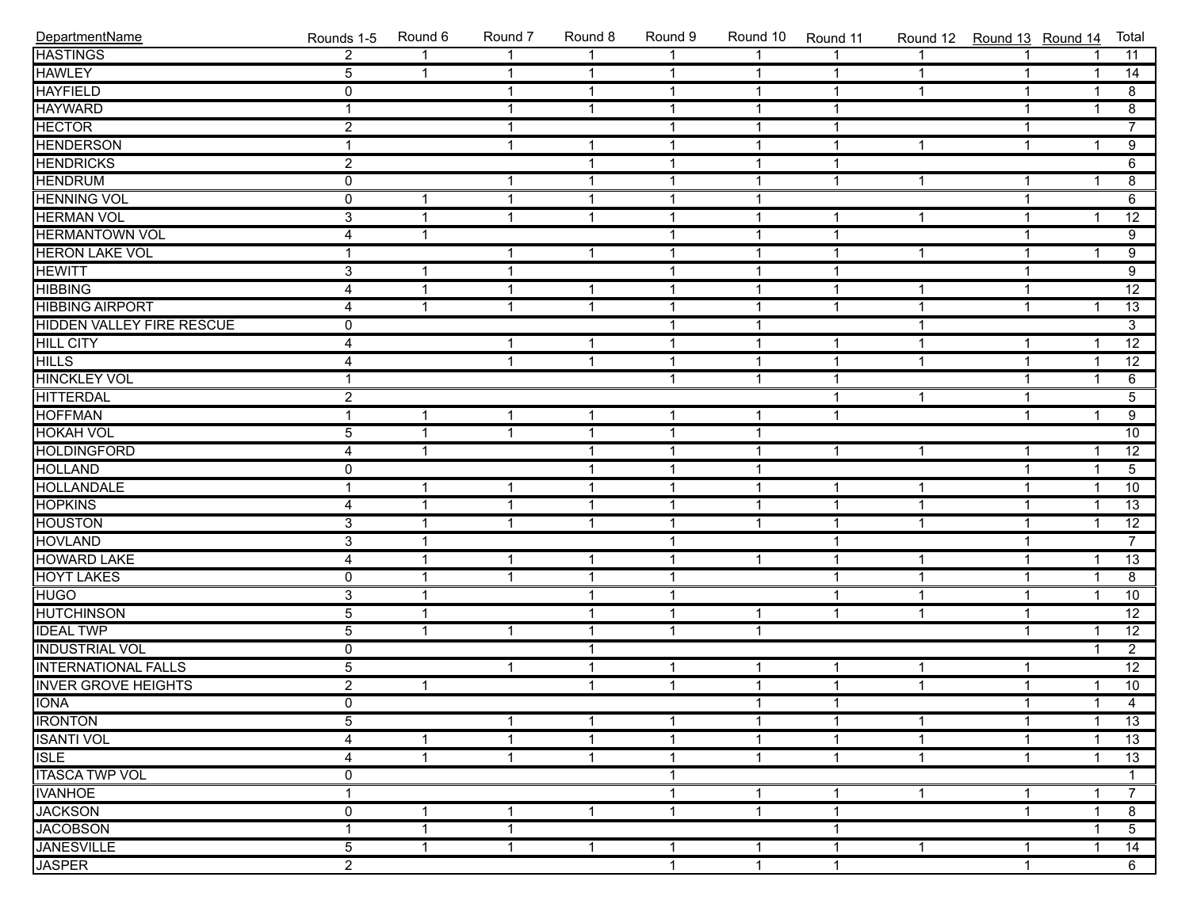| DepartmentName                   | Rounds 1-5     | Round 6        | Round 7                 | Round 8      | Round 9                 | Round 10       | Round 11       |              | Round 12 Round 13 Round 14 |                         | Total           |
|----------------------------------|----------------|----------------|-------------------------|--------------|-------------------------|----------------|----------------|--------------|----------------------------|-------------------------|-----------------|
| <b>HASTINGS</b>                  | $\overline{2}$ | 1              | $\overline{1}$          | $\mathbf{1}$ | 1                       | $\mathbf{1}$   | $\mathbf{1}$   | $\mathbf{1}$ | $\mathbf{1}$               | $\overline{1}$          | 11              |
| <b>HAWLEY</b>                    | $\overline{5}$ | $\mathbf{1}$   | $\mathbf{1}$            | $\mathbf{1}$ | $\mathbf{1}$            | $\mathbf{1}$   | $\mathbf{1}$   | $\mathbf{1}$ | $\mathbf{1}$               | $\overline{1}$          | $\overline{14}$ |
| <b>HAYFIELD</b>                  | $\overline{0}$ |                | $\mathbf{1}$            | $\mathbf{1}$ | $\mathbf{1}$            | $\mathbf{1}$   | $\mathbf{1}$   | $\mathbf{1}$ | $\mathbf{1}$               | $\overline{1}$          | $\overline{8}$  |
| <b>HAYWARD</b>                   | $\mathbf{1}$   |                | 1                       | $\mathbf{1}$ | $\overline{1}$          | $\mathbf 1$    | $\mathbf{1}$   |              | $\mathbf{1}$               | $\overline{1}$          | $\overline{8}$  |
| <b>HECTOR</b>                    | $\overline{2}$ |                | $\overline{\mathbf{1}}$ |              | $\overline{1}$          | $\overline{1}$ | $\mathbf{1}$   |              | $\mathbf{1}$               |                         | $\overline{7}$  |
| <b>HENDERSON</b>                 | $\mathbf{1}$   |                | $\overline{1}$          | $\mathbf{1}$ | $\overline{1}$          | $\mathbf{1}$   | $\mathbf{1}$   | $\mathbf 1$  | $\mathbf{1}$               | $\overline{1}$          | $\overline{9}$  |
| <b>HENDRICKS</b>                 | $\overline{2}$ |                |                         | $\mathbf{1}$ | $\overline{1}$          | $\mathbf{1}$   | $\mathbf{1}$   |              |                            |                         | $\overline{6}$  |
| <b>HENDRUM</b>                   | $\overline{0}$ |                | $\mathbf{1}$            | $\mathbf{1}$ | $\mathbf{1}$            | $\mathbf{1}$   | $\mathbf{1}$   | $\mathbf{1}$ | $\mathbf{1}$               | $\overline{1}$          | $\overline{8}$  |
| <b>HENNING VOL</b>               | $\overline{0}$ | $\overline{1}$ | $\mathbf{1}$            | $\mathbf{1}$ | $\overline{1}$          | $\mathbf{1}$   |                |              | $\mathbf{1}$               |                         | $\overline{6}$  |
| <b>HERMAN VOL</b>                | $\overline{3}$ | 1              | $\overline{1}$          | $\mathbf{1}$ | $\overline{1}$          | $\mathbf 1$    | $\mathbf{1}$   | $\mathbf{1}$ | $\mathbf{1}$               | $\overline{1}$          | $\overline{12}$ |
| <b>HERMANTOWN VOL</b>            | 4              | 1              |                         |              | $\overline{1}$          | $\overline{1}$ | $\mathbf{1}$   |              | $\mathbf{1}$               |                         | $\overline{9}$  |
| <b>HERON LAKE VOL</b>            | $\mathbf{1}$   |                | $\overline{1}$          | $\mathbf{1}$ | $\overline{1}$          | $\mathbf{1}$   | $\mathbf{1}$   | $\mathbf{1}$ | $\mathbf{1}$               | $\overline{1}$          | $\overline{9}$  |
| <b>HEWITT</b>                    | $\overline{3}$ | $\mathbf{1}$   | $\mathbf{1}$            |              | $\overline{1}$          | $\mathbf{1}$   | $\mathbf{1}$   |              | $\mathbf{1}$               |                         | $\overline{9}$  |
| <b>HIBBING</b>                   | $\overline{4}$ | $\mathbf{1}$   | $\mathbf{1}$            | $\mathbf{1}$ | $\overline{1}$          | $\mathbf{1}$   | $\mathbf{1}$   | $\mathbf{1}$ | $\mathbf{1}$               |                         | $\overline{12}$ |
| <b>HIBBING AIRPORT</b>           | 4              | 1              | $\overline{1}$          | $\mathbf{1}$ | $\mathbf{1}$            | $\mathbf 1$    | $\mathbf{1}$   | $\mathbf{1}$ | $\mathbf{1}$               | $\overline{\mathbf{1}}$ | 13              |
| <b>HIDDEN VALLEY FIRE RESCUE</b> | 0              |                |                         |              | $\overline{1}$          | $\mathbf 1$    |                | 1            |                            |                         | $\overline{3}$  |
| <b>HILL CITY</b>                 | 4              |                | $\overline{1}$          | $\mathbf{1}$ | $\overline{1}$          | $\overline{1}$ | $\mathbf{1}$   | $\mathbf{1}$ | $\mathbf{1}$               | $\overline{\mathbf{1}}$ | $\overline{12}$ |
| <b>HILLS</b>                     | 4              |                | $\overline{1}$          | $\mathbf{1}$ | $\overline{1}$          | $\mathbf{1}$   | $\mathbf{1}$   | $\mathbf{1}$ | $\mathbf{1}$               | $\overline{1}$          | $\overline{12}$ |
| <b>HINCKLEY VOL</b>              | $\mathbf{1}$   |                |                         |              | $\overline{1}$          | $\mathbf{1}$   | $\overline{1}$ |              | $\mathbf{1}$               | $\overline{1}$          | $\overline{6}$  |
| <b>HITTERDAL</b>                 | $\overline{2}$ |                |                         |              |                         |                | $\mathbf{1}$   | $\mathbf{1}$ | $\mathbf{1}$               |                         | $\overline{5}$  |
| <b>HOFFMAN</b>                   | $\mathbf 1$    | 1              | $\mathbf{1}$            | $\mathbf{1}$ | $\overline{\mathbf{1}}$ | $\mathbf 1$    | $\mathbf{1}$   |              | $\mathbf{1}$               | $\overline{1}$          | $\overline{9}$  |
| <b>HOKAH VOL</b>                 | $\overline{5}$ | 1              | 1                       | $\mathbf{1}$ | $\overline{1}$          | $\mathbf 1$    |                |              |                            |                         | $\overline{10}$ |
| <b>HOLDINGFORD</b>               | $\overline{4}$ | 1              |                         | $\mathbf{1}$ | $\overline{1}$          | $\mathbf 1$    | $\mathbf{1}$   | $\mathbf 1$  | $\mathbf{1}$               | $\overline{\mathbf{1}}$ | $\overline{12}$ |
| <b>HOLLAND</b>                   | $\overline{0}$ |                |                         | $\mathbf{1}$ | $\overline{1}$          | $\mathbf{1}$   |                |              | $\mathbf{1}$               | $\overline{1}$          | $\overline{5}$  |
| <b>HOLLANDALE</b>                | $\mathbf{1}$   | $\mathbf{1}$   | $\mathbf{1}$            | $\mathbf{1}$ | $\mathbf{1}$            | $\mathbf{1}$   | $\mathbf{1}$   | $\mathbf{1}$ | $\mathbf{1}$               | $\overline{1}$          | 10              |
| <b>HOPKINS</b>                   | 4              | $\overline{1}$ | $\mathbf{1}$            | $\mathbf{1}$ | $\mathbf{1}$            | $\mathbf{1}$   | $\mathbf{1}$   | $\mathbf{1}$ | $\mathbf{1}$               | $\overline{\mathbf{1}}$ | 13              |
| <b>HOUSTON</b>                   | 3              | 1              | $\mathbf{1}$            | $\mathbf{1}$ | $\overline{1}$          | $\mathbf 1$    | $\mathbf{1}$   | $\mathbf 1$  | 1                          | $\overline{1}$          | $\overline{12}$ |
| <b>HOVLAND</b>                   | $\overline{3}$ | 1              |                         |              | $\overline{\mathbf{1}}$ |                | $\mathbf{1}$   |              | $\mathbf{1}$               |                         | $\overline{7}$  |
| <b>HOWARD LAKE</b>               | $\overline{4}$ | 1              | $\mathbf 1$             | $\mathbf{1}$ | $\overline{1}$          | $\mathbf{1}$   | $\mathbf{1}$   | $\mathbf{1}$ | $\mathbf{1}$               | $\overline{\mathbf{1}}$ | $\overline{13}$ |
| <b>HOYT LAKES</b>                | $\overline{0}$ | $\overline{1}$ | $\mathbf{1}$            | $\mathbf{1}$ | $\mathbf{1}$            |                | $\mathbf{1}$   | $\mathbf{1}$ | $\mathbf{1}$               | $\overline{1}$          | $\overline{8}$  |
| <b>HUGO</b>                      | $\overline{3}$ | $\mathbf{1}$   |                         | $\mathbf{1}$ | $\mathbf{1}$            |                | $\mathbf{1}$   | $\mathbf{1}$ | $\mathbf{1}$               | $\overline{1}$          | 10              |
| <b>HUTCHINSON</b>                | $\overline{5}$ | 1              |                         | $\mathbf{1}$ | $\overline{1}$          | $\mathbf{1}$   | $\mathbf{1}$   | $\mathbf{1}$ | $\mathbf{1}$               |                         | $\overline{12}$ |
| <b>IDEAL TWP</b>                 | $\overline{5}$ | 1              | $\overline{1}$          | $\mathbf{1}$ | $\overline{\mathbf{1}}$ | $\overline{1}$ |                |              | $\mathbf{1}$               | $\overline{\mathbf{1}}$ | $\overline{12}$ |
| <b>INDUSTRIAL VOL</b>            | $\overline{0}$ |                |                         | $\mathbf{1}$ |                         |                |                |              |                            | $\overline{1}$          | $\overline{2}$  |
| <b>INTERNATIONAL FALLS</b>       | $\overline{5}$ |                | $\overline{1}$          | $\mathbf{1}$ | $\overline{1}$          | $\mathbf 1$    | $\mathbf{1}$   | 1            | $\mathbf{1}$               |                         | $\overline{12}$ |
| <b>INVER GROVE HEIGHTS</b>       | $\overline{2}$ | $\mathbf{1}$   |                         | $\mathbf{1}$ | $\overline{1}$          | $\mathbf{1}$   | $\mathbf{1}$   | $\mathbf{1}$ | $\mathbf{1}$               | $\mathbf{1}$            | $\overline{10}$ |
| <b>IONA</b>                      | $\overline{0}$ |                |                         |              |                         | $\mathbf{1}$   | $\mathbf{1}$   |              | $\overline{1}$             |                         | $1 \quad 4$     |
| <b>IRONTON</b>                   | 5              |                | -1                      | $\mathbf 1$  | $\mathbf 1$             | 1              | $\mathbf{1}$   | $\mathbf 1$  | $\mathbf{1}$               | $\overline{\mathbf{1}}$ | $\overline{13}$ |
| <b>ISANTI VOL</b>                | 4              | 1              | 1                       | $\mathbf{1}$ | $\overline{1}$          | $\mathbf 1$    | $\mathbf{1}$   | $\mathbf 1$  | 1                          |                         | 13              |
| <b>ISLE</b>                      | 4              | $\mathbf{1}$   | $\mathbf 1$             | $\mathbf{1}$ | 1                       | $\mathbf 1$    | $\mathbf{1}$   | $\mathbf 1$  | $\mathbf{1}$               |                         | 13              |
| <b>ITASCA TWP VOL</b>            | 0              |                |                         |              | $\overline{\mathbf{1}}$ |                |                |              |                            |                         |                 |
| <b>IVANHOE</b>                   | $\overline{1}$ |                |                         |              | $\overline{\mathbf{1}}$ | $\mathbf{1}$   | $\mathbf{1}$   | $\mathbf{1}$ | $\mathbf{1}$               | -1                      | $\overline{7}$  |
| <b>JACKSON</b>                   | 0              | 1              | $\mathbf 1$             | $\mathbf{1}$ | $\mathbf{1}$            | $\mathbf{1}$   | $\mathbf{1}$   |              | $\mathbf{1}$               | $\overline{\mathbf{1}}$ | $\overline{8}$  |
| <b>JACOBSON</b>                  | $\overline{1}$ | 1              | $\overline{1}$          |              |                         |                | $\mathbf{1}$   |              |                            | -1                      | $\overline{5}$  |
| <b>JANESVILLE</b>                | $\overline{5}$ | $\mathbf{1}$   | $\mathbf 1$             | $\mathbf{1}$ | $\overline{\mathbf{1}}$ | $\mathbf{1}$   | $\mathbf{1}$   | $\mathbf{1}$ | $\mathbf{1}$               | $\overline{\mathbf{1}}$ | 14              |
| <b>JASPER</b>                    | $\overline{2}$ |                |                         |              | $\overline{\mathbf{1}}$ | $\mathbf{1}$   | $\mathbf{1}$   |              | $\mathbf{1}$               |                         | 6               |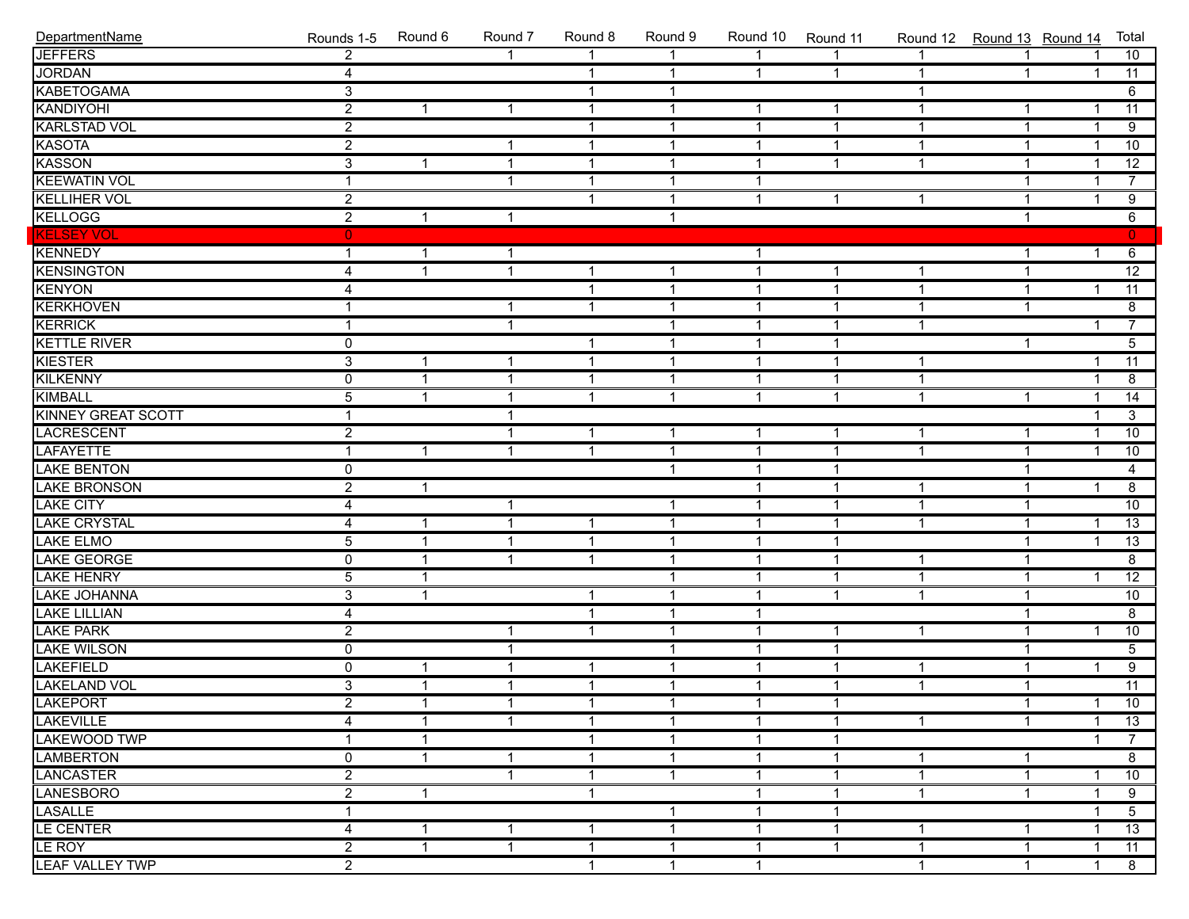| DepartmentName            | Rounds 1-5     | Round 6              | Round 7                 | Round 8      | Round 9        | Round 10       | Round 11       | Round 12 Round 13 Round 14 |                |                         | Total                                   |
|---------------------------|----------------|----------------------|-------------------------|--------------|----------------|----------------|----------------|----------------------------|----------------|-------------------------|-----------------------------------------|
| <b>JEFFERS</b>            | $\overline{2}$ |                      |                         |              |                |                |                |                            |                |                         | 10                                      |
| <b>JORDAN</b>             | $\overline{4}$ |                      |                         | $\mathbf{1}$ | $\mathbf{1}$   | $\mathbf{1}$   | $\mathbf{1}$   |                            | $\mathbf{1}$   | $\overline{1}$          | 11                                      |
| <b>KABETOGAMA</b>         | $\overline{3}$ |                      |                         | $\mathbf{1}$ | $\mathbf{1}$   |                |                | 1                          |                |                         | 6                                       |
| KANDIYOHI                 | $\overline{2}$ | $\mathbf{1}$         | $\overline{1}$          | $\mathbf{1}$ | $\mathbf{1}$   | $\mathbf{1}$   | $\mathbf{1}$   | $\mathbf 1$                | $\mathbf{1}$   | -1                      | $\overline{11}$                         |
| <b>KARLSTAD VOL</b>       | $\overline{2}$ |                      |                         | $\mathbf{1}$ | $\mathbf{1}$   | $\mathbf{1}$   | $\overline{1}$ | $\mathbf 1$                | $\mathbf{1}$   | $\overline{1}$          | $\overline{9}$                          |
| <b>KASOTA</b>             | $\overline{2}$ |                      | -1                      | $\mathbf{1}$ | $\mathbf{1}$   | 1              | $\overline{1}$ | $\mathbf 1$                | $\mathbf{1}$   | $\overline{1}$          | 10                                      |
| <b>KASSON</b>             | $\overline{3}$ | $\mathbf{1}$         | $\overline{\mathbf{1}}$ | $\mathbf{1}$ | $\mathbf{1}$   | 1              | $\mathbf{1}$   | $\mathbf 1$                | $\mathbf{1}$   | $\overline{1}$          | $\overline{12}$                         |
| <b>KEEWATIN VOL</b>       | $\mathbf{1}$   |                      | $\overline{\mathbf{1}}$ | $\mathbf{1}$ | $\mathbf{1}$   | 1              |                |                            | $\mathbf{1}$   | $\overline{1}$          | $\overline{7}$                          |
| <b>KELLIHER VOL</b>       | $\overline{2}$ |                      |                         | $\mathbf{1}$ | $\mathbf{1}$   | 1              | $\mathbf{1}$   | 1                          | $\mathbf{1}$   | $\overline{1}$          | $\overline{9}$                          |
| <b>KELLOGG</b>            | $\overline{2}$ | $\mathbf{1}$         | $\mathbf{1}$            |              | $\overline{1}$ |                |                |                            | $\mathbf{1}$   |                         | $\begin{array}{c c} 6 \\ 0 \end{array}$ |
| <b>KELSEY VOL</b>         | $\mathbf{0}$   |                      |                         |              |                |                |                |                            |                |                         |                                         |
| KENNEDY                   | $\mathbf{1}$   | $\mathbf{1}$         | -1                      |              |                | $\mathbf{1}$   |                |                            | $\mathbf{1}$   | $\overline{1}$          | 6                                       |
| <b>KENSINGTON</b>         | 4              | 1                    | $\overline{1}$          | $\mathbf{1}$ | $\mathbf{1}$   | $\mathbf{1}$   | $\mathbf{1}$   | 1                          | $\mathbf{1}$   |                         | $\overline{12}$                         |
| <b>KENYON</b>             | 4              |                      |                         | $\mathbf{1}$ | $\mathbf{1}$   | 1              | $\mathbf{1}$   | 1                          | $\mathbf{1}$   | $\overline{1}$          | $\overline{11}$                         |
| <b>KERKHOVEN</b>          | $\overline{1}$ |                      | -1                      | $\mathbf{1}$ | $\mathbf{1}$   | 1              | $\mathbf 1$    | 1                          | $\mathbf{1}$   |                         | $\overline{8}$                          |
| <b>KERRICK</b>            | $\mathbf{1}$   |                      | $\overline{1}$          |              | $\mathbf{1}$   | $\mathbf{1}$   | $\mathbf{1}$   | $\mathbf{1}$               |                | $\overline{\mathbf{1}}$ | $\overline{7}$                          |
| <b>KETTLE RIVER</b>       | $\overline{0}$ |                      |                         | $\mathbf{1}$ | $\mathbf{1}$   | $\mathbf{1}$   | $\overline{1}$ |                            | $\mathbf{1}$   |                         | $\overline{5}$                          |
| <b>KIESTER</b>            | $\overline{3}$ | 1                    | $\overline{\mathbf{1}}$ | $\mathbf{1}$ | $\mathbf{1}$   | 1              | $\overline{1}$ | 1                          |                | -1                      | $\overline{11}$                         |
| <b>KILKENNY</b>           | $\overline{0}$ | 1                    | $\overline{\mathbf{1}}$ | $\mathbf{1}$ | $\mathbf{1}$   | $\overline{1}$ | $\overline{1}$ | 1                          |                | -1                      | $\overline{8}$                          |
| <b>KIMBALL</b>            | $\overline{5}$ | 1                    | $\overline{\mathbf{1}}$ | $\mathbf{1}$ | $\mathbf{1}$   | $\mathbf{1}$   | $\mathbf{1}$   | $\mathbf 1$                | $\mathbf{1}$   | $\overline{\mathbf{1}}$ | $\overline{14}$                         |
| KINNEY GREAT SCOTT        | $\mathbf{1}$   |                      | $\overline{\mathbf{1}}$ |              |                |                |                |                            |                | $\overline{1}$          | $\overline{3}$                          |
| LACRESCENT<br>LAFAYETTE   | $\overline{2}$ |                      | $\overline{\mathbf{1}}$ | $\mathbf{1}$ | $\mathbf{1}$   | $\mathbf{1}$   | $\mathbf 1$    | $\mathbf{1}$               | $\mathbf{1}$   | $\overline{1}$          | 10                                      |
|                           | $\mathbf{1}$   | $\mathbf{1}$         | $\overline{1}$          | $\mathbf{1}$ | $\mathbf{1}$   | $\mathbf{1}$   | $\overline{1}$ | $\mathbf{1}$               | $\mathbf{1}$   | $\overline{1}$          | 10                                      |
| <b>LAKE BENTON</b>        | $\overline{0}$ |                      |                         |              | $\mathbf{1}$   | $\mathbf{1}$   | $\overline{1}$ |                            | $\mathbf{1}$   |                         | $\overline{4}$                          |
|                           | $\overline{2}$ | $\mathbf{1}$         |                         |              |                | 1              | $\overline{1}$ | 1                          | $\mathbf{1}$   | $\overline{1}$          | $\overline{8}$                          |
| LAKE BRONSON<br>LAKE CITY | 4              |                      | $\overline{\mathbf{1}}$ |              | $\mathbf{1}$   | 1              | $\mathbf{1}$   | $\mathbf 1$                | $\mathbf{1}$   |                         | $\overline{10}$                         |
| LAKE CRYSTAL              | $\overline{4}$ | $\mathbf{1}$         | $\overline{\mathbf{1}}$ | $\mathbf{1}$ | $\mathbf{1}$   | $\mathbf{1}$   | $\mathbf 1$    | 1                          | $\mathbf{1}$   | $\overline{1}$          | $\overline{13}$                         |
| <b>LAKE ELMO</b>          | $\overline{5}$ | $\mathbf{1}$         | $\overline{1}$          | $\mathbf{1}$ | $\mathbf{1}$   | $\mathbf{1}$   | $\overline{1}$ |                            | $\mathbf{1}$   | $\overline{1}$          | $\overline{13}$                         |
| LAKE GEORGE<br>LAKE HENRY | $\overline{0}$ | $\mathbf{1}$         | $\overline{\mathbf{1}}$ | $\mathbf{1}$ | $\mathbf{1}$   | $\mathbf{1}$   | $\overline{1}$ | 1                          | $\mathbf{1}$   |                         | $\overline{8}$                          |
|                           | $\overline{5}$ | $\mathbf{1}$         |                         |              | $\mathbf{1}$   | 1              | $\overline{1}$ | 1                          | $\mathbf{1}$   | $\overline{\mathbf{1}}$ | $\overline{12}$                         |
| <b>LAKE JOHANNA</b>       | $\overline{3}$ | $\mathbf{1}$         |                         | $\mathbf{1}$ | $\mathbf{1}$   | 1              | $\mathbf{1}$   | $\mathbf 1$                | $\mathbf{1}$   |                         | 10                                      |
| <b>LAKE LILLIAN</b>       | 4              |                      |                         | $\mathbf{1}$ | $\mathbf{1}$   | $\mathbf{1}$   |                |                            | $\mathbf{1}$   |                         | $\overline{8}$                          |
| <b>LAKE PARK</b>          | $\overline{2}$ |                      | $\overline{1}$          | $\mathbf{1}$ | $\mathbf{1}$   | $\mathbf{1}$   | $\mathbf{1}$   | 1                          | $\mathbf{1}$   | $\overline{1}$          | 10                                      |
| LAKE WILSON<br>LAKEFIELD  | 0              |                      | $\overline{\mathbf{1}}$ |              | $\mathbf{1}$   | $\mathbf{1}$   | $\overline{1}$ |                            | $\mathbf{1}$   |                         | $\overline{5}$                          |
|                           | $\overline{0}$ | $\mathbf{1}$         | $\overline{\mathbf{1}}$ | $\mathbf{1}$ | $\mathbf{1}$   | $\mathbf{1}$   | $\mathbf{1}$   | 1                          | $\mathbf{1}$   | $\overline{1}$          | $\overline{9}$                          |
| <b>LAKELAND VOL</b>       | $\overline{3}$ | $\mathbf{1}$         | $\overline{\mathbf{1}}$ | $\mathbf{1}$ | $\mathbf{1}$   | $\mathbf{1}$   | $\overline{1}$ | $\mathbf 1$                | $\mathbf{1}$   |                         | $\overline{11}$                         |
| LAKEPORT<br>LAKEVILLE     | $\overline{2}$ | $\blacktriangleleft$ | $\mathbf{1}$            | $\mathbf{1}$ | 1              | $\mathbf{1}$   | $\overline{1}$ |                            | $\overline{1}$ | 1                       | 10                                      |
|                           | 4              | 1                    | -1                      | -1           | 1              | -1             | $\mathbf 1$    | 1                          | 1              | -1                      | 13                                      |
| LAKEWOOD TWP              | 1              | 1                    |                         | $\mathbf 1$  | $\mathbf 1$    | -1             | $\mathbf 1$    |                            |                | -1                      | $\overline{7}$                          |
| <b>LAMBERTON</b>          | 0              | 1                    | $\mathbf 1$             | $\mathbf 1$  | $\mathbf{1}$   | -1             | $\mathbf 1$    | 1                          | $\mathbf 1$    |                         | 8                                       |
| <b>LANCASTER</b>          | $\overline{2}$ |                      | $\overline{\mathbf{1}}$ | $\mathbf 1$  | $\mathbf{1}$   | -1             | $\mathbf{1}$   | 1                          | $\mathbf{1}$   | -1                      | 10                                      |
| <b>LANESBORO</b>          | $\overline{2}$ | $\mathbf{1}$         |                         | -1           |                | -1             | $\mathbf 1$    | 1                          | 1              | -1                      | 9                                       |
| <b>LASALLE</b>            | 1              |                      |                         |              | 1              | -1             | $\mathbf{1}$   |                            |                |                         | $\overline{5}$                          |
| <b>LE CENTER</b>          | 4              | 1                    | -1                      | -1           | $\mathbf 1$    | -1             | $\mathbf 1$    | 1                          | 1              | -1                      | 13                                      |
| LE ROY                    | $\overline{2}$ | 1                    | $\overline{\mathbf{1}}$ | $\mathbf{1}$ | $\mathbf{1}$   | $\mathbf{1}$   | $\mathbf{1}$   | 1                          | $\mathbf{1}$   | -1                      | 11                                      |
| <b>LEAF VALLEY TWP</b>    | $\overline{2}$ |                      |                         | $\mathbf{1}$ | $\mathbf{1}$   | $\mathbf{1}$   |                | 1                          | $\mathbf{1}$   | $\overline{1}$          | 8                                       |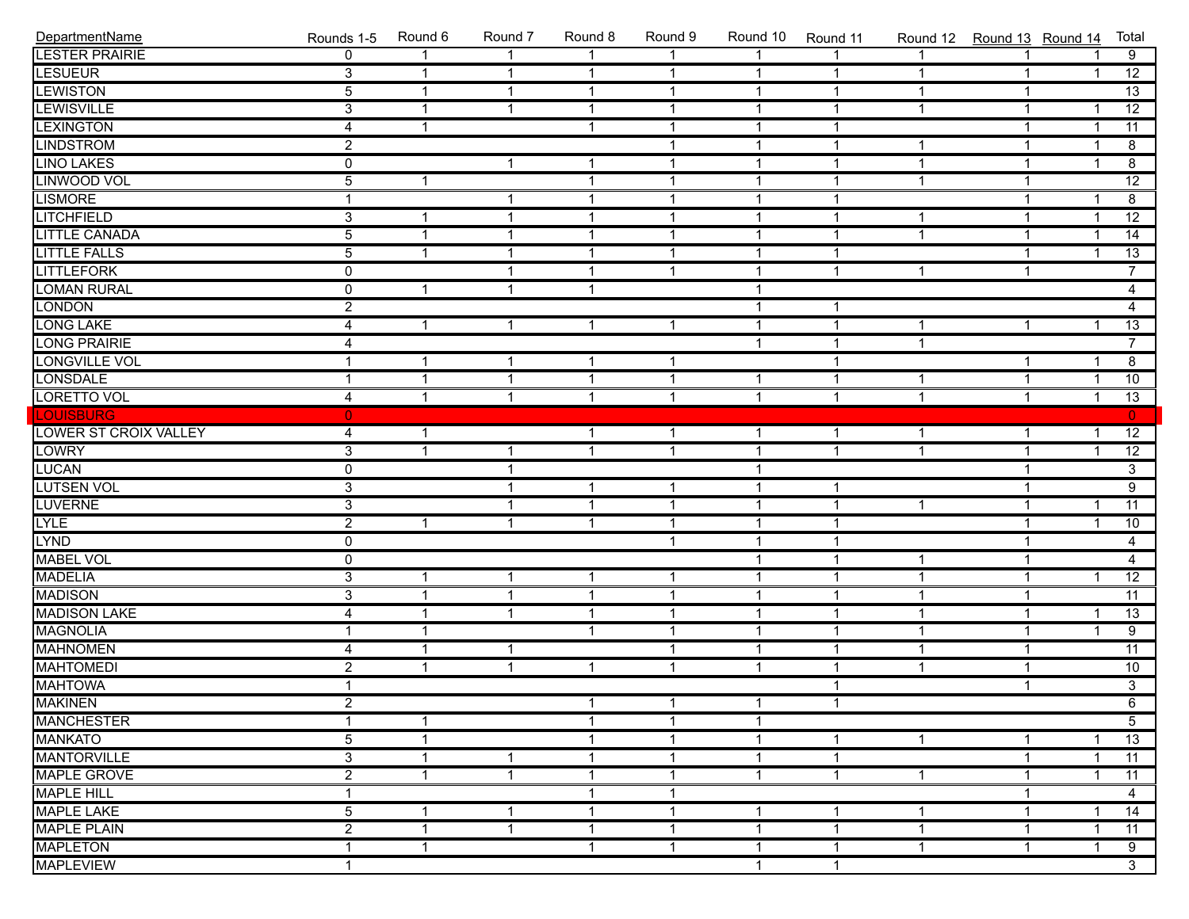| DepartmentName        | Rounds 1-5     | Round 6        | Round 7      | Round 8        | Round 9                 | Round 10     | Round 11     | Round 12 Round 13 Round 14 |                |                | Total           |
|-----------------------|----------------|----------------|--------------|----------------|-------------------------|--------------|--------------|----------------------------|----------------|----------------|-----------------|
| <b>LESTER PRAIRIE</b> | $\mathbf{0}$   | 1              | $\mathbf{1}$ | 1              | 1                       |              |              |                            |                |                | 9               |
| <b>LESUEUR</b>        | $\overline{3}$ | $\mathbf{1}$   | $\mathbf{1}$ | $\mathbf{1}$   | $\overline{1}$          | $\mathbf{1}$ | 1            | 1                          | $\mathbf{1}$   | $\mathbf{1}$   | $\overline{12}$ |
| <b>LEWISTON</b>       | $\overline{5}$ | $\mathbf{1}$   | $\mathbf{1}$ | $\mathbf{1}$   | $\overline{1}$          | $\mathbf{1}$ | $\mathbf{1}$ | $\mathbf{1}$               | $\mathbf{1}$   |                | $\overline{13}$ |
| <b>LEWISVILLE</b>     | $\overline{3}$ | $\mathbf{1}$   | $\mathbf{1}$ | $\overline{1}$ | $\overline{1}$          | $\mathbf 1$  | $\mathbf{1}$ | $\mathbf{1}$               | $\mathbf{1}$   | $\overline{1}$ | $\overline{12}$ |
| <b>LEXINGTON</b>      | $\overline{4}$ | $\mathbf{1}$   |              | $\mathbf{1}$   | $\overline{1}$          | $\mathbf 1$  | $\mathbf{1}$ |                            | $\mathbf{1}$   | $\overline{1}$ | $\overline{11}$ |
| <b>LINDSTROM</b>      | $\overline{2}$ |                |              |                | $\overline{1}$          | $\mathbf 1$  | $\mathbf{1}$ | $\mathbf{1}$               | $\mathbf{1}$   | $\overline{1}$ | $\overline{8}$  |
| <b>LINO LAKES</b>     | $\overline{0}$ |                | $\mathbf{1}$ | $\mathbf{1}$   | $\overline{1}$          | $\mathbf 1$  | $\mathbf{1}$ | $\mathbf{1}$               | $\mathbf{1}$   | $\overline{1}$ | $\overline{8}$  |
| LINWOOD VOL           | $\overline{5}$ | $\mathbf{1}$   |              | $\mathbf{1}$   | $\overline{1}$          | $\mathbf 1$  | $\mathbf{1}$ | $\mathbf{1}$               | $\mathbf{1}$   |                | $\overline{12}$ |
| <b>LISMORE</b>        | $\mathbf{1}$   |                | $\mathbf{1}$ | $\mathbf{1}$   | $\overline{1}$          | $\mathbf{1}$ | $\mathbf{1}$ |                            | $\mathbf{1}$   | $\overline{1}$ | $\overline{8}$  |
| <b>LITCHFIELD</b>     | $\overline{3}$ | $\mathbf{1}$   | $\mathbf{1}$ | $\overline{1}$ | $\overline{1}$          | $\mathbf{1}$ | $\mathbf{1}$ | $\mathbf{1}$               | $\mathbf{1}$   | $\overline{1}$ | $\overline{12}$ |
| <b>LITTLE CANADA</b>  | $\overline{5}$ | $\overline{1}$ | $\mathbf{1}$ | $\overline{1}$ | $\overline{1}$          | $\mathbf{1}$ | $\mathbf{1}$ | $\mathbf{1}$               | $\mathbf{1}$   | $\overline{1}$ | $\overline{14}$ |
| <b>LITTLE FALLS</b>   | $\overline{5}$ | $\overline{1}$ | $\mathbf{1}$ | $\overline{1}$ | $\overline{1}$          | $\mathbf{1}$ | $\mathbf{1}$ |                            | $\mathbf{1}$   | $\overline{1}$ | 13              |
| <b>LITTLEFORK</b>     | $\overline{0}$ |                | $\mathbf{1}$ | $\overline{1}$ | $\overline{1}$          | $\mathbf{1}$ | $\mathbf{1}$ | $\mathbf{1}$               | $\mathbf{1}$   |                | $\overline{7}$  |
| <b>LOMAN RURAL</b>    | $\overline{0}$ | $\mathbf{1}$   | $\mathbf{1}$ | $\mathbf{1}$   |                         | $\mathbf 1$  |              |                            |                |                | $\overline{4}$  |
| <b>LONDON</b>         | $\overline{2}$ |                |              |                |                         | $\mathbf{1}$ | 1            |                            |                |                | $\overline{4}$  |
| <b>LONG LAKE</b>      | $\overline{4}$ | $\mathbf{1}$   | $\mathbf{1}$ | $\mathbf{1}$   | $\overline{1}$          | $\mathbf 1$  | $\mathbf{1}$ | $\mathbf{1}$               | $\mathbf{1}$   | $\overline{1}$ | $\overline{13}$ |
| <b>LONG PRAIRIE</b>   | $\overline{4}$ |                |              |                |                         | $\mathbf{1}$ | $\mathbf{1}$ | $\mathbf{1}$               |                |                | $\overline{7}$  |
| <b>LONGVILLE VOL</b>  | $\mathbf{1}$   | $\mathbf{1}$   | 1            | $\mathbf{1}$   | $\overline{1}$          |              | 1            |                            | $\mathbf{1}$   | $\overline{1}$ | $\overline{8}$  |
| <b>LONSDALE</b>       | $\mathbf{1}$   | $\overline{1}$ | $\mathbf{1}$ | $\mathbf{1}$   | $\overline{1}$          | $\mathbf{1}$ | $\mathbf{1}$ | $\mathbf{1}$               | $\mathbf{1}$   | $\overline{1}$ | 10              |
| <b>LORETTO VOL</b>    | $\overline{4}$ | $\overline{1}$ | $\mathbf{1}$ | $\mathbf{1}$   | $\overline{1}$          | $\mathbf{1}$ | $\mathbf{1}$ | $\mathbf{1}$               | $\overline{1}$ | $\mathbf{1}$   | $\overline{13}$ |
| <b>LOUISBURG</b>      | $\overline{0}$ |                |              |                |                         |              |              |                            |                |                | $\mathbf{0}$    |
| LOWER ST CROIX VALLEY | 4              | $\mathbf{1}$   |              | $\mathbf{1}$   | $\overline{1}$          | $\mathbf{1}$ | $\mathbf{1}$ | $\mathbf{1}$               | $\mathbf{1}$   | $\overline{1}$ | 12              |
| <b>LOWRY</b>          | $\overline{3}$ | $\mathbf{1}$   | $\mathbf{1}$ | $\overline{1}$ | $\overline{1}$          | $\mathbf{1}$ | $\mathbf{1}$ | 1                          | $\mathbf{1}$   | $\overline{1}$ | $\overline{12}$ |
| <b>LUCAN</b>          | $\overline{0}$ |                | $\mathbf{1}$ |                |                         | $\mathbf{1}$ |              |                            | $\mathbf{1}$   |                | $\overline{3}$  |
| <b>LUTSEN VOL</b>     | $\overline{3}$ |                | $\mathbf{1}$ | $\mathbf{1}$   | $\overline{1}$          | $\mathbf{1}$ | 1            |                            | $\mathbf{1}$   |                | $\overline{9}$  |
| <b>LUVERNE</b>        | $\overline{3}$ |                | $\mathbf{1}$ | $\overline{1}$ | $\overline{1}$          | $\mathbf{1}$ | $\mathbf{1}$ | $\mathbf{1}$               | $\mathbf{1}$   | $\overline{1}$ | $\overline{11}$ |
| <b>LYLE</b>           | $\overline{2}$ | $\mathbf{1}$   | $\mathbf{1}$ | $\mathbf{1}$   | $\overline{1}$          | $\mathbf 1$  | $\mathbf{1}$ |                            | $\mathbf{1}$   | $\overline{1}$ | $\overline{10}$ |
| <b>LYND</b>           | $\overline{0}$ |                |              |                | $\overline{1}$          | $\mathbf 1$  | $\mathbf{1}$ |                            | $\mathbf{1}$   |                | $\overline{4}$  |
| <b>MABEL VOL</b>      | $\overline{0}$ |                |              |                |                         | $\mathbf{1}$ | $\mathbf{1}$ | $\mathbf{1}$               | $\mathbf{1}$   |                | $\overline{4}$  |
| <b>MADELIA</b>        | $\overline{3}$ | $\mathbf{1}$   | $\mathbf{1}$ | $\mathbf{1}$   | $\overline{1}$          | $\mathbf 1$  | $\mathbf{1}$ | $\mathbf{1}$               | $\mathbf{1}$   | $\overline{1}$ | $\overline{12}$ |
| <b>MADISON</b>        | $\overline{3}$ | $\mathbf{1}$   | $\mathbf{1}$ | $\mathbf{1}$   | $\overline{1}$          | $\mathbf 1$  | $\mathbf{1}$ | $\mathbf{1}$               | $\mathbf{1}$   |                | $\overline{11}$ |
| <b>MADISON LAKE</b>   | $\overline{4}$ | $\mathbf{1}$   | $\mathbf{1}$ | $\mathbf{1}$   | $\overline{1}$          | $\mathbf 1$  | $\mathbf{1}$ | $\mathbf{1}$               | $\mathbf{1}$   | $\overline{1}$ | $\overline{13}$ |
| <b>MAGNOLIA</b>       | $\mathbf{1}$   | $\mathbf{1}$   |              | $\mathbf{1}$   | $\overline{1}$          | $\mathbf{1}$ | $\mathbf{1}$ | $\mathbf{1}$               | $\mathbf{1}$   | $\overline{1}$ | $\overline{9}$  |
| <b>MAHNOMEN</b>       | $\overline{4}$ | $\overline{1}$ | $\mathbf{1}$ |                | $\overline{1}$          | $\mathbf{1}$ | $\mathbf{1}$ | $\mathbf{1}$               | $\mathbf{1}$   |                | 11              |
| <b>MAHTOMEDI</b>      | $\overline{2}$ | $\mathbf{1}$   | $\mathbf{1}$ | $\mathbf{1}$   | $\overline{1}$          | $\mathbf{1}$ | $\mathbf 1$  | $\mathbf{1}$               | $\mathbf{1}$   |                | 10              |
| <b>MAHTOWA</b>        | $\mathbf{1}$   |                |              |                |                         |              | $\mathbf{1}$ |                            | $\mathbf{1}$   |                | $\overline{3}$  |
| <b>MAKINEN</b>        | $\overline{2}$ |                |              | $\overline{1}$ | $\mathbf{1}$            | $\mathbf{1}$ | $\mathbf{1}$ |                            |                |                | $\overline{6}$  |
| <b>MANCHESTER</b>     | $\mathbf{1}$   | $\mathbf{1}$   |              | $\mathbf{1}$   | $\mathbf{1}$            | $\mathbf{1}$ |              |                            |                |                | 5 <sup>7</sup>  |
| <b>MANKATO</b>        | $\overline{5}$ | $\overline{1}$ |              | $\mathbf{1}$   | $\overline{1}$          | $\mathbf{1}$ | 1            | $\mathbf{1}$               | $\mathbf{1}$   | $\mathbf 1$    | 13              |
| <b>MANTORVILLE</b>    | $\overline{3}$ | $\mathbf{1}$   | $\mathbf{1}$ | $\mathbf{1}$   | $\overline{\mathbf{1}}$ | $\mathbf{1}$ | $\mathbf 1$  |                            | $\mathbf{1}$   | $\mathbf{1}$   | 11              |
| <b>MAPLE GROVE</b>    | $\overline{2}$ | $\mathbf{1}$   | $\mathbf{1}$ | $\mathbf{1}$   | $\overline{\mathbf{1}}$ | $\mathbf{1}$ | $\mathbf 1$  | $\mathbf{1}$               | $\mathbf{1}$   | $\mathbf 1$    | 11              |
| <b>MAPLE HILL</b>     | 1              |                |              | $\mathbf{1}$   | $\overline{\mathbf{1}}$ |              |              |                            | 1              |                | $\overline{4}$  |
| <b>MAPLE LAKE</b>     | $\overline{5}$ | $\mathbf{1}$   | $\mathbf{1}$ | $\mathbf{1}$   | $\overline{\mathbf{1}}$ | 1            | 1            | 1                          | $\mathbf{1}$   | 1              | 14              |
| <b>MAPLE PLAIN</b>    | $\overline{2}$ | $\mathbf{1}$   | $\mathbf{1}$ | $\mathbf{1}$   | $\overline{\mathbf{1}}$ | $\mathbf{1}$ | 1            | $\mathbf{1}$               | $\mathbf{1}$   | $\mathbf{1}$   | 11              |
| <b>MAPLETON</b>       | $\mathbf{1}$   | $\mathbf{1}$   |              | $\mathbf{1}$   | $\overline{\mathbf{1}}$ | $\mathbf{1}$ | $\mathbf 1$  | $\mathbf 1$                | $\mathbf{1}$   | $\mathbf{1}$   | $\overline{9}$  |
| <b>MAPLEVIEW</b>      | $\mathbf{1}$   |                |              |                |                         | $\mathbf{1}$ | $\mathbf{1}$ |                            |                |                | $\overline{3}$  |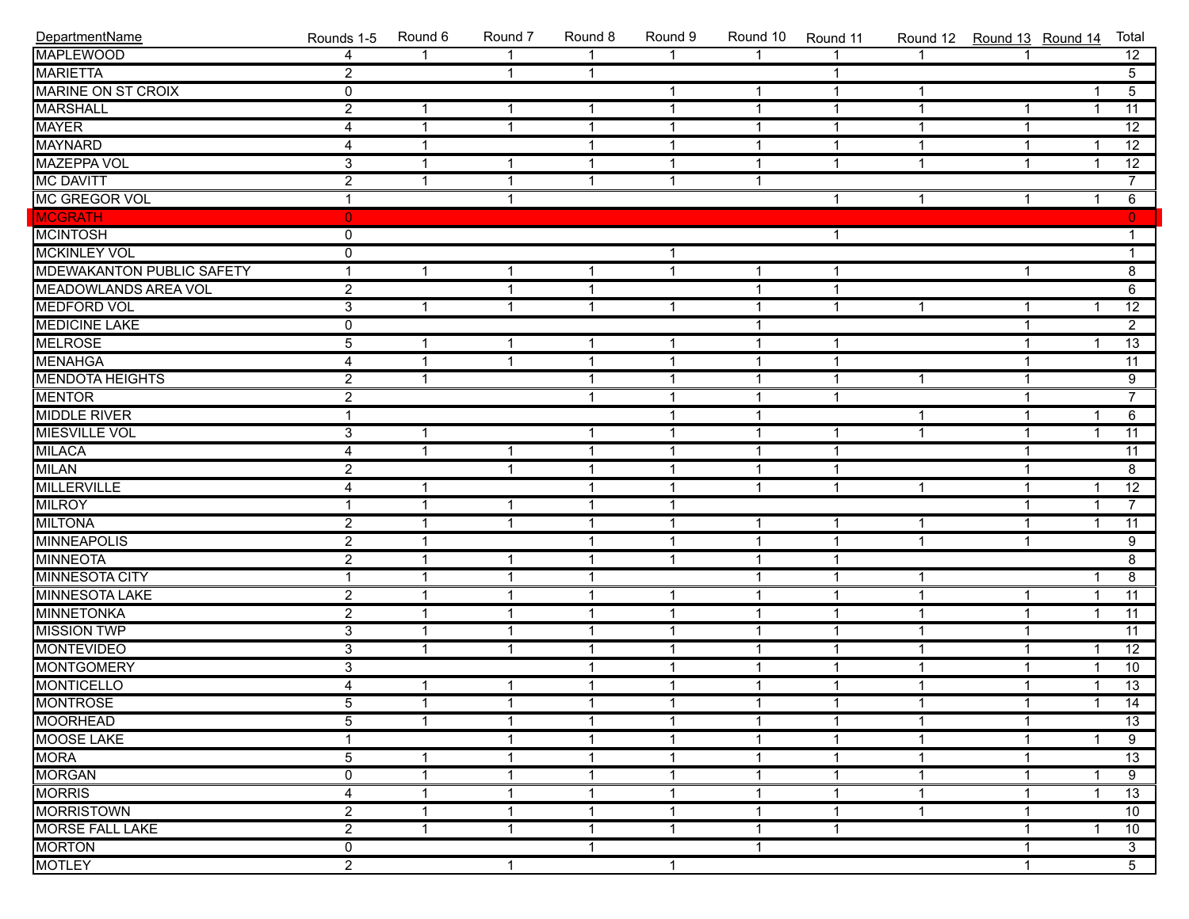| DepartmentName                   | Rounds 1-5              | Round 6              | Round 7                 | Round 8        | Round 9              | Round 10       | Round 11       |                | Round 12 Round 13 Round 14 |                         | Total           |
|----------------------------------|-------------------------|----------------------|-------------------------|----------------|----------------------|----------------|----------------|----------------|----------------------------|-------------------------|-----------------|
| <b>MAPLEWOOD</b>                 | 4                       |                      |                         | $\overline{1}$ | 1                    | $\overline{ }$ |                |                |                            |                         | 12              |
| <b>MARIETTA</b>                  | $\overline{2}$          |                      | $\overline{\mathbf{1}}$ | $\mathbf{1}$   |                      |                | 1              |                |                            |                         | $\overline{5}$  |
| <b>MARINE ON ST CROIX</b>        | $\overline{0}$          |                      |                         |                | $\mathbf{1}$         | $\mathbf{1}$   | $\mathbf{1}$   | 1              |                            |                         | $\overline{5}$  |
| <b>MARSHALL</b>                  | $\overline{2}$          | 1                    | -1                      | $\mathbf{1}$   | $\mathbf{1}$         | $\overline{1}$ | $\mathbf{1}$   | $\mathbf 1$    | $\mathbf{1}$               | -1                      | $\overline{11}$ |
| <b>MAYER</b>                     | 4                       | $\mathbf 1$          | $\overline{1}$          | $\mathbf{1}$   | $\mathbf{1}$         | $\mathbf 1$    | $\mathbf{1}$   | 1              | $\mathbf{1}$               |                         | 12              |
| <b>MAYNARD</b>                   | 4                       | $\mathbf{1}$         |                         | $\mathbf{1}$   | $\mathbf{1}$         | $\overline{1}$ | $\overline{1}$ | 1              | $\mathbf{1}$               | $\overline{1}$          | $\overline{12}$ |
| <b>MAZEPPA VOL</b>               | $\overline{3}$          | 1                    | $\overline{\mathbf{1}}$ | $\mathbf{1}$   | $\mathbf{1}$         | $\overline{1}$ | $\mathbf{1}$   | $\overline{1}$ | $\mathbf{1}$               | $\overline{1}$          | $\overline{12}$ |
| <b>MC DAVITT</b>                 | $\overline{2}$          | 1                    | $\overline{\mathbf{1}}$ | $\mathbf{1}$   | $\mathbf{1}$         | 1              |                |                |                            |                         | $\overline{7}$  |
| MC GREGOR VOL                    | $\mathbf{1}$            |                      | -1                      |                |                      |                | $\mathbf{1}$   | 1              | $\mathbf{1}$               | -1                      | $6\overline{}$  |
| <b>MCGRATH</b>                   | $\mathbf{0}$            |                      |                         |                |                      |                |                |                |                            |                         | $\mathbf{0}$    |
| <b>MCINTOSH</b>                  | $\overline{0}$          |                      |                         |                |                      |                | $\mathbf{1}$   |                |                            |                         | 1               |
| <b>MCKINLEY VOL</b>              | $\overline{0}$          |                      |                         |                | $\mathbf{1}$         |                |                |                |                            |                         | $\mathbf{1}$    |
| <b>MDEWAKANTON PUBLIC SAFETY</b> | 1                       | $\mathbf{1}$         | -1                      | $\mathbf{1}$   | $\mathbf{1}$         | $\mathbf{1}$   | $\mathbf{1}$   |                | $\mathbf{1}$               |                         | $\overline{8}$  |
| <b>MEADOWLANDS AREA VOL</b>      | $\overline{2}$          |                      | -1                      | $\mathbf{1}$   |                      | 1              | $\mathbf{1}$   |                |                            |                         | $\overline{6}$  |
| <b>MEDFORD VOL</b>               | $\overline{3}$          | $\mathbf{1}$         | -1                      | $\mathbf{1}$   | $\mathbf{1}$         | 1              | $\mathbf{1}$   | 1              | $\mathbf{1}$               | -1                      | $\overline{12}$ |
| <b>MEDICINE LAKE</b>             | $\overline{0}$          |                      |                         |                |                      | $\overline{1}$ |                |                | $\mathbf{1}$               |                         | $\overline{2}$  |
| <b>MELROSE</b>                   | $\overline{5}$          | $\mathbf{1}$         | $\overline{1}$          | $\mathbf{1}$   | $\mathbf{1}$         | 1              | $\mathbf{1}$   |                | $\mathbf{1}$               | $\overline{1}$          | $\overline{13}$ |
| <b>MENAHGA</b>                   | 4                       | 1                    | $\overline{1}$          | $\mathbf{1}$   | $\mathbf{1}$         | $\overline{1}$ | $\mathbf{1}$   |                | $\mathbf{1}$               |                         | 11              |
| <b>MENDOTA HEIGHTS</b>           | $\overline{2}$          | $\mathbf{1}$         |                         | $\mathbf{1}$   | $\mathbf{1}$         | 1              | $\mathbf{1}$   | $\mathbf 1$    | $\mathbf{1}$               |                         | $\overline{9}$  |
| <b>MENTOR</b>                    | $\overline{2}$          |                      |                         | $\mathbf{1}$   | $\mathbf{1}$         | $\overline{1}$ | $\mathbf{1}$   |                | $\mathbf{1}$               |                         | $\overline{7}$  |
| <b>MIDDLE RIVER</b>              | $\overline{1}$          |                      |                         |                | $\mathbf{1}$         | $\overline{1}$ |                | 1              | $\mathbf{1}$               | $\overline{1}$          | 6               |
| <b>MIESVILLE VOL</b>             | $\overline{3}$          | $\mathbf{1}$         |                         | $\mathbf{1}$   | $\mathbf{1}$         | $\mathbf{1}$   | $\mathbf{1}$   | $\mathbf 1$    | $\mathbf{1}$               | $\overline{1}$          | 11              |
| <b>MILACA</b>                    | $\overline{4}$          | $\mathbf{1}$         | $\overline{\mathbf{1}}$ | $\mathbf{1}$   | $\mathbf{1}$         | 1              | $\overline{1}$ |                | $\mathbf{1}$               |                         | 11              |
| <b>MILAN</b>                     | $\overline{2}$          |                      | -1                      | $\mathbf{1}$   | $\mathbf{1}$         | $\overline{1}$ | $\mathbf 1$    |                | $\mathbf{1}$               |                         | $\overline{8}$  |
| <b>MILLERVILLE</b>               | 4                       | 1                    |                         | $\mathbf{1}$   | $\mathbf{1}$         | $\overline{1}$ | $\mathbf{1}$   | $\mathbf 1$    | $\mathbf{1}$               | -1                      | $\overline{12}$ |
| <b>MILROY</b>                    | 1                       | 1                    | -1                      | $\mathbf{1}$   | $\mathbf{1}$         |                |                |                | $\mathbf{1}$               | $\overline{1}$          | $\overline{7}$  |
| <b>MILTONA</b>                   | $\overline{2}$          | 1                    | -1                      | $\mathbf{1}$   | $\mathbf{1}$         | $\overline{1}$ | $\mathbf 1$    | 1              | $\mathbf{1}$               | $\overline{\mathbf{1}}$ | 11              |
| <b>MINNEAPOLIS</b>               | $\overline{2}$          | $\mathbf{1}$         |                         | $\mathbf{1}$   | $\mathbf{1}$         | $\mathbf{1}$   | $\mathbf{1}$   | $\mathbf{1}$   | $\mathbf{1}$               |                         | $\overline{9}$  |
| <b>MINNEOTA</b>                  | $\overline{2}$          | 1                    | $\overline{\mathbf{1}}$ | $\mathbf{1}$   | $\mathbf{1}$         | 1              | $\mathbf 1$    |                |                            |                         | $\overline{8}$  |
| MINNESOTA CITY                   | $\overline{1}$          | 1                    | $\overline{\mathbf{1}}$ | $\mathbf{1}$   |                      | 1              | $\mathbf 1$    | 1              |                            | -1                      | $\overline{8}$  |
| <b>MINNESOTA LAKE</b>            | $\overline{2}$          | 1                    | $\overline{\mathbf{1}}$ | $\mathbf{1}$   | $\mathbf{1}$         | 1              | $\mathbf{1}$   | 1              | $\mathbf{1}$               | $\overline{\mathbf{1}}$ | $\overline{11}$ |
| <b>MINNETONKA</b>                | $\overline{2}$          | 1                    | -1                      | $\mathbf{1}$   | $\mathbf{1}$         | $\overline{1}$ | $\mathbf{1}$   |                | $\mathbf{1}$               | -1                      | $\overline{11}$ |
| <b>MISSION TWP</b>               | $\overline{3}$          | $\mathbf{1}$         | $\overline{\mathbf{1}}$ | $\mathbf{1}$   | $\mathbf{1}$         | 1              | $\mathbf{1}$   | 1              | $\mathbf{1}$               |                         | $\overline{11}$ |
| <b>MONTEVIDEO</b>                | $\overline{3}$          | $\mathbf{1}$         | -1                      | $\mathbf{1}$   | $\mathbf{1}$         | $\mathbf{1}$   | $\mathbf{1}$   | 1              | $\mathbf{1}$               | $\overline{1}$          | 12              |
| <b>MONTGOMERY</b>                | $\overline{3}$          |                      |                         | $\mathbf{1}$   | $\mathbf{1}$         | 1              | $\mathbf 1$    | 1              | $\mathbf{1}$               | $\overline{1}$          | 10              |
| <b>MONTICELLO</b>                | $\overline{\mathbf{4}}$ | $\mathbf 1$          | $\mathbf{1}$            | $\mathbf{1}$   | $\mathbf{1}$         | $\mathbf{1}$   | $\overline{1}$ | 1              | $\mathbf{1}$               | $\overline{\mathbf{1}}$ | 13              |
| <b>MONTROSE</b>                  | $\overline{5}$          | $\blacktriangleleft$ | $\blacktriangleleft$    | $\mathbf{1}$   | $\blacktriangleleft$ | $\mathbf{1}$   | $\overline{1}$ | 1              | $\overline{1}$             | $\overline{1}$          | $\overline{14}$ |
| <b>MOORHEAD</b>                  | $\overline{5}$          | 1                    | -1                      | -1             | 1                    | -1             | $\mathbf 1$    | 1              | 1                          |                         | $\overline{13}$ |
| <b>MOOSE LAKE</b>                | 1                       |                      | -1                      | -1             | 1                    | -1             | $\mathbf 1$    | 1              | 1                          | -1                      | $\overline{9}$  |
| <b>MORA</b>                      | 5                       | 1                    | -1                      | -1             | 1                    | 1              | $\mathbf 1$    |                | 1                          |                         | 13              |
| <b>MORGAN</b>                    | 0                       | 1                    | -1                      | -1             | 1                    | 1              | 1              |                | 1                          | -1                      | $\overline{9}$  |
| <b>MORRIS</b>                    | 4                       | 1                    | -1                      | 1              | 1                    | 1              | 1              |                | 1                          | -1                      | 13              |
| <b>MORRISTOWN</b>                | $\overline{2}$          | 1                    | -1                      | -1             | 1                    | 1              | $\mathbf 1$    | 1              | -1                         |                         | 10              |
| <b>MORSE FALL LAKE</b>           | $\overline{2}$          | 1                    | -1                      | -1             | $\mathbf 1$          | -1             | $\mathbf 1$    |                | 1                          |                         | 10              |
| <b>MORTON</b>                    | $\mathbf 0$             |                      |                         | $\mathbf 1$    |                      | $\mathbf{1}$   |                |                | 1                          |                         | $\overline{3}$  |
| <b>MOTLEY</b>                    | $\overline{2}$          |                      | $\mathbf{1}$            |                | $\mathbf{1}$         |                |                |                | $\mathbf{1}$               |                         | $\overline{5}$  |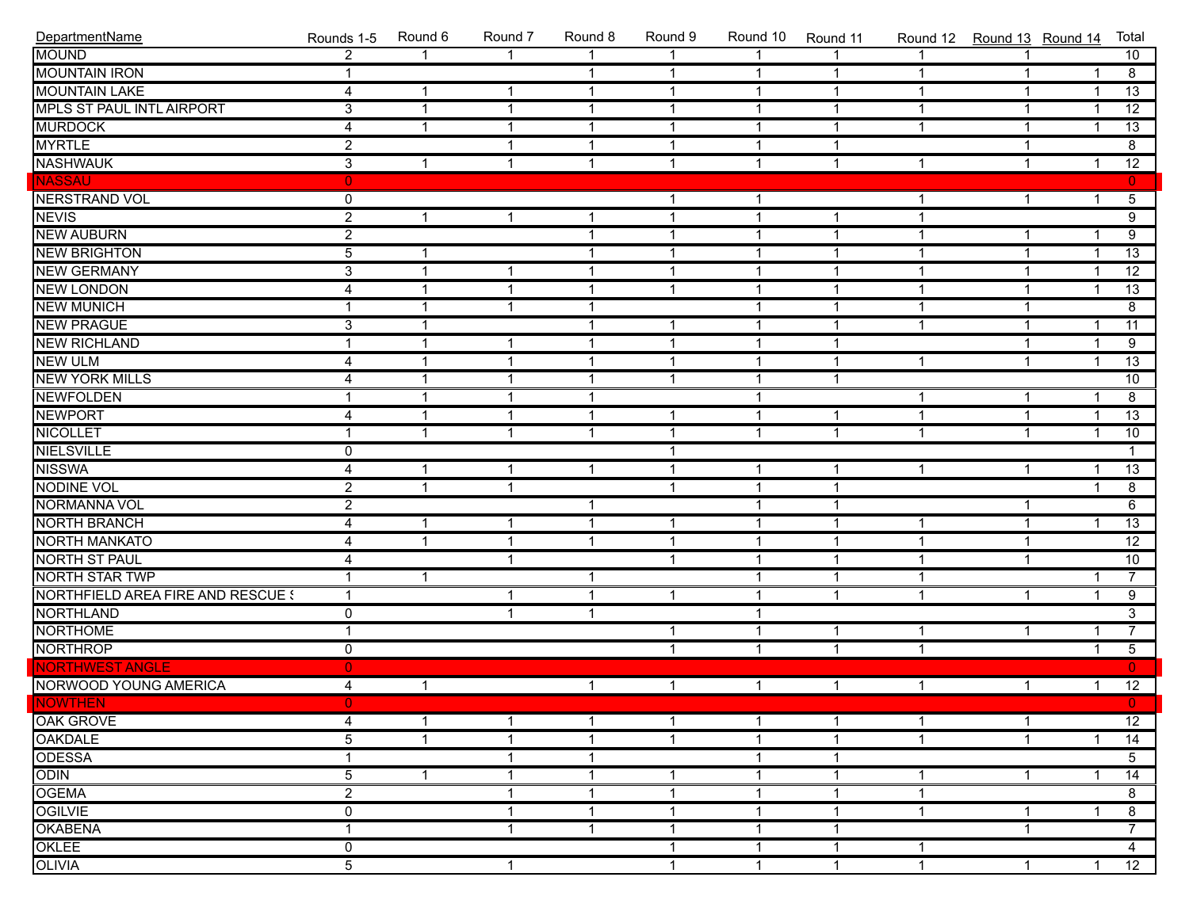| DepartmentName                    | Rounds 1-5              | Round 6      | Round 7        | Round 8        | Round 9        | Round 10       | Round 11       | Round 12     |              | Round 13 Round 14 | Total           |
|-----------------------------------|-------------------------|--------------|----------------|----------------|----------------|----------------|----------------|--------------|--------------|-------------------|-----------------|
| <b>MOUND</b>                      | $\overline{2}$          |              | 1              |                | $\mathbf{1}$   | $\overline{1}$ |                |              |              |                   | 10              |
| <b>MOUNTAIN IRON</b>              | $\mathbf{1}$            |              |                | $\mathbf{1}$   | $\overline{1}$ | $\overline{1}$ | $\mathbf{1}$   | $\mathbf{1}$ | $\mathbf{1}$ | $\mathbf{1}$      | $\overline{8}$  |
| <b>MOUNTAIN LAKE</b>              | 4                       | $\mathbf 1$  | $\mathbf{1}$   | $\overline{1}$ | $\overline{1}$ | $\overline{1}$ | $\overline{1}$ | $\mathbf{1}$ | $\mathbf{1}$ | $\overline{1}$    | $\overline{13}$ |
| MPLS ST PAUL INTL AIRPORT         | $\overline{3}$          | $\mathbf{1}$ | $\overline{1}$ | $\mathbf{1}$   | $\overline{1}$ | $\mathbf{1}$   | $\mathbf{1}$   | $\mathbf{1}$ | $\mathbf{1}$ | $\overline{1}$    | $\overline{12}$ |
| <b>MURDOCK</b>                    | $\overline{4}$          | 1            | $\mathbf{1}$   | $\mathbf{1}$   | $\overline{1}$ | $\mathbf{1}$   | $\mathbf{1}$   | $\mathbf{1}$ | $\mathbf{1}$ | $\mathbf{1}$      | $\overline{13}$ |
| <b>MYRTLE</b>                     | $\overline{2}$          |              | $\overline{1}$ | $\mathbf{1}$   | $\overline{1}$ | $\mathbf{1}$   | $\mathbf{1}$   |              | $\mathbf{1}$ |                   | 8               |
| <b>NASHWAUK</b>                   | $\overline{3}$          | $\mathbf 1$  | $\mathbf{1}$   | $\mathbf{1}$   | $\overline{1}$ | $\mathbf{1}$   | $\mathbf{1}$   | $\mathbf{1}$ | $\mathbf{1}$ | $\mathbf{1}$      | $\overline{12}$ |
| <b>NASSAU</b>                     | $\overline{0}$          |              |                |                |                |                |                |              |              |                   | $\mathbf{0}$    |
| <b>NERSTRAND VOL</b>              | $\overline{0}$          |              |                |                | $\mathbf 1$    | $\mathbf{1}$   |                | $\mathbf{1}$ | $\mathbf{1}$ | $\mathbf{1}$      | $\overline{5}$  |
| <b>NEVIS</b>                      | $\overline{2}$          | 1            | $\mathbf{1}$   | $\mathbf{1}$   | $\overline{1}$ | $\mathbf{1}$   | 1              | $\mathbf{1}$ |              |                   | $\overline{9}$  |
| <b>NEW AUBURN</b>                 | $\overline{2}$          |              |                | $\mathbf{1}$   | $\overline{1}$ | $\mathbf{1}$   | $\mathbf{1}$   | $\mathbf{1}$ | $\mathbf 1$  | $\overline{1}$    | $\overline{9}$  |
| <b>NEW BRIGHTON</b>               | $\overline{5}$          | -1           |                | $\mathbf{1}$   | $\overline{1}$ | $\mathbf{1}$   | $\mathbf{1}$   | $\mathbf{1}$ | $\mathbf{1}$ | $\overline{1}$    | $\overline{13}$ |
| <b>NEW GERMANY</b>                | $\overline{3}$          | $\mathbf{1}$ | $\mathbf{1}$   | $\mathbf{1}$   | $\overline{1}$ | $\mathbf{1}$   | $\mathbf{1}$   | $\mathbf{1}$ | $\mathbf{1}$ | $\overline{1}$    | $\overline{12}$ |
| <b>NEW LONDON</b>                 | 4                       | $\mathbf 1$  | $\mathbf{1}$   | $\mathbf{1}$   | $\overline{1}$ | $\overline{1}$ | $\mathbf{1}$   | $\mathbf{1}$ | $\mathbf{1}$ | $\overline{1}$    | $\overline{13}$ |
| <b>NEW MUNICH</b>                 | $\overline{\mathbf{1}}$ | 1            | $\overline{1}$ | $\overline{1}$ |                | $\mathbf{1}$   | $\mathbf{1}$   | $\mathbf{1}$ | $\mathbf{1}$ |                   | $\overline{8}$  |
| <b>NEW PRAGUE</b>                 | $\overline{3}$          | 1            |                | $\mathbf{1}$   | $\mathbf{1}$   | $\mathbf{1}$   | $\mathbf{1}$   | $\mathbf{1}$ | $\mathbf{1}$ | $\overline{1}$    | $\overline{11}$ |
| <b>NEW RICHLAND</b>               | 1                       | 1            | $\overline{1}$ | $\mathbf{1}$   | $\overline{1}$ | $\mathbf{1}$   | $\mathbf{1}$   |              | $\mathbf{1}$ | $\overline{1}$    | 9               |
| <b>NEW ULM</b>                    | 4                       | 1            | $\mathbf{1}$   | $\mathbf{1}$   | $\overline{1}$ | $\mathbf{1}$   | $\mathbf{1}$   | $\mathbf{1}$ | $\mathbf{1}$ | $\overline{1}$    | $\overline{13}$ |
| <b>NEW YORK MILLS</b>             | 4                       | $\mathbf 1$  | $\mathbf{1}$   | $\mathbf{1}$   | $\overline{1}$ | $\mathbf{1}$   | $\mathbf{1}$   |              |              |                   | 10              |
| <b>NEWFOLDEN</b>                  | $\overline{1}$          | $\mathbf 1$  | $\mathbf{1}$   | $\mathbf{1}$   |                | $\mathbf{1}$   |                | $\mathbf{1}$ | $\mathbf{1}$ | $\overline{1}$    | $\overline{8}$  |
| <b>NEWPORT</b>                    | 4                       | 1            | $\mathbf{1}$   | $\mathbf{1}$   | $\mathbf{1}$   | $\mathbf{1}$   | 1              | $\mathbf{1}$ | $\mathbf{1}$ | $\mathbf{1}$      | $\overline{13}$ |
| <b>NICOLLET</b>                   | 1                       | 1            | $\overline{1}$ | $\mathbf{1}$   | $\overline{1}$ | $\mathbf{1}$   | $\mathbf{1}$   | $\mathbf{1}$ | $\mathbf{1}$ | $\mathbf{1}$      | 10              |
| <b>NIELSVILLE</b>                 | 0                       |              |                |                | $\overline{1}$ |                |                |              |              |                   | $\mathbf{1}$    |
| <b>NISSWA</b>                     | 4                       | $\mathbf 1$  | $\mathbf{1}$   | $\mathbf{1}$   | $\overline{1}$ | $\mathbf{1}$   | $\mathbf 1$    | $\mathbf{1}$ | $\mathbf{1}$ | $\mathbf{1}$      | $\overline{13}$ |
| NODINE VOL                        | $\overline{2}$          | $\mathbf{1}$ | $\overline{1}$ |                | $\overline{1}$ | $\mathbf{1}$   | $\mathbf 1$    |              |              | $\overline{1}$    | $\overline{8}$  |
| NORMANNA VOL                      | $\overline{2}$          |              |                | $\mathbf{1}$   |                | $\mathbf{1}$   | $\mathbf{1}$   |              | $\mathbf{1}$ |                   | $\overline{6}$  |
| <b>NORTH BRANCH</b>               | $\overline{4}$          | 1            | $\overline{1}$ | $\mathbf{1}$   | $\mathbf{1}$   | $\mathbf{1}$   | $\mathbf{1}$   | $\mathbf{1}$ | $\mathbf{1}$ | $\overline{1}$    | $\overline{13}$ |
| <b>NORTH MANKATO</b>              | 4                       | 1            | $\mathbf{1}$   | $\mathbf{1}$   | $\overline{1}$ | $\mathbf{1}$   | 1              | $\mathbf{1}$ | $\mathbf{1}$ |                   | $\overline{12}$ |
| <b>NORTH ST PAUL</b>              | 4                       |              | $\mathbf{1}$   |                | $\overline{1}$ | $\mathbf{1}$   | $\mathbf{1}$   | $\mathbf{1}$ | $\mathbf{1}$ |                   | 10              |
| NORTH STAR TWP                    | $\overline{1}$          | $\mathbf 1$  |                | $\mathbf{1}$   |                | $\mathbf{1}$   | $\mathbf{1}$   | $\mathbf{1}$ |              | $\overline{1}$    | $\overline{7}$  |
| NORTHFIELD AREA FIRE AND RESCUE ! | $\mathbf{1}$            |              | $\mathbf{1}$   | $\mathbf{1}$   | $\mathbf 1$    | $\mathbf{1}$   | $\mathbf{1}$   | $\mathbf{1}$ | $\mathbf{1}$ | $\mathbf{1}$      | $\overline{9}$  |
| <b>NORTHLAND</b>                  | $\overline{0}$          |              | $\mathbf{1}$   | $\mathbf{1}$   |                | $\overline{1}$ |                |              |              |                   | $\overline{3}$  |
| <b>NORTHOME</b>                   | $\overline{1}$          |              |                |                | $\mathbf 1$    | $\mathbf{1}$   | 1              | 1            | $\mathbf{1}$ | $\overline{1}$    | $\overline{7}$  |
| <b>NORTHROP</b>                   | 0                       |              |                |                | $\mathbf{1}$   | $\mathbf{1}$   | $\overline{1}$ | $\mathbf{1}$ |              | $\overline{1}$    | $\overline{5}$  |
| <b>NORTHWEST ANGLE</b>            | $\overline{0}$          |              |                |                |                |                |                |              |              |                   | $\mathbf{0}$    |
| NORWOOD YOUNG AMERICA             | 4                       | $\mathbf{1}$ |                | $\mathbf{1}$   | $\mathbf{1}$   | $\mathbf{1}$   | $\mathbf{1}$   | $\mathbf{1}$ | $\mathbf{1}$ | $\mathbf{1}$      | 12              |
| NOWTHEN                           |                         |              |                |                |                |                |                |              |              |                   | $\mathbf{0}$    |
| <b>OAK GROVE</b>                  | 4                       | $\mathbf{1}$ | $\mathbf{1}$   | $\mathbf{1}$   | $\mathbf{1}$   | $\mathbf{1}$   | $\mathbf{1}$   | $\mathbf{1}$ | $\mathbf{1}$ |                   | 12              |
| <b>OAKDALE</b>                    | 5                       | 1            | $\mathbf{1}$   | $\mathbf{1}$   | $\overline{1}$ | $\mathbf{1}$   | 1              | 1            | $\mathbf{1}$ |                   | $\overline{14}$ |
| <b>ODESSA</b>                     |                         |              | $\overline{1}$ | $\mathbf{1}$   |                | 1              |                |              |              |                   | 5               |
| ODIN                              | 5                       | $\mathbf{1}$ | $\mathbf{1}$   | $\mathbf{1}$   | $\mathbf{1}$   | $\mathbf{1}$   | 1              | 1            | $\mathbf{1}$ |                   | $\overline{14}$ |
| <b>OGEMA</b>                      | $\overline{2}$          |              | $\mathbf{1}$   | $\mathbf{1}$   | $\overline{1}$ | $\mathbf{1}$   | $\mathbf 1$    | $\mathbf{1}$ |              |                   | 8               |
| <b>OGILVIE</b>                    | 0                       |              | $\mathbf{1}$   | $\mathbf{1}$   | $\mathbf{1}$   | $\mathbf{1}$   | 1              | $\mathbf{1}$ | $\mathbf{1}$ | 1                 | $\overline{8}$  |
| <b>OKABENA</b>                    | 1                       |              | $\mathbf{1}$   | $\mathbf{1}$   | $\overline{1}$ | 1              | 1              |              | $\mathbf{1}$ |                   | $\overline{7}$  |
| OKLEE                             | 0                       |              |                |                | $\mathbf{1}$   | $\mathbf{1}$   | $\mathbf 1$    | 1            |              |                   | 4               |
| <b>OLIVIA</b>                     | $\overline{5}$          |              | $\mathbf{1}$   |                | $\overline{1}$ | $\mathbf{1}$   | $\mathbf{1}$   | $\mathbf{1}$ | $\mathbf{1}$ | $\mathbf{1}$      | $\overline{12}$ |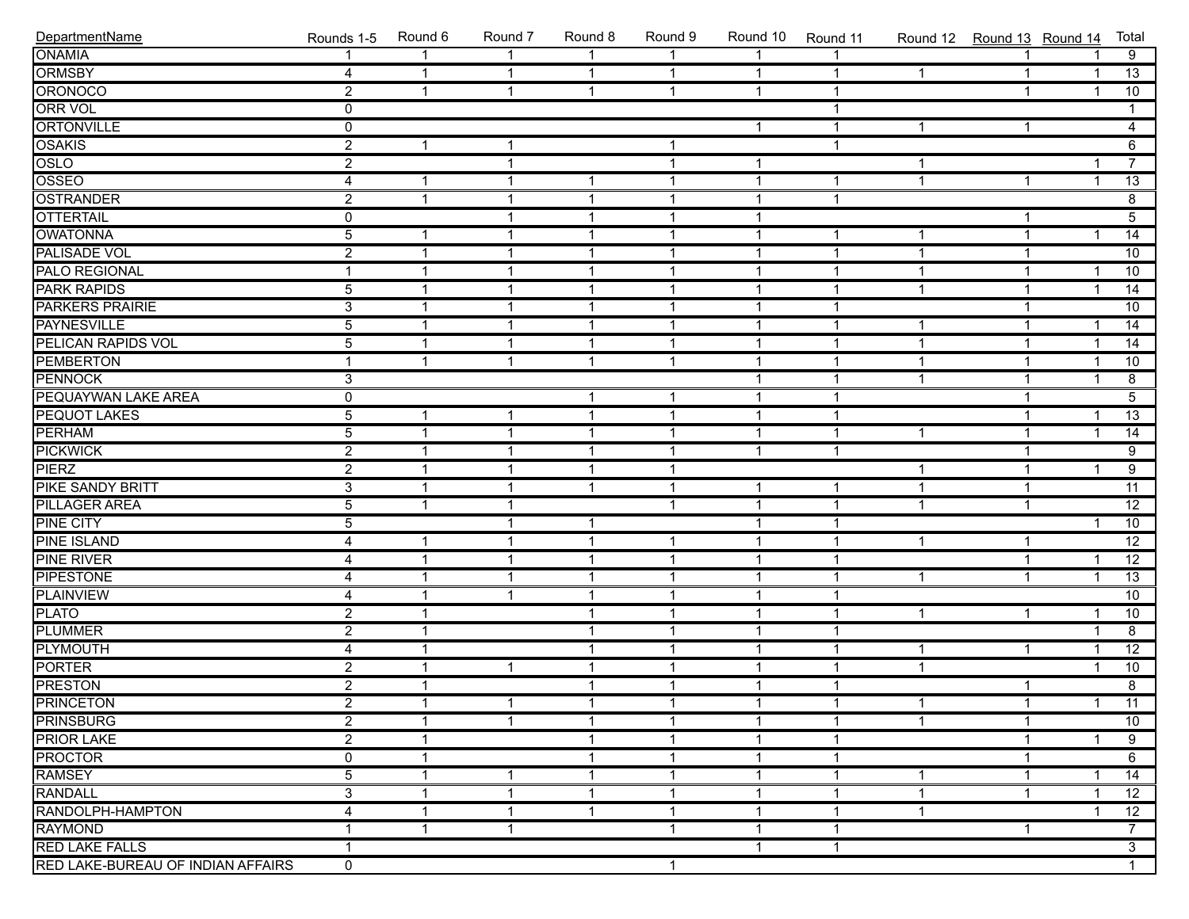| DepartmentName                    | Rounds 1-5     | Round 6      | Round 7                 | Round 8      | Round 9        | Round 10     | Round 11       | Round 12 Round 13 Round 14 |                |                         | Total           |
|-----------------------------------|----------------|--------------|-------------------------|--------------|----------------|--------------|----------------|----------------------------|----------------|-------------------------|-----------------|
| <b>ONAMIA</b>                     | 1              |              | $\overline{1}$          | $\mathbf{1}$ | $\mathbf{1}$   | $\mathbf{1}$ |                |                            | $\mathbf{1}$   |                         | $\overline{9}$  |
| <b>ORMSBY</b>                     | $\overline{4}$ | $\mathbf{1}$ | $\overline{1}$          | $\mathbf{1}$ | $\overline{1}$ | $\mathbf{1}$ | $\mathbf{1}$   | $\mathbf{1}$               | $\mathbf{1}$   | $\overline{1}$          | 13              |
| ORONOCO                           | $\overline{2}$ | $\mathbf{1}$ | $\overline{1}$          | $\mathbf{1}$ | $\mathbf{1}$   | $\mathbf{1}$ | $\mathbf{1}$   |                            | $\mathbf{1}$   | $\overline{\mathbf{1}}$ | 10              |
| <b>ORR VOL</b>                    | $\mathbf 0$    |              |                         |              |                |              | $\overline{1}$ |                            |                |                         | 1               |
| ORTONVILLE                        | $\overline{0}$ |              |                         |              |                | $\mathbf{1}$ | $\mathbf{1}$   | $\mathbf{1}$               | $\mathbf{1}$   |                         | $\overline{4}$  |
| <b>OSAKIS</b>                     | $\overline{2}$ | $\mathbf 1$  | $\overline{1}$          |              | $\mathbf{1}$   |              | $\mathbf{1}$   |                            |                |                         | $\overline{6}$  |
| OSLO                              | $\overline{2}$ |              | $\overline{\mathbf{1}}$ |              | $\mathbf{1}$   | $\mathbf{1}$ |                | $\mathbf{1}$               |                | -1                      | $\overline{7}$  |
| OSSEO                             | $\overline{4}$ | $\mathbf 1$  | $\overline{\mathbf{1}}$ | $\mathbf{1}$ | $\mathbf{1}$   | $\mathbf{1}$ | $\mathbf{1}$   | $\mathbf{1}$               | $\mathbf{1}$   | -1                      | $\overline{13}$ |
| <b>OSTRANDER</b>                  | $\overline{2}$ | 1            | $\overline{\mathbf{1}}$ | $\mathbf{1}$ | $\mathbf{1}$   | $\mathbf{1}$ | $\mathbf{1}$   |                            |                |                         | $\overline{8}$  |
| <b>OTTERTAIL</b>                  | $\overline{0}$ |              | $\overline{\mathbf{1}}$ | $\mathbf{1}$ | $\mathbf 1$    | $\mathbf{1}$ |                |                            | $\mathbf{1}$   |                         | $\overline{5}$  |
| <b>OWATONNA</b>                   | $\overline{5}$ | $\mathbf 1$  | $\overline{1}$          | $\mathbf{1}$ | $\mathbf 1$    | $\mathbf{1}$ | $\mathbf{1}$   | $\mathbf 1$                | $\mathbf{1}$   | 1                       | $\overline{14}$ |
| <b>PALISADE VOL</b>               | $\overline{2}$ | $\mathbf 1$  | $\overline{1}$          | $\mathbf{1}$ | $\mathbf 1$    | $\mathbf{1}$ | $\mathbf{1}$   | $\mathbf{1}$               | $\mathbf{1}$   |                         | 10              |
| <b>PALO REGIONAL</b>              | 1              | $\mathbf 1$  | $\overline{\mathbf{1}}$ | $\mathbf{1}$ | $\mathbf 1$    | $\mathbf{1}$ | $\mathbf{1}$   | $\mathbf 1$                | $\mathbf{1}$   | -1                      | 10              |
| <b>PARK RAPIDS</b>                | $\overline{5}$ | 1            | $\overline{\mathbf{1}}$ | $\mathbf{1}$ | $\mathbf{1}$   | $\mathbf{1}$ | $\overline{1}$ | $\overline{1}$             | $\mathbf{1}$   | -1                      | $\overline{14}$ |
| <b>PARKERS PRAIRIE</b>            | $\overline{3}$ | $\mathbf 1$  | $\overline{1}$          | $\mathbf{1}$ | $\mathbf 1$    | $\mathbf{1}$ | $\mathbf{1}$   |                            | $\mathbf{1}$   |                         | 10              |
| <b>PAYNESVILLE</b>                | $\overline{5}$ | $\mathbf 1$  | $\overline{1}$          | $\mathbf{1}$ | $\mathbf 1$    | $\mathbf{1}$ | $\mathbf{1}$   | $\mathbf{1}$               | $\mathbf{1}$   | 1                       | $\overline{14}$ |
| <b>PELICAN RAPIDS VOL</b>         | $\overline{5}$ | $\mathbf 1$  | $\overline{1}$          | $\mathbf{1}$ | $\mathbf{1}$   | $\mathbf{1}$ | $\mathbf{1}$   | $\mathbf{1}$               | $\mathbf{1}$   | $\overline{\mathbf{1}}$ | $\overline{14}$ |
| <b>PEMBERTON</b>                  | $\mathbf{1}$   | $\mathbf{1}$ | $\overline{\mathbf{1}}$ | $\mathbf{1}$ | $\mathbf{1}$   | $\mathbf{1}$ | $\mathbf{1}$   | $\mathbf{1}$               | $\mathbf{1}$   | -1                      | 10              |
| <b>PENNOCK</b>                    | $\overline{3}$ |              |                         |              |                | $\mathbf{1}$ | $\overline{1}$ | $\overline{1}$             | $\mathbf{1}$   | -1                      | $\overline{8}$  |
| <b>PEQUAYWAN LAKE AREA</b>        | $\overline{0}$ |              |                         | $\mathbf{1}$ | $\mathbf 1$    | $\mathbf{1}$ | $\mathbf{1}$   |                            | $\mathbf{1}$   |                         | $\overline{5}$  |
| <b>PEQUOT LAKES</b>               | $\overline{5}$ | $\mathbf 1$  | $\overline{1}$          | $\mathbf{1}$ | $\mathbf{1}$   | $\mathbf{1}$ | $\overline{1}$ |                            | $\mathbf{1}$   | 1                       | $\overline{13}$ |
| <b>PERHAM</b>                     | $\overline{5}$ | $\mathbf 1$  | $\overline{1}$          | $\mathbf{1}$ | $\mathbf 1$    | $\mathbf{1}$ | $\mathbf{1}$   | $\mathbf{1}$               | $\mathbf{1}$   | $\overline{1}$          | $\overline{14}$ |
| <b>PICKWICK</b>                   | $\overline{2}$ | $\mathbf 1$  | $\overline{\mathbf{1}}$ | $\mathbf{1}$ | $\mathbf 1$    | $\mathbf{1}$ | $\mathbf{1}$   |                            | $\mathbf{1}$   |                         | $\overline{9}$  |
| PIERZ                             | $\overline{2}$ | 1            | $\overline{\mathbf{1}}$ | $\mathbf{1}$ | $\mathbf 1$    |              |                | $\mathbf 1$                | $\mathbf{1}$   | 1                       | $\overline{9}$  |
| <b>PIKE SANDY BRITT</b>           | $\overline{3}$ | $\mathbf 1$  | $\overline{1}$          | $\mathbf{1}$ | $\mathbf 1$    | $\mathbf{1}$ | $\mathbf{1}$   | $\mathbf{1}$               | $\mathbf{1}$   |                         | $\overline{11}$ |
| <b>PILLAGER AREA</b>              | $\overline{5}$ | $\mathbf 1$  | $\overline{1}$          |              | $\mathbf{1}$   | $\mathbf{1}$ | $\mathbf{1}$   | $\mathbf{1}$               | $\mathbf{1}$   |                         | $\overline{12}$ |
| <b>PINE CITY</b>                  | $\overline{5}$ |              | $\mathbf{1}$            | $\mathbf{1}$ |                | $\mathbf{1}$ | $\overline{1}$ |                            |                | $\overline{1}$          | 10              |
| <b>PINE ISLAND</b>                | $\overline{4}$ | $\mathbf 1$  | $\overline{\mathbf{1}}$ | $\mathbf{1}$ | $\mathbf{1}$   | $\mathbf{1}$ | $\mathbf{1}$   | $\mathbf 1$                | $\mathbf{1}$   |                         | $\overline{12}$ |
| <b>PINE RIVER</b>                 | 4              | 1            | $\overline{\mathbf{1}}$ | $\mathbf{1}$ | $\mathbf{1}$   | $\mathbf{1}$ | $\overline{1}$ |                            | $\mathbf{1}$   | -1                      | $\overline{12}$ |
| <b>PIPESTONE</b>                  | $\overline{4}$ | $\mathbf 1$  | $\overline{\mathbf{1}}$ | $\mathbf{1}$ | $\mathbf{1}$   | $\mathbf{1}$ | $\mathbf{1}$   | $\mathbf{1}$               | $\mathbf{1}$   | 1                       | $\overline{13}$ |
| <b>PLAINVIEW</b>                  | $\overline{4}$ | $\mathbf 1$  | $\overline{1}$          | $\mathbf{1}$ | $\mathbf 1$    | $\mathbf{1}$ | $\mathbf{1}$   |                            |                |                         | 10              |
| <b>PLATO</b>                      | $\overline{2}$ | $\mathbf 1$  |                         | $\mathbf{1}$ | $\mathbf 1$    | $\mathbf{1}$ | $\mathbf{1}$   | $\mathbf{1}$               | $\mathbf{1}$   | -1                      | 10              |
| <b>PLUMMER</b>                    | $\overline{2}$ | $\mathbf 1$  |                         | $\mathbf{1}$ | $\mathbf 1$    | $\mathbf{1}$ | $\mathbf{1}$   |                            |                | -1                      | $\overline{8}$  |
| <b>PLYMOUTH</b>                   | $\overline{4}$ | 1            |                         | $\mathbf{1}$ | $\mathbf{1}$   | $\mathbf{1}$ | $\overline{1}$ | $\mathbf 1$                | $\mathbf{1}$   | -1                      | $\overline{12}$ |
| <b>PORTER</b>                     | $\overline{2}$ | 1            | $\overline{1}$          | $\mathbf{1}$ | $\mathbf{1}$   | $\mathbf{1}$ | $\mathbf 1$    | $\mathbf{1}$               |                | 1                       | 10              |
| <b>PRESTON</b>                    | $\overline{2}$ | $\mathbf 1$  |                         | $\mathbf{1}$ | $\mathbf{1}$   | $\mathbf{1}$ | $\mathbf{1}$   |                            | $\mathbf{1}$   |                         | $\overline{8}$  |
| <b>PRINCETON</b>                  | $\overline{2}$ | 1            | $\mathbf{1}$            | $\mathbf{1}$ | $\mathbf{1}$   | $\mathbf{1}$ | $\overline{1}$ | $\mathbf{1}$               | $\overline{1}$ | $1 \quad$               | $\overline{11}$ |
| <b>PRINSBURG</b>                  | $\overline{2}$ | 1            | $\mathbf{1}$            | $\mathbf 1$  | 1              | $\mathbf{1}$ | $\mathbf 1$    | 1                          | $\mathbf{1}$   |                         | 10              |
| <b>PRIOR LAKE</b>                 | $\overline{2}$ | 1            |                         | 1            | 1              | 1            | 1              |                            | 1              |                         | 9               |
| <b>PROCTOR</b>                    | 0              | 1            |                         | 1            | 1              | 1            | 1              |                            | 1              |                         | 6               |
| <b>RAMSEY</b>                     | $\overline{5}$ | 1            | $\mathbf 1$             | $\mathbf{1}$ | 1              | 1            | $\mathbf 1$    | 1                          | 1              |                         | $\overline{14}$ |
| <b>RANDALL</b>                    | $\overline{3}$ | 1            | $\mathbf 1$             | $\mathbf{1}$ | 1              | 1            | $\mathbf{1}$   | $\mathbf{1}$               | $\mathbf{1}$   |                         | 12              |
| RANDOLPH-HAMPTON                  | 4              | 1            | -1                      | $\mathbf{1}$ | 1              | 1            | $\mathbf 1$    | $\mathbf 1$                |                |                         | 12              |
| <b>RAYMOND</b>                    |                | 1            | $\overline{\mathbf{1}}$ |              | 1              | 1            | $\mathbf 1$    |                            | $\mathbf{1}$   |                         | $7^{\circ}$     |
| <b>RED LAKE FALLS</b>             | 1              |              |                         |              |                | $\mathbf{1}$ | $\mathbf{1}$   |                            |                |                         | $\overline{3}$  |
| RED LAKE-BUREAU OF INDIAN AFFAIRS | $\overline{0}$ |              |                         |              | 1              |              |                |                            |                |                         | $\mathbf{1}$    |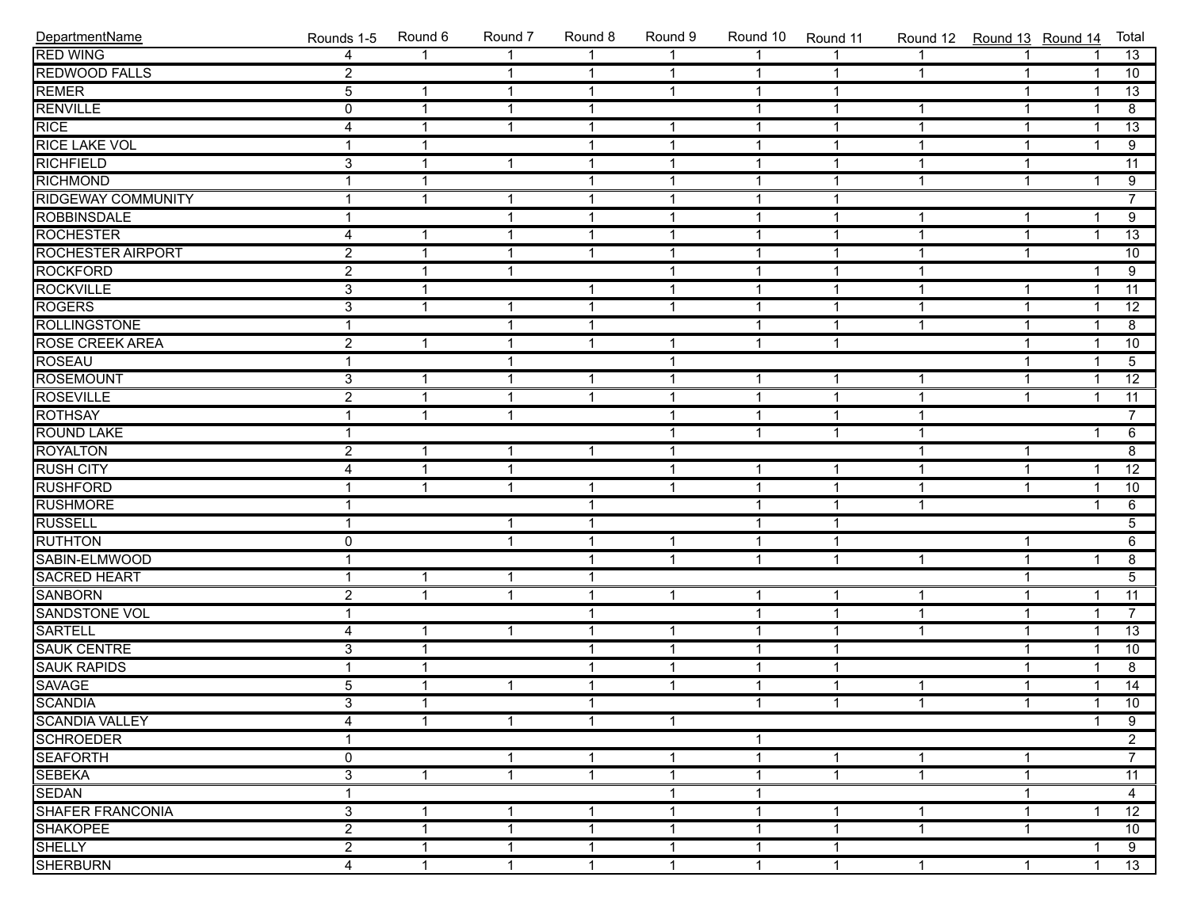| DepartmentName            | Rounds 1-5     | Round 6      | Round 7                 | Round 8        | Round 9      | Round 10     | Round 11       | Round 12 Round 13 Round 14 |              |              | Total                |
|---------------------------|----------------|--------------|-------------------------|----------------|--------------|--------------|----------------|----------------------------|--------------|--------------|----------------------|
| <b>RED WING</b>           | 4              | $\mathbf{1}$ | $\mathbf{1}$            | 1              | $\mathbf{1}$ | $\mathbf{1}$ |                | $\mathbf{1}$               | $\mathbf{1}$ |              | 13                   |
| <b>REDWOOD FALLS</b>      | $\overline{2}$ |              | $\mathbf{1}$            | $\mathbf{1}$   | $\mathbf{1}$ | $\mathbf{1}$ | $\mathbf{1}$   | $\mathbf{1}$               | $\mathbf{1}$ | $\mathbf{1}$ | 10                   |
| REMER                     | $\overline{5}$ | $\mathbf 1$  | $\overline{1}$          | $\mathbf{1}$   | $\mathbf{1}$ | $\mathbf{1}$ | $\mathbf 1$    |                            | $\mathbf{1}$ | -1           | 13                   |
| <b>RENVILLE</b>           | 0              | 1            | $\overline{\mathbf{1}}$ | $\mathbf{1}$   |              | $\mathbf{1}$ | $\overline{1}$ | $\mathbf 1$                | $\mathbf{1}$ | -1           | 8                    |
| <b>RICE</b>               | $\overline{4}$ | 1            | $\overline{\mathbf{1}}$ | $\mathbf{1}$   | $\mathbf 1$  | $\mathbf{1}$ | $\overline{1}$ | 1                          | $\mathbf{1}$ | -1           | $\overline{13}$      |
| <b>RICE LAKE VOL</b>      | $\mathbf{1}$   | $\mathbf 1$  |                         | $\mathbf{1}$   | $\mathbf 1$  | $\mathbf{1}$ | $\mathbf{1}$   | $\mathbf{1}$               | $\mathbf{1}$ | 1            | $\overline{9}$       |
| <b>RICHFIELD</b>          | $\overline{3}$ | $\mathbf 1$  | $\overline{1}$          | $\mathbf{1}$   | $\mathbf 1$  | $\mathbf{1}$ | $\mathbf{1}$   | $\mathbf{1}$               | $\mathbf{1}$ |              | $\overline{11}$      |
| RICHMOND                  | 1              | $\mathbf{1}$ |                         | $\mathbf{1}$   | $\mathbf 1$  | $\mathbf{1}$ | $\mathbf{1}$   | $\mathbf{1}$               | $\mathbf{1}$ | 1            | $\overline{9}$       |
| <b>RIDGEWAY COMMUNITY</b> | 1              | 1            | $\overline{\mathbf{1}}$ | $\mathbf{1}$   | $\mathbf{1}$ | $\mathbf{1}$ | $\overline{1}$ |                            |              |              | $\overline{7}$       |
| <b>ROBBINSDALE</b>        | 1              |              | $\overline{\mathbf{1}}$ | $\mathbf{1}$   | $\mathbf{1}$ | $\mathbf{1}$ | $\mathbf{1}$   | $\mathbf{1}$               | $\mathbf{1}$ | -1           | $\overline{9}$       |
| <b>ROCHESTER</b>          | $\overline{4}$ | $\mathbf 1$  | $\overline{1}$          | $\mathbf{1}$   | $\mathbf{1}$ | $\mathbf{1}$ | $\mathbf{1}$   | $\mathbf{1}$               | $\mathbf{1}$ | 1            | $\overline{13}$      |
| <b>ROCHESTER AIRPORT</b>  | $\overline{2}$ | $\mathbf 1$  | $\overline{1}$          | $\mathbf{1}$   | $\mathbf{1}$ | $\mathbf{1}$ | $\mathbf{1}$   | $\mathbf{1}$               | $\mathbf{1}$ |              | 10                   |
| <b>ROCKFORD</b>           | $\overline{2}$ | 1            | $\overline{1}$          |                | $\mathbf 1$  | $\mathbf{1}$ | $\mathbf{1}$   | $\mathbf 1$                |              | 1            | $\overline{9}$       |
| <b>ROCKVILLE</b>          | $\overline{3}$ | 1            |                         | $\mathbf{1}$   | $\mathbf{1}$ | $\mathbf{1}$ | $\overline{1}$ | $\mathbf 1$                | $\mathbf{1}$ | -1           | $\overline{11}$      |
| <b>ROGERS</b>             | $\overline{3}$ | 1            | $\overline{\mathbf{1}}$ | $\mathbf{1}$   | $\mathbf{1}$ | $\mathbf{1}$ | $\mathbf{1}$   | 1                          | $\mathbf{1}$ | -1           | $\overline{12}$      |
| <b>ROLLINGSTONE</b>       | $\mathbf{1}$   |              | $\overline{\mathbf{1}}$ | $\mathbf{1}$   |              | $\mathbf{1}$ | $\mathbf{1}$   | $\mathbf{1}$               | $\mathbf{1}$ | 1            | $\overline{8}$       |
| <b>ROSE CREEK AREA</b>    | $\overline{2}$ | $\mathbf{1}$ | $\mathbf{1}$            | $\mathbf{1}$   | $\mathbf{1}$ | $\mathbf{1}$ | $\mathbf{1}$   |                            | $\mathbf{1}$ | -1           | 10                   |
| <b>ROSEAU</b>             | $\mathbf{1}$   |              | $\overline{\mathbf{1}}$ |                | $\mathbf 1$  |              |                |                            | $\mathbf{1}$ | -1           | $\overline{5}$       |
| <b>ROSEMOUNT</b>          | $\overline{3}$ | 1            | $\overline{\mathbf{1}}$ | $\mathbf{1}$   | $\mathbf{1}$ | $\mathbf{1}$ | $\mathbf 1$    | 1                          | $\mathbf{1}$ | -1           | $\overline{12}$      |
| <b>ROSEVILLE</b>          | $\overline{2}$ | $\mathbf 1$  | $\overline{\mathbf{1}}$ | $\mathbf{1}$   | $\mathbf 1$  | $\mathbf{1}$ | $\overline{1}$ | 1                          | $\mathbf{1}$ | 1            | $\overline{11}$      |
| <b>ROTHSAY</b>            | $\mathbf{1}$   | $\mathbf 1$  | $\overline{1}$          |                | $\mathbf 1$  | $\mathbf{1}$ | $\mathbf{1}$   | $\mathbf{1}$               |              |              | $\overline{7}$       |
| <b>ROUND LAKE</b>         | $\mathbf{1}$   |              |                         |                | $\mathbf{1}$ | $\mathbf{1}$ | $\mathbf{1}$   | $\mathbf{1}$               |              | -1           | $\overline{6}$       |
| <b>ROYALTON</b>           | $\overline{2}$ | 1            | $\overline{\mathbf{1}}$ | $\mathbf{1}$   | $\mathbf 1$  |              |                | $\mathbf 1$                | $\mathbf{1}$ |              | 8                    |
| <b>RUSH CITY</b>          | 4              | 1            | $\overline{\mathbf{1}}$ |                | $\mathbf{1}$ | $\mathbf{1}$ | $\mathbf 1$    | $\mathbf 1$                | $\mathbf{1}$ | -1           | $\overline{12}$      |
| <b>RUSHFORD</b>           | 1              | 1            | $\overline{\mathbf{1}}$ | $\mathbf{1}$   | $\mathbf{1}$ | $\mathbf{1}$ | $\mathbf{1}$   | 1                          | $\mathbf{1}$ | 1            | 10                   |
| <b>RUSHMORE</b>           | $\mathbf{1}$   |              |                         | $\mathbf{1}$   |              | $\mathbf{1}$ | $\mathbf{1}$   | $\mathbf{1}$               |              | -1           | 6                    |
| <b>RUSSELL</b>            | $\mathbf{1}$   |              | $\overline{1}$          | $\mathbf{1}$   |              | $\mathbf{1}$ | $\mathbf{1}$   |                            |              |              | $\overline{5}$       |
| <b>RUTHTON</b>            | 0              |              | $\overline{\mathbf{1}}$ | $\mathbf{1}$   | $\mathbf{1}$ | $\mathbf{1}$ | $\mathbf{1}$   |                            | $\mathbf{1}$ |              | 6                    |
| SABIN-ELMWOOD             | 1              |              |                         | $\mathbf{1}$   | $\mathbf{1}$ | $\mathbf{1}$ | $\overline{1}$ | $\mathbf 1$                | $\mathbf{1}$ | 1            | $\overline{8}$       |
| <b>SACRED HEART</b>       | 1              | 1            | $\overline{\mathbf{1}}$ | $\mathbf{1}$   |              |              |                |                            | $\mathbf{1}$ |              | $\overline{5}$       |
| <b>SANBORN</b>            | $\overline{2}$ | $\mathbf{1}$ | $\overline{\mathbf{1}}$ | $\mathbf{1}$   | $\mathbf{1}$ | $\mathbf{1}$ | $\mathbf{1}$   | $\mathbf{1}$               | $\mathbf{1}$ | 1            | $\overline{11}$      |
| SANDSTONE VOL             | $\mathbf{1}$   |              |                         | $\mathbf{1}$   |              | $\mathbf{1}$ | $\mathbf{1}$   | $\mathbf{1}$               | $\mathbf{1}$ | $\mathbf{1}$ | $\overline{7}$       |
| <b>SARTELL</b>            | 4              | -1           | $\mathbf{1}$            | $\mathbf{1}$   | 1            | $\mathbf{1}$ | $\mathbf{1}$   | $\mathbf{1}$               | $\mathbf{1}$ | -1           | $\overline{13}$      |
| <b>SAUK CENTRE</b>        | $\overline{3}$ | 1            |                         | $\mathbf{1}$   | $\mathbf{1}$ | $\mathbf{1}$ | $\mathbf 1$    |                            | $\mathbf{1}$ | -1           | 10                   |
| <b>SAUK RAPIDS</b>        | 1              | 1            |                         | $\mathbf{1}$   | $\mathbf{1}$ | $\mathbf{1}$ | $\mathbf{1}$   |                            | $\mathbf{1}$ | 1            | $\overline{8}$       |
| <b>SAVAGE</b>             | $\overline{5}$ | $\mathbf 1$  | $\mathbf{1}$            | $\mathbf{1}$   | $\mathbf{1}$ | $\mathbf{1}$ | $\mathbf{1}$   | $\mathbf{1}$               | $\mathbf{1}$ | 1            | $\overline{14}$      |
| <b>SCANDIA</b>            | $\overline{3}$ | 1            |                         | $\overline{1}$ |              | $\mathbf{1}$ | $\overline{1}$ | $\mathbf{1}$               | $\mathbf{1}$ |              | $\overline{10}$<br>1 |
| <b>SCANDIA VALLEY</b>     | 4              | 1            | $\mathbf{1}$            | $\mathbf{1}$   | $\mathbf{1}$ |              |                |                            |              |              | 9                    |
| <b>SCHROEDER</b>          | 1              |              |                         |                |              | 1            |                |                            |              |              | $\overline{2}$       |
| <b>SEAFORTH</b>           | 0              |              | 1                       | 1              | 1            | $\mathbf{1}$ | $\mathbf{1}$   | $\mathbf 1$                | 1            |              | $\overline{7}$       |
| <b>SEBEKA</b>             | $\overline{3}$ | $\mathbf{1}$ | $\overline{1}$          | $\mathbf{1}$   | 1            | $\mathbf{1}$ | $\mathbf{1}$   | $\mathbf{1}$               | $\mathbf{1}$ |              | $\overline{11}$      |
| <b>SEDAN</b>              | $\mathbf{1}$   |              |                         |                | 1            | $\mathbf{1}$ |                |                            | 1            |              | $\overline{4}$       |
| SHAFER FRANCONIA          | $\overline{3}$ | 1            | -1                      | $\mathbf 1$    | 1            | $\mathbf{1}$ | -1             | 1                          | 1            |              | 12                   |
| <b>SHAKOPEE</b>           | $\overline{2}$ | 1            | 1                       | $\mathbf{1}$   | 1            | 1            | $\mathbf 1$    | $\mathbf{1}$               | $\mathbf{1}$ |              | 10                   |
| <b>SHELLY</b>             | $\overline{2}$ | 1            | $\mathbf{1}$            | $\mathbf{1}$   | $\mathbf 1$  | $\mathbf{1}$ | $\mathbf{1}$   |                            |              |              | 9                    |
| <b>SHERBURN</b>           | $\overline{4}$ | $\mathbf{1}$ | $\mathbf{1}$            | $\mathbf{1}$   | $\mathbf{1}$ | $\mathbf{1}$ | $\mathbf{1}$   | $\mathbf{1}$               | $\mathbf{1}$ | $\mathbf{1}$ | 13                   |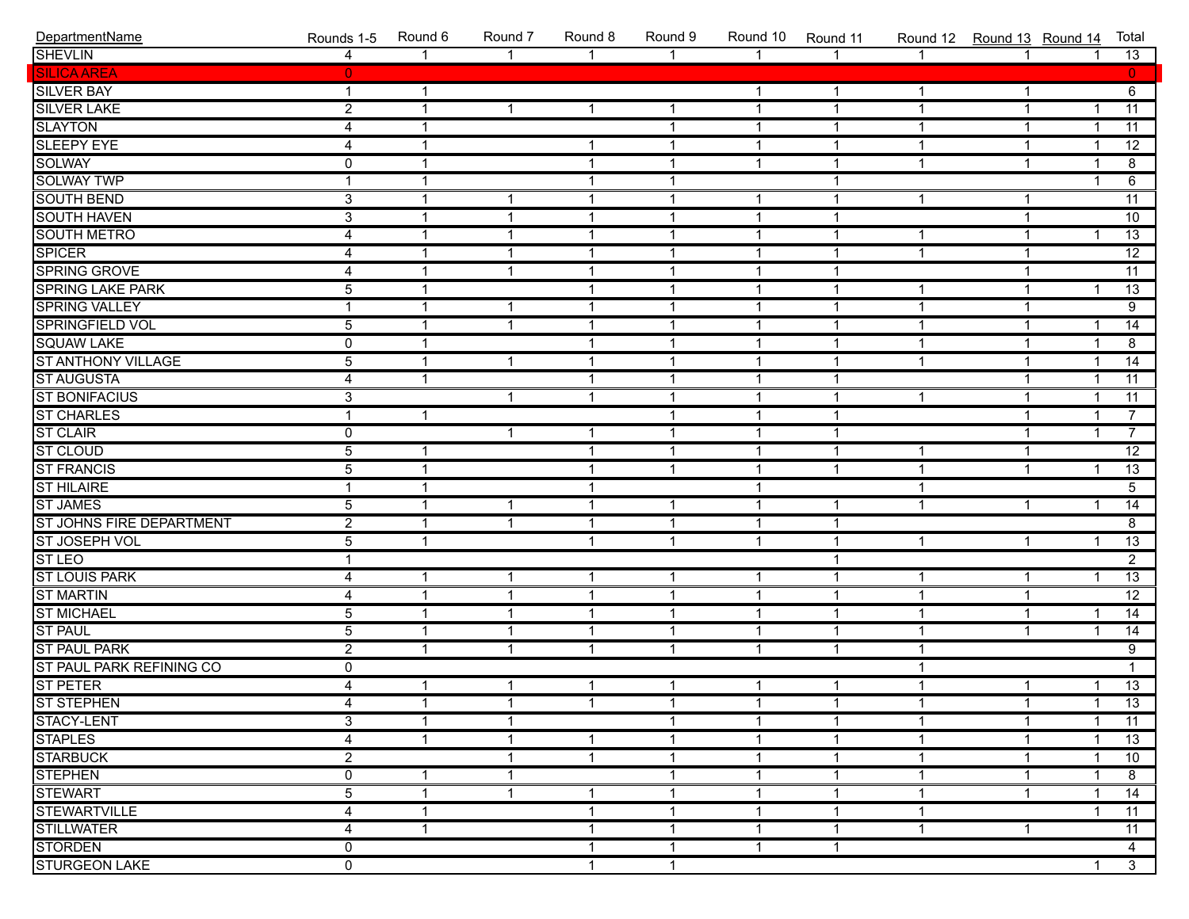| DepartmentName                  | Rounds 1-5     | Round 6      | Round 7                 | Round 8      | Round 9        | Round 10     | Round 11     | Round 12 Round 13 Round 14 |              |                         | Total           |
|---------------------------------|----------------|--------------|-------------------------|--------------|----------------|--------------|--------------|----------------------------|--------------|-------------------------|-----------------|
| <b>SHEVLIN</b>                  | $\overline{4}$ | $\mathbf{1}$ | $\mathbf{1}$            | $\mathbf{1}$ | $\mathbf{1}$   | $\mathbf{1}$ | $\mathbf{1}$ | $\mathbf 1$                | $\mathbf{1}$ | $\overline{1}$          | 13              |
| <b>SILICA AREA</b>              | $\mathbf{0}$   |              |                         |              |                |              |              |                            |              |                         | $\mathbf{0}$    |
| <b>SILVER BAY</b>               | $\mathbf{1}$   | $\mathbf{1}$ |                         |              |                | $\mathbf{1}$ | $\mathbf{1}$ | $\mathbf{1}$               | $\mathbf{1}$ |                         | 6               |
| <b>SILVER LAKE</b>              | $\overline{2}$ | 1            | $\mathbf{1}$            | $\mathbf{1}$ | $\mathbf{1}$   | $\mathbf{1}$ | $\mathbf{1}$ | $\mathbf 1$                | $\mathbf{1}$ | $\mathbf{1}$            | $\overline{11}$ |
| <b>SLAYTON</b>                  | 4              | 1            |                         |              | $\mathbf{1}$   | $\mathbf{1}$ | $\mathbf{1}$ | $\mathbf 1$                | $\mathbf{1}$ | $\overline{\mathbf{1}}$ | $\overline{11}$ |
| <b>SLEEPY EYE</b>               | 4              | $\mathbf{1}$ |                         | $\mathbf{1}$ | $\mathbf{1}$   | $\mathbf{1}$ | $\mathbf 1$  | $\mathbf{1}$               | $\mathbf{1}$ | $\overline{\mathbf{1}}$ | $\overline{12}$ |
| <b>SOLWAY</b>                   | 0              | $\mathbf{1}$ |                         | $\mathbf{1}$ | $\mathbf{1}$   | $\mathbf{1}$ | $\mathbf 1$  | $\mathbf{1}$               | $\mathbf{1}$ | $\mathbf 1$             | $\overline{8}$  |
| <b>SOLWAY TWP</b>               | $\mathbf{1}$   | $\mathbf{1}$ |                         | $\mathbf{1}$ | $\mathbf{1}$   |              | $\mathbf{1}$ |                            |              | $\overline{1}$          | 6               |
| <b>SOUTH BEND</b>               | $\overline{3}$ | $\mathbf{1}$ | $\mathbf{1}$            | $\mathbf{1}$ | $\mathbf{1}$   | $\mathbf{1}$ | $\mathbf{1}$ | $\mathbf{1}$               | $\mathbf{1}$ |                         | $\overline{11}$ |
| <b>SOUTH HAVEN</b>              | $\overline{3}$ | 1            | $\mathbf 1$             | $\mathbf{1}$ | $\mathbf{1}$   | $\mathbf{1}$ | $\mathbf{1}$ |                            | $\mathbf{1}$ |                         | 10              |
| <b>SOUTH METRO</b>              | 4              | 1            | $\mathbf 1$             | $\mathbf{1}$ | $\mathbf{1}$   | $\mathbf{1}$ | $\mathbf{1}$ | 1                          | $\mathbf{1}$ | $\mathbf 1$             | 13              |
| <b>SPICER</b>                   | 4              | $\mathbf{1}$ | $\mathbf 1$             | $\mathbf{1}$ | $\overline{1}$ | $\mathbf{1}$ | $\mathbf{1}$ | $\mathbf{1}$               | $\mathbf{1}$ |                         | $\overline{12}$ |
| <b>SPRING GROVE</b>             | 4              | $\mathbf{1}$ | $\overline{1}$          | $\mathbf{1}$ | $\mathbf{1}$   | $\mathbf{1}$ | $\mathbf 1$  |                            | $\mathbf{1}$ |                         | $\overline{11}$ |
| <b>SPRING LAKE PARK</b>         | $\overline{5}$ | $\mathbf{1}$ |                         | $\mathbf{1}$ | $\mathbf{1}$   | $\mathbf{1}$ | $\mathbf{1}$ | $\mathbf 1$                | $\mathbf{1}$ | $\mathbf{1}$            | 13              |
| <b>SPRING VALLEY</b>            | $\mathbf{1}$   | $\mathbf{1}$ | $\mathbf{1}$            | $\mathbf{1}$ | $\mathbf{1}$   | $\mathbf{1}$ | $\mathbf{1}$ | $\mathbf 1$                | $\mathbf{1}$ |                         | $\overline{9}$  |
| SPRINGFIELD VOL                 | $\overline{5}$ | 1            | $\overline{1}$          | $\mathbf{1}$ | $\mathbf{1}$   | $\mathbf{1}$ | $\mathbf{1}$ | $\mathbf 1$                | $\mathbf{1}$ | $\mathbf 1$             | 14              |
| <b>SQUAW LAKE</b>               | 0              | $\mathbf{1}$ |                         | $\mathbf{1}$ | $\mathbf{1}$   | $\mathbf{1}$ | $\mathbf{1}$ | $\mathbf 1$                | $\mathbf{1}$ | $\mathbf 1$             | 8               |
| <b>ST ANTHONY VILLAGE</b>       | $\overline{5}$ | $\mathbf{1}$ | $\mathbf{1}$            | $\mathbf{1}$ | $\overline{1}$ | $\mathbf{1}$ | $\mathbf 1$  | $\mathbf{1}$               | $\mathbf{1}$ | $\mathbf 1$             | $\overline{14}$ |
| <b>ST AUGUSTA</b>               | $\overline{4}$ | $\mathbf{1}$ |                         | $\mathbf{1}$ | $\mathbf{1}$   | $\mathbf{1}$ | $\mathbf 1$  |                            | $\mathbf{1}$ | $\overline{1}$          | $\overline{11}$ |
| <b>ST BONIFACIUS</b>            | $\overline{3}$ |              | $\overline{1}$          | $\mathbf{1}$ | $\overline{1}$ | $\mathbf{1}$ | $\mathbf{1}$ | $\mathbf{1}$               | $\mathbf{1}$ | $\overline{1}$          | $\overline{11}$ |
| <b>ST CHARLES</b>               | $\mathbf{1}$   | $\mathbf{1}$ |                         |              | $\mathbf{1}$   | $\mathbf{1}$ | $\mathbf{1}$ |                            | $\mathbf{1}$ | $\overline{1}$          | $\overline{7}$  |
| <b>ST CLAIR</b>                 | 0              |              | $\overline{\mathbf{1}}$ | $\mathbf{1}$ | $\mathbf{1}$   | $\mathbf{1}$ | $\mathbf{1}$ |                            | $\mathbf{1}$ | $\overline{\mathbf{1}}$ | $\overline{7}$  |
| <b>ST CLOUD</b>                 | $\overline{5}$ | $\mathbf{1}$ |                         | $\mathbf{1}$ | $\overline{1}$ | $\mathbf{1}$ | $\mathbf{1}$ | $\mathbf 1$                | $\mathbf{1}$ |                         | $\overline{12}$ |
| <b>ST FRANCIS</b>               | $\overline{5}$ | $\mathbf{1}$ |                         | $\mathbf{1}$ | $\mathbf{1}$   | $\mathbf{1}$ | $\mathbf{1}$ | $\mathbf{1}$               | $\mathbf{1}$ | $\mathbf{1}$            | 13              |
| <b>ST HILAIRE</b>               | $\mathbf{1}$   | $\mathbf{1}$ |                         | $\mathbf{1}$ |                | $\mathbf{1}$ |              | $\mathbf 1$                |              |                         | 5 <sup>5</sup>  |
| <b>ST JAMES</b>                 | $\overline{5}$ | $\mathbf{1}$ | $\mathbf{1}$            | $\mathbf{1}$ | $\mathbf{1}$   | $\mathbf{1}$ | $\mathbf{1}$ | $\mathbf{1}$               | $\mathbf{1}$ | $\overline{1}$          | 14              |
| <b>ST JOHNS FIRE DEPARTMENT</b> | $\overline{2}$ | $\mathbf{1}$ | $\overline{1}$          | $\mathbf{1}$ | $\mathbf{1}$   | $\mathbf{1}$ | $\mathbf{1}$ |                            |              |                         | $\overline{8}$  |
| ST JOSEPH VOL                   | $\overline{5}$ | $\mathbf{1}$ |                         | $\mathbf{1}$ | $\mathbf{1}$   | $\mathbf{1}$ | $\mathbf{1}$ | 1                          | $\mathbf{1}$ | $\overline{\mathbf{1}}$ | 13              |
| <b>ST LEO</b>                   | $\mathbf{1}$   |              |                         |              |                |              | $\mathbf{1}$ |                            |              |                         | $\overline{2}$  |
| <b>ST LOUIS PARK</b>            | 4              | $\mathbf{1}$ | $\mathbf 1$             | $\mathbf{1}$ | $\overline{1}$ | $\mathbf{1}$ | $\mathbf{1}$ | $\mathbf{1}$               | $\mathbf{1}$ | $\overline{\mathbf{1}}$ | 13              |
| <b>ST MARTIN</b>                | 4              | $\mathbf{1}$ | $\overline{1}$          | $\mathbf{1}$ | $\mathbf{1}$   | $\mathbf{1}$ | $\mathbf{1}$ | $\mathbf 1$                | $\mathbf{1}$ |                         | $\overline{12}$ |
| <b>ST MICHAEL</b>               | $\overline{5}$ | $\mathbf{1}$ | $\overline{1}$          | $\mathbf{1}$ | $\mathbf{1}$   | $\mathbf{1}$ | $\mathbf{1}$ | $\mathbf 1$                | $\mathbf{1}$ | $\mathbf 1$             | $\overline{14}$ |
| <b>ST PAUL</b>                  | $\overline{5}$ | $\mathbf{1}$ | $\mathbf 1$             | $\mathbf{1}$ | $\mathbf{1}$   | $\mathbf{1}$ | $\mathbf{1}$ | $\mathbf 1$                | $\mathbf{1}$ | $\overline{\mathbf{1}}$ | 14              |
| <b>ST PAUL PARK</b>             | $\overline{2}$ | $\mathbf{1}$ | $\overline{\mathbf{1}}$ | $\mathbf{1}$ | $\mathbf{1}$   | $\mathbf{1}$ | $\mathbf{1}$ | 1                          |              |                         | $\overline{9}$  |
| ST PAUL PARK REFINING CO        | 0              |              |                         |              |                |              |              | 1                          |              |                         | $\mathbf{1}$    |
| <b>ST PETER</b>                 | 4              | $\mathbf{1}$ | $\mathbf{1}$            | $\mathbf{1}$ | $\mathbf{1}$   | $\mathbf{1}$ | $\mathbf{1}$ | $\mathbf{1}$               | $\mathbf{1}$ | $\mathbf{1}$            | $\overline{13}$ |
| ST STEPHEN<br>STACY-LENT        | 4              | $\mathbf{1}$ | $\mathbf{1}$            | $\mathbf{1}$ | $\mathbf{1}$   | $\mathbf{1}$ | $\mathbf{1}$ | $\mathbf{1}$               | $\mathbf{1}$ | $\mathbf{1}$            | 13              |
|                                 | 3              | $\mathbf{1}$ | $\mathbf{1}$            |              | $\mathbf{1}$   | $\mathbf 1$  | $\mathbf{1}$ | 1                          | 1            | $\mathbf{1}$            | 11              |
| <b>STAPLES</b>                  | 4              | $\mathbf{1}$ | -1                      | $\mathbf{1}$ | $\mathbf{1}$   | $\mathbf 1$  | $\mathbf{1}$ | 1                          | 1            | -1                      | 13              |
| <b>STARBUCK</b>                 | 2              |              | -1                      | $\mathbf{1}$ | $\mathbf{1}$   | 1            | $\mathbf{1}$ | 1                          | 1            | -1                      | 10              |
| <b>STEPHEN</b>                  | 0              | $\mathbf{1}$ | $\mathbf 1$             |              | $\mathbf{1}$   | $\mathbf 1$  | $\mathbf 1$  | 1                          | 1            | -1                      | 8               |
| <b>STEWART</b>                  | 5              | $\mathbf{1}$ | $\overline{\mathbf{1}}$ | $\mathbf{1}$ | $\mathbf{1}$   | $\mathbf{1}$ | $\mathbf 1$  | 1                          | $\mathbf{1}$ | -1                      | 14              |
| <b>STEWARTVILLE</b>             | 4              | $\mathbf{1}$ |                         | $\mathbf{1}$ | $\mathbf 1$    | $\mathbf{1}$ | $\mathbf 1$  | 1                          |              | -1                      | 11              |
| <b>STILLWATER</b>               | 4              | $\mathbf{1}$ |                         | $\mathbf 1$  | $\mathbf{1}$   | $\mathbf{1}$ | $\mathbf 1$  | 1                          | $\mathbf{1}$ |                         | 11              |
| <b>STORDEN</b>                  | 0              |              |                         | $\mathbf 1$  | $\mathbf{1}$   | $\mathbf 1$  | $\mathbf{1}$ |                            |              |                         | 4               |
| <b>STURGEON LAKE</b>            | 0              |              |                         | $\mathbf{1}$ | $\mathbf{1}$   |              |              |                            |              | -1                      | $\overline{3}$  |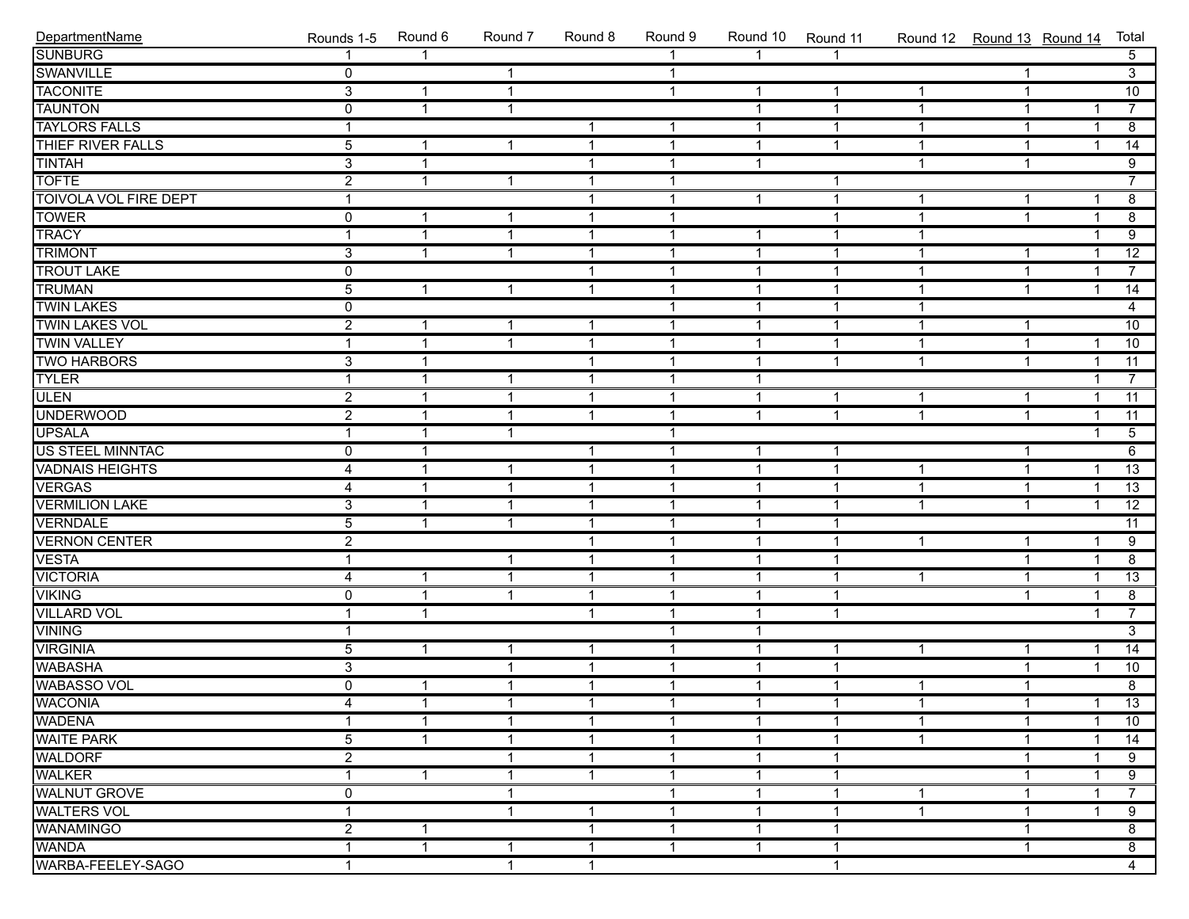| DepartmentName               | Rounds 1-5     | Round 6      | Round 7                 | Round 8      | Round 9      | Round 10     | Round 11     | Round 12 Round 13 Round 14 |              |                         | Total           |
|------------------------------|----------------|--------------|-------------------------|--------------|--------------|--------------|--------------|----------------------------|--------------|-------------------------|-----------------|
| <b>SUNBURG</b>               |                | 1            |                         |              |              | $\mathbf{1}$ |              |                            |              |                         | 5 <sup>7</sup>  |
| SWANVILLE                    | $\overline{0}$ |              | -1                      |              | $\mathbf{1}$ |              |              |                            | 1            |                         | $\overline{3}$  |
| <b>TACONITE</b>              | $\overline{3}$ | $\mathbf{1}$ | -1                      |              | $\mathbf{1}$ | $\mathbf{1}$ | -1           | $\mathbf{1}$               | $\mathbf{1}$ |                         | 10              |
| <b>TAUNTON</b>               | $\overline{0}$ | $\mathbf{1}$ | $\overline{1}$          |              |              | $\mathbf{1}$ | 1            | $\mathbf{1}$               | 1            | $\mathbf{1}$            | $\overline{7}$  |
| <b>TAYLORS FALLS</b>         | $\mathbf{1}$   |              |                         | $\mathbf{1}$ | $\mathbf{1}$ | $\mathbf{1}$ | $\mathbf{1}$ | $\mathbf{1}$               | $\mathbf{1}$ | $\overline{1}$          | $\overline{8}$  |
| THIEF RIVER FALLS            | $\overline{5}$ | $\mathbf{1}$ | $\overline{1}$          | $\mathbf{1}$ | $\mathbf{1}$ | $\mathbf{1}$ | $\mathbf{1}$ | $\mathbf{1}$               | $\mathbf 1$  | $\overline{1}$          | $\overline{14}$ |
| <b>TINTAH</b>                | $\overline{3}$ | $\mathbf{1}$ |                         | $\mathbf{1}$ | $\mathbf{1}$ | $\mathbf{1}$ |              | $\mathbf{1}$               | $\mathbf{1}$ |                         | $\overline{9}$  |
| <b>TOFTE</b>                 | $\overline{2}$ | $\mathbf{1}$ | $\overline{1}$          | $\mathbf{1}$ | $\mathbf{1}$ |              | 1            |                            |              |                         | $\overline{7}$  |
| <b>TOIVOLA VOL FIRE DEPT</b> | $\mathbf{1}$   |              |                         | $\mathbf{1}$ | $\mathbf{1}$ | $\mathbf{1}$ | $\mathbf{1}$ | $\mathbf{1}$               | 1            | $\mathbf 1$             | $\overline{8}$  |
| <b>TOWER</b>                 | $\overline{0}$ | $\mathbf{1}$ | -1                      | $\mathbf{1}$ | $\mathbf{1}$ |              | 1            | $\mathbf{1}$               | $\mathbf{1}$ | $\overline{1}$          | $\overline{8}$  |
| TRACY                        | $\mathbf{1}$   | $\mathbf{1}$ | $\overline{1}$          | $\mathbf{1}$ | $\mathbf{1}$ | $\mathbf{1}$ | $\mathbf{1}$ | $\mathbf{1}$               |              | $\mathbf{1}$            | $\overline{9}$  |
| <b>TRIMONT</b>               | $\overline{3}$ | $\mathbf{1}$ | $\overline{1}$          | $\mathbf{1}$ | $\mathbf{1}$ | $\mathbf{1}$ | $\mathbf{1}$ | $\mathbf{1}$               | $\mathbf{1}$ | $\overline{1}$          | $\overline{12}$ |
| <b>TROUT LAKE</b>            | $\overline{0}$ |              |                         | $\mathbf{1}$ | $\mathbf{1}$ | $\mathbf{1}$ | $\mathbf{1}$ | $\mathbf{1}$               | $\mathbf{1}$ | $\overline{1}$          | $\overline{7}$  |
| <b>TRUMAN</b>                | $\overline{5}$ | $\mathbf{1}$ | -1                      | $\mathbf{1}$ | $\mathbf{1}$ | $\mathbf{1}$ | 1            | $\mathbf{1}$               | $\mathbf{1}$ | $\mathbf{1}$            | $\overline{14}$ |
| <b>TWIN LAKES</b>            | $\mathbf 0$    |              |                         |              | $\mathbf{1}$ | $\mathbf{1}$ | 1            | $\mathbf{1}$               |              |                         | $\overline{4}$  |
| <b>TWIN LAKES VOL</b>        | $\overline{2}$ | $\mathbf{1}$ | $\overline{1}$          | $\mathbf{1}$ | $\mathbf{1}$ | $\mathbf{1}$ | $\mathbf{1}$ | $\mathbf{1}$               | 1            |                         | 10              |
| <b>TWIN VALLEY</b>           | $\mathbf{1}$   | $\mathbf{1}$ | $\overline{1}$          | $\mathbf{1}$ | $\mathbf{1}$ | $\mathbf{1}$ | $\mathbf{1}$ | $\mathbf{1}$               | $\mathbf{1}$ | $\mathbf{1}$            | 10              |
| <b>TWO HARBORS</b>           | $\overline{3}$ | $\mathbf{1}$ |                         | $\mathbf{1}$ | $\mathbf{1}$ | $\mathbf{1}$ | 1            | $\mathbf{1}$               | $\mathbf{1}$ | $\overline{1}$          | $\overline{11}$ |
| <b>TYLER</b>                 | $\mathbf{1}$   | $\mathbf{1}$ | $\overline{\mathbf{1}}$ | $\mathbf{1}$ | $\mathbf{1}$ | $\mathbf{1}$ |              |                            |              | $\overline{1}$          | $\overline{7}$  |
| <b>ULEN</b>                  | $\overline{2}$ | $\mathbf{1}$ | $\overline{\mathbf{1}}$ | $\mathbf{1}$ | $\mathbf{1}$ | $\mathbf{1}$ | $\mathbf{1}$ | $\mathbf{1}$               | 1            | $\overline{1}$          | $\overline{11}$ |
| <b>UNDERWOOD</b>             | $\overline{2}$ | $\mathbf{1}$ | $\overline{\mathbf{1}}$ | $\mathbf{1}$ | $\mathbf{1}$ | $\mathbf{1}$ | $\mathbf 1$  | $\mathbf{1}$               | $\mathbf{1}$ | $\overline{1}$          | $\overline{11}$ |
| <b>UPSALA</b>                | $\mathbf{1}$   | $\mathbf{1}$ | $\overline{1}$          |              | $\mathbf{1}$ |              |              |                            |              | $\mathbf{1}$            | $\overline{5}$  |
| <b>US STEEL MINNTAC</b>      | $\overline{0}$ | $\mathbf{1}$ |                         | $\mathbf{1}$ | $\mathbf{1}$ | $\mathbf{1}$ | $\mathbf 1$  |                            | $\mathbf{1}$ |                         | 6               |
| <b>VADNAIS HEIGHTS</b>       | 4              | $\mathbf{1}$ | $\overline{\mathbf{1}}$ | $\mathbf{1}$ | $\mathbf{1}$ | $\mathbf{1}$ | 1            | $\mathbf{1}$               | $\mathbf{1}$ | $\mathbf{1}$            | $\overline{13}$ |
| <b>VERGAS</b>                | 4              | $\mathbf{1}$ | $\overline{\mathbf{1}}$ | $\mathbf{1}$ | $\mathbf{1}$ | $\mathbf{1}$ | 1            | $\mathbf{1}$               | $\mathbf{1}$ | $\overline{1}$          | 13              |
| <b>VERMILION LAKE</b>        | $\overline{3}$ | $\mathbf{1}$ | -1                      | $\mathbf{1}$ | $\mathbf{1}$ | $\mathbf{1}$ | 1            | $\mathbf{1}$               | $\mathbf{1}$ | $\overline{1}$          | $\overline{12}$ |
| <b>VERNDALE</b>              | $\overline{5}$ | $\mathbf{1}$ | -1                      | $\mathbf{1}$ | $\mathbf{1}$ | $\mathbf{1}$ | 1            |                            |              |                         | $\overline{11}$ |
| <b>VERNON CENTER</b>         | $\overline{2}$ |              |                         | $\mathbf{1}$ | $\mathbf{1}$ | $\mathbf{1}$ | $\mathbf 1$  | $\mathbf{1}$               | 1            | $\mathbf{1}$            | $\overline{9}$  |
| <b>VESTA</b>                 | $\overline{1}$ |              | -1                      | $\mathbf{1}$ | $\mathbf{1}$ | $\mathbf{1}$ | $\mathbf{1}$ |                            | $\mathbf{1}$ | $\mathbf{1}$            | $\overline{8}$  |
| <b>VICTORIA</b>              | 4              | $\mathbf{1}$ | $\overline{\mathbf{1}}$ | $\mathbf{1}$ | $\mathbf{1}$ | $\mathbf{1}$ | 1            | $\mathbf{1}$               | $\mathbf{1}$ | $\overline{1}$          | 13              |
| <b>VIKING</b>                | $\overline{0}$ | $\mathbf{1}$ | $\overline{1}$          | $\mathbf{1}$ | $\mathbf{1}$ | $\mathbf{1}$ | 1            |                            | $\mathbf{1}$ | $\overline{1}$          | $\overline{8}$  |
| <b>VILLARD VOL</b>           | $\overline{1}$ | $\mathbf{1}$ |                         | $\mathbf{1}$ | $\mathbf{1}$ | $\mathbf{1}$ | 1            |                            |              | $\overline{\mathbf{1}}$ | $\overline{7}$  |
| <b>VINING</b>                | $\mathbf{1}$   |              |                         |              | $\mathbf{1}$ | $\mathbf{1}$ |              |                            |              |                         | $\overline{3}$  |
| <b>VIRGINIA</b>              | $\overline{5}$ | $\mathbf{1}$ | $\overline{1}$          | $\mathbf{1}$ | $\mathbf{1}$ | $\mathbf{1}$ | $\mathbf{1}$ | $\mathbf{1}$               | 1            | $\overline{1}$          | $\overline{14}$ |
| <b>WABASHA</b>               | $\overline{3}$ |              | $\overline{\mathbf{1}}$ | $\mathbf{1}$ | $\mathbf{1}$ | $\mathbf{1}$ | $\mathbf{1}$ |                            | $\mathbf{1}$ | $\overline{1}$          | 10              |
| <b>WABASSO VOL</b>           | $\overline{0}$ | $\mathbf{1}$ | $\overline{\mathbf{1}}$ | $\mathbf{1}$ | $\mathbf{1}$ | $\mathbf{1}$ | $\mathbf{1}$ | $\mathbf{1}$               | $\mathbf{1}$ |                         | $\overline{8}$  |
| <b>WACONIA</b>               | 4              | $\mathbf{1}$ | $\mathbf{1}$            | $\mathbf{1}$ | 1            | $\mathbf 1$  | $\mathbf 1$  | $\overline{1}$             | $\mathbf{1}$ | 1                       | 13              |
| <b>WADENA</b>                | 1              | 1            | -1                      | -1           | 1            | $\mathbf 1$  | 1            | $\mathbf 1$                | 1            | $\mathbf 1$             | 10              |
| <b>WAITE PARK</b>            | 5              | $\mathbf{1}$ | -1                      | $\mathbf 1$  | 1            | $\mathbf 1$  | 1            | $\mathbf{1}$               | 1            | -1                      | 14              |
| <b>WALDORF</b>               | $\overline{2}$ |              | -1                      | $\mathbf 1$  | 1            | 1            | 1            |                            | 1            | 1                       | 9               |
| <b>WALKER</b>                |                | $\mathbf{1}$ | -1                      | -1           | 1            | 1            |              |                            | 1            | 1                       | 9               |
| <b>WALNUT GROVE</b>          | 0              |              | -1                      |              | 1            | 1            |              | 1                          | 1            | 1                       | $\overline{7}$  |
| <b>WALTERS VOL</b>           |                |              | -1                      | -1           | 1            | $\mathbf 1$  |              | 1                          | 1            | 1                       | 9               |
| <b>WANAMINGO</b>             | $\overline{c}$ | $\mathbf 1$  |                         | $\mathbf 1$  | 1            | $\mathbf 1$  | 1            |                            | 1            |                         | 8               |
| <b>WANDA</b>                 | -1             | $\mathbf{1}$ | -1                      | $\mathbf 1$  | $\mathbf{1}$ | $\mathbf{1}$ | 1            |                            | 1            |                         | 8               |
| WARBA-FEELEY-SAGO            | $\mathbf 1$    |              | $\overline{\mathbf{1}}$ | $\mathbf{1}$ |              |              | $\mathbf 1$  |                            |              |                         | 4               |